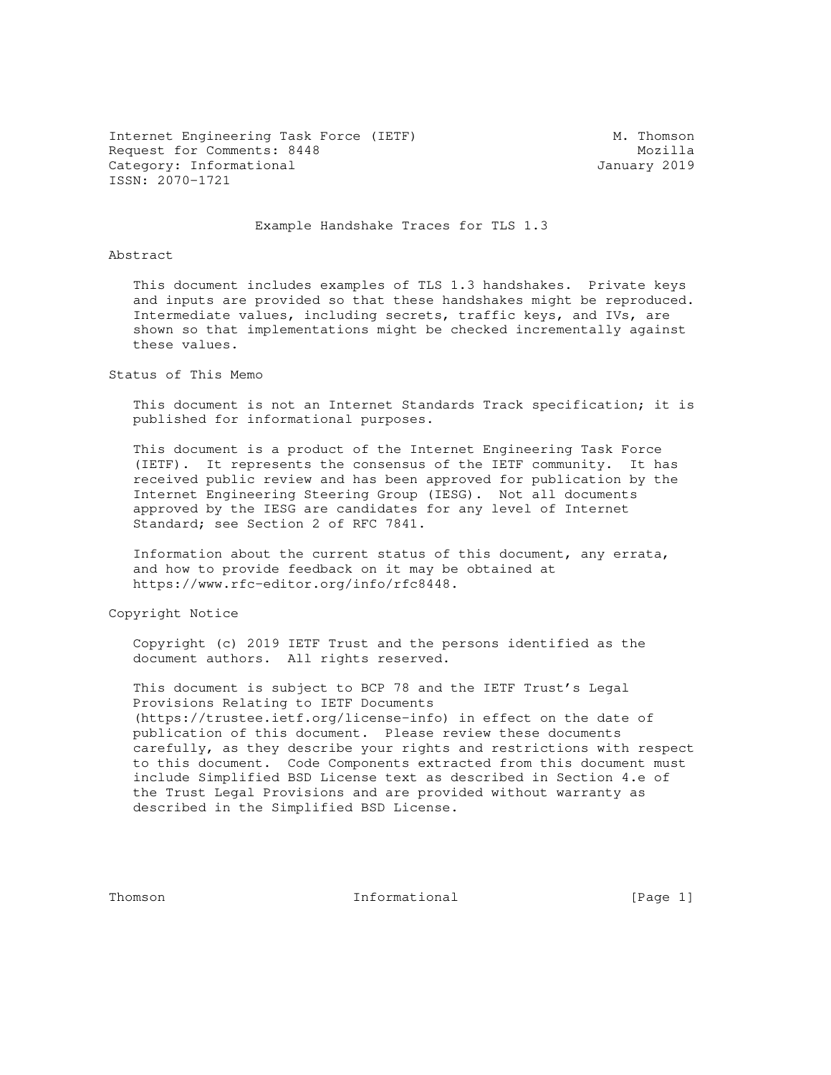Internet Engineering Task Force (IETF) M. Thomson Request for Comments: 8448 Mozilla Category: Informational and Category: University 2019 ISSN: 2070-1721

#### Example Handshake Traces for TLS 1.3

Abstract

 This document includes examples of TLS 1.3 handshakes. Private keys and inputs are provided so that these handshakes might be reproduced. Intermediate values, including secrets, traffic keys, and IVs, are shown so that implementations might be checked incrementally against these values.

Status of This Memo

 This document is not an Internet Standards Track specification; it is published for informational purposes.

 This document is a product of the Internet Engineering Task Force (IETF). It represents the consensus of the IETF community. It has received public review and has been approved for publication by the Internet Engineering Steering Group (IESG). Not all documents approved by the IESG are candidates for any level of Internet Standard; see Section 2 of RFC 7841.

 Information about the current status of this document, any errata, and how to provide feedback on it may be obtained at https://www.rfc-editor.org/info/rfc8448.

Copyright Notice

 Copyright (c) 2019 IETF Trust and the persons identified as the document authors. All rights reserved.

 This document is subject to BCP 78 and the IETF Trust's Legal Provisions Relating to IETF Documents (https://trustee.ietf.org/license-info) in effect on the date of publication of this document. Please review these documents carefully, as they describe your rights and restrictions with respect to this document. Code Components extracted from this document must include Simplified BSD License text as described in Section 4.e of the Trust Legal Provisions and are provided without warranty as described in the Simplified BSD License.

Thomson **Informational Informational** [Page 1]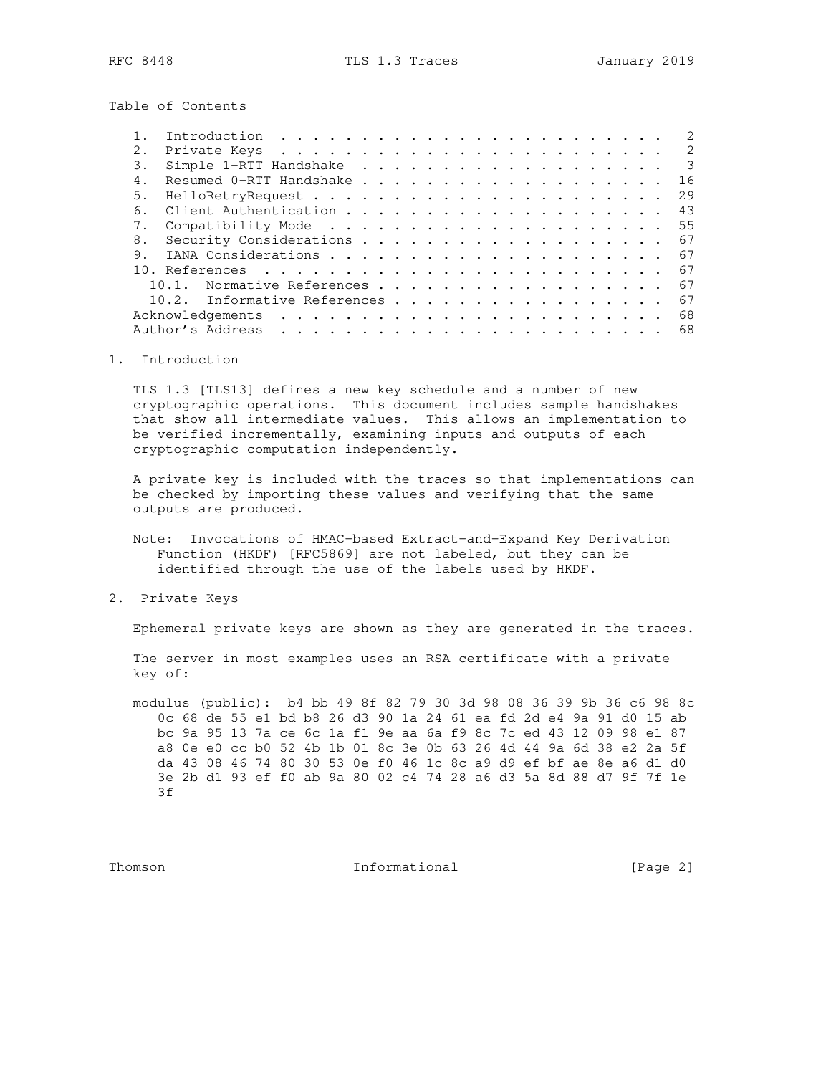Table of Contents

|    | Introduction $\ldots \ldots \ldots \ldots \ldots \ldots \ldots \ldots$<br>2                                                                                                                                                                                                                                                                                                                                                                                                                                          |
|----|----------------------------------------------------------------------------------------------------------------------------------------------------------------------------------------------------------------------------------------------------------------------------------------------------------------------------------------------------------------------------------------------------------------------------------------------------------------------------------------------------------------------|
| 2. | 2                                                                                                                                                                                                                                                                                                                                                                                                                                                                                                                    |
| 3. | $\mathcal{E}$                                                                                                                                                                                                                                                                                                                                                                                                                                                                                                        |
| 4. | 16                                                                                                                                                                                                                                                                                                                                                                                                                                                                                                                   |
| 5. | 29                                                                                                                                                                                                                                                                                                                                                                                                                                                                                                                   |
| 6. | 43                                                                                                                                                                                                                                                                                                                                                                                                                                                                                                                   |
|    | 55                                                                                                                                                                                                                                                                                                                                                                                                                                                                                                                   |
| 8. | 67                                                                                                                                                                                                                                                                                                                                                                                                                                                                                                                   |
| 9. | 67                                                                                                                                                                                                                                                                                                                                                                                                                                                                                                                   |
|    | 67                                                                                                                                                                                                                                                                                                                                                                                                                                                                                                                   |
|    | Normative References<br>67                                                                                                                                                                                                                                                                                                                                                                                                                                                                                           |
|    | 10.2. Informative References<br>67                                                                                                                                                                                                                                                                                                                                                                                                                                                                                   |
|    | Acknowledgements<br>68<br>$\mathcal{L}^{\mathcal{A}}\left(\mathcal{A}^{\mathcal{A}}\right) \left(\mathcal{A}^{\mathcal{A}}\right) \left(\mathcal{A}^{\mathcal{A}}\right) \left(\mathcal{A}^{\mathcal{A}}\right) \left(\mathcal{A}^{\mathcal{A}}\right) \left(\mathcal{A}^{\mathcal{A}}\right) \left(\mathcal{A}^{\mathcal{A}}\right) \left(\mathcal{A}^{\mathcal{A}}\right) \left(\mathcal{A}^{\mathcal{A}}\right) \left(\mathcal{A}^{\mathcal{A}}\right) \left(\mathcal{A}^{\mathcal{A}}\right) \left(\mathcal{A}^$ |
|    | Author's Address<br>68                                                                                                                                                                                                                                                                                                                                                                                                                                                                                               |
|    |                                                                                                                                                                                                                                                                                                                                                                                                                                                                                                                      |

## 1. Introduction

 TLS 1.3 [TLS13] defines a new key schedule and a number of new cryptographic operations. This document includes sample handshakes that show all intermediate values. This allows an implementation to be verified incrementally, examining inputs and outputs of each cryptographic computation independently.

 A private key is included with the traces so that implementations can be checked by importing these values and verifying that the same outputs are produced.

 Note: Invocations of HMAC-based Extract-and-Expand Key Derivation Function (HKDF) [RFC5869] are not labeled, but they can be identified through the use of the labels used by HKDF.

2. Private Keys

Ephemeral private keys are shown as they are generated in the traces.

 The server in most examples uses an RSA certificate with a private key of:

 modulus (public): b4 bb 49 8f 82 79 30 3d 98 08 36 39 9b 36 c6 98 8c 0c 68 de 55 e1 bd b8 26 d3 90 1a 24 61 ea fd 2d e4 9a 91 d0 15 ab bc 9a 95 13 7a ce 6c 1a f1 9e aa 6a f9 8c 7c ed 43 12 09 98 e1 87 a8 0e e0 cc b0 52 4b 1b 01 8c 3e 0b 63 26 4d 44 9a 6d 38 e2 2a 5f da 43 08 46 74 80 30 53 0e f0 46 1c 8c a9 d9 ef bf ae 8e a6 d1 d0 3e 2b d1 93 ef f0 ab 9a 80 02 c4 74 28 a6 d3 5a 8d 88 d7 9f 7f 1e 3f

Thomson **Informational** [Page 2]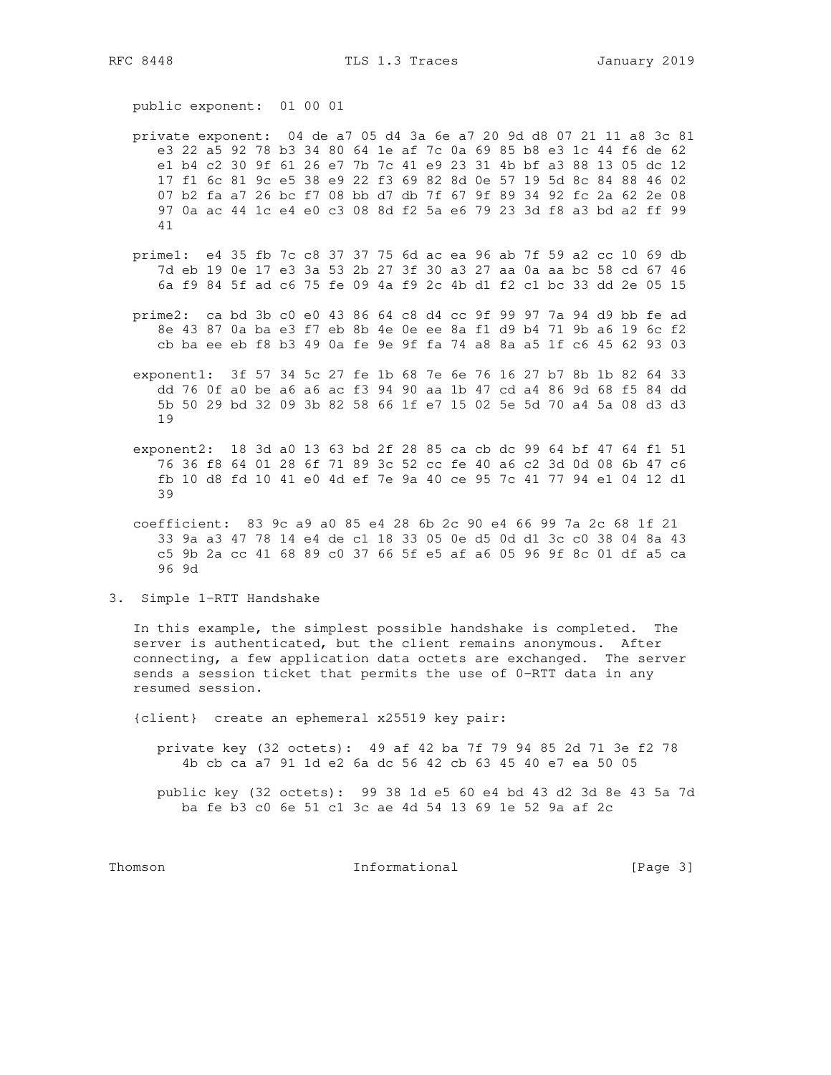RFC 8448

public exponent: 01 00 01

- private exponent: 04 de a7 05 d4 3a 6e a7 20 9d d8 07 21 11 a8 3c 81 e3 22 a5 92 78 b3 34 80 64 1e af 7c 0a 69 85 b8 e3 1c 44 f6 de 62 el b4 c2 30 9f 61 26 e7 7b 7c 41 e9 23 31 4b bf a3 88 13 05 dc 12 17 f1 6c 81 9c e5 38 e9 22 f3 69 82 8d 0e 57 19 5d 8c 84 88 46 02 07 b2 fa a7 26 bc f7 08 bb d7 db 7f 67 9f 89 34 92 fc 2a 62 2e 08 97 0a ac 44 1c e4 e0 c3 08 8d f2 5a e6 79 23 3d f8 a3 bd a2 ff 99 41
- primel: e4 35 fb 7c c8 37 37 75 6d ac ea 96 ab 7f 59 a2 cc 10 69 db 7d eb 19 0e 17 e3 3a 53 2b 27 3f 30 a3 27 aa 0a aa bc 58 cd 67 46 6a f9 84 5f ad c6 75 fe 09 4a f9 2c 4b d1 f2 c1 bc 33 dd 2e 05 15
- prime2: ca bd 3b c0 e0 43 86 64 c8 d4 cc 9f 99 97 7a 94 d9 bb fe ad 8e 43 87 0a ba e3 f7 eb 8b 4e 0e ee 8a f1 d9 b4 71 9b a6 19 6c f2 cb ba ee eb f8 b3 49 0a fe 9e 9f fa 74 a8 8a a5 1f c6 45 62 93 03
- exponent1: 3f 57 34 5c 27 fe 1b 68 7e 6e 76 16 27 b7 8b 1b 82 64 33 dd 76 0f a0 be a6 a6 ac f3 94 90 aa 1b 47 cd a4 86 9d 68 f5 84 dd 5b 50 29 bd 32 09 3b 82 58 66 1f e7 15 02 5e 5d 70 a4 5a 08 d3 d3 19
- exponent2: 18 3d a0 13 63 bd 2f 28 85 ca cb dc 99 64 bf 47 64 f1 51 76 36 f8 64 01 28 6f 71 89 3c 52 cc fe 40 a6 c2 3d 0d 08 6b 47 c6 fb 10 d8 fd 10 41 e0 4d ef 7e 9a 40 ce 95 7c 41 77 94 e1 04 12 d1 39

coefficient: 83 9c a9 a0 85 e4 28 6b 2c 90 e4 66 99 7a 2c 68 1f 21 33 9a a3 47 78 14 e4 de c1 18 33 05 0e d5 0d d1 3c c0 38 04 8a 43 c5 9b 2a cc 41 68 89 c0 37 66 5f e5 af a6 05 96 9f 8c 01 df a5 ca 96 9d

3. Simple 1-RTT Handshake

In this example, the simplest possible handshake is completed. The server is authenticated, but the client remains anonymous. After connecting, a few application data octets are exchanged. The server sends a session ticket that permits the use of 0-RTT data in any resumed session.

{client} create an ephemeral x25519 key pair:

private key (32 octets): 49 af 42 ba 7f 79 94 85 2d 71 3e f2 78 4b cb ca a7 91 1d e2 6a dc 56 42 cb 63 45 40 e7 ea 50 05

public key (32 octets): 99 38 1d e5 60 e4 bd 43 d2 3d 8e 43 5a 7d ba fe b3 c0 6e 51 c1 3c ae 4d 54 13 69 1e 52 9a af 2c

Thomson

Informational

[Page 3]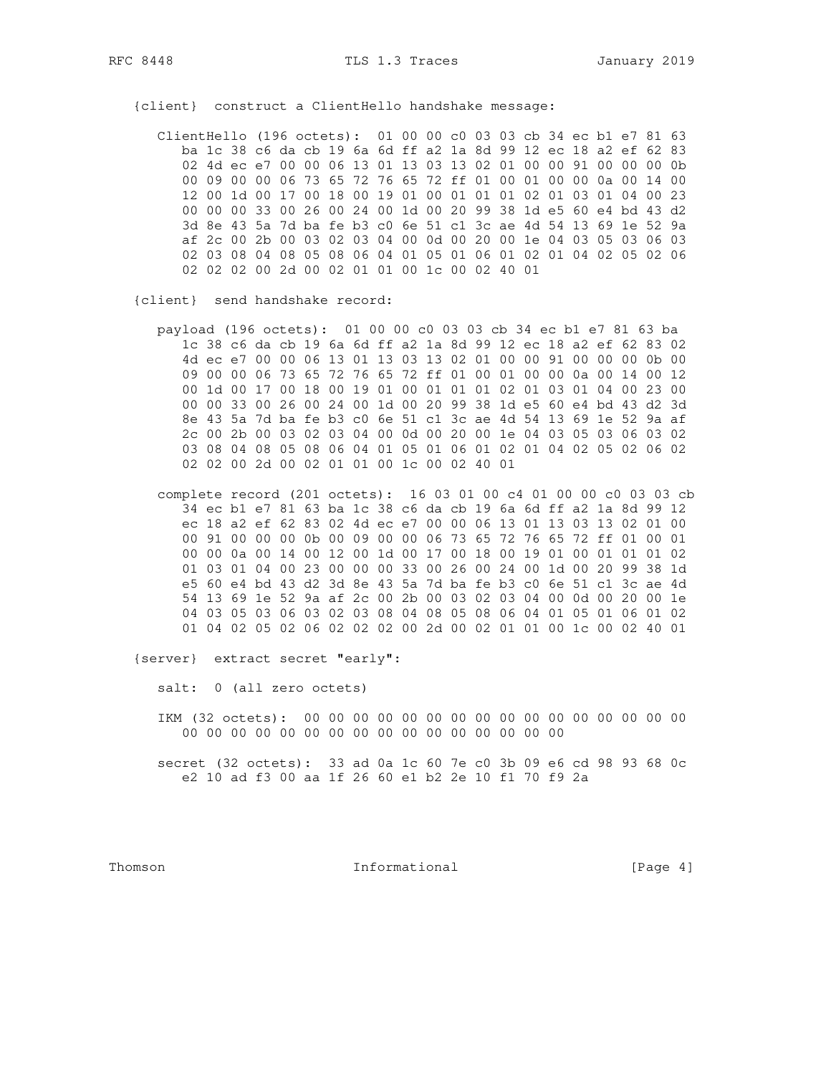{client} construct a ClientHello handshake message:

 ClientHello (196 octets): 01 00 00 c0 03 03 cb 34 ec b1 e7 81 63 ba 1c 38 c6 da cb 19 6a 6d ff a2 1a 8d 99 12 ec 18 a2 ef 62 83 02 4d ec e7 00 00 06 13 01 13 03 13 02 01 00 00 91 00 00 00 0b 00 09 00 00 06 73 65 72 76 65 72 ff 01 00 01 00 00 0a 00 14 00 12 00 1d 00 17 00 18 00 19 01 00 01 01 01 02 01 03 01 04 00 23 00 00 00 33 00 26 00 24 00 1d 00 20 99 38 1d e5 60 e4 bd 43 d2 3d 8e 43 5a 7d ba fe b3 c0 6e 51 c1 3c ae 4d 54 13 69 1e 52 9a af 2c 00 2b 00 03 02 03 04 00 0d 00 20 00 1e 04 03 05 03 06 03 02 03 08 04 08 05 08 06 04 01 05 01 06 01 02 01 04 02 05 02 06 02 02 02 00 2d 00 02 01 01 00 1c 00 02 40 01

{client} send handshake record:

 payload (196 octets): 01 00 00 c0 03 03 cb 34 ec b1 e7 81 63 ba 1c 38 c6 da cb 19 6a 6d ff a2 1a 8d 99 12 ec 18 a2 ef 62 83 02 4d ec e7 00 00 06 13 01 13 03 13 02 01 00 00 91 00 00 00 0b 00 09 00 00 06 73 65 72 76 65 72 ff 01 00 01 00 00 0a 00 14 00 12 00 1d 00 17 00 18 00 19 01 00 01 01 01 02 01 03 01 04 00 23 00 00 00 33 00 26 00 24 00 1d 00 20 99 38 1d e5 60 e4 bd 43 d2 3d 8e 43 5a 7d ba fe b3 c0 6e 51 c1 3c ae 4d 54 13 69 1e 52 9a af 2c 00 2b 00 03 02 03 04 00 0d 00 20 00 1e 04 03 05 03 06 03 02 03 08 04 08 05 08 06 04 01 05 01 06 01 02 01 04 02 05 02 06 02 02 02 00 2d 00 02 01 01 00 1c 00 02 40 01

 complete record (201 octets): 16 03 01 00 c4 01 00 00 c0 03 03 cb 34 ec b1 e7 81 63 ba 1c 38 c6 da cb 19 6a 6d ff a2 1a 8d 99 12 ec 18 a2 ef 62 83 02 4d ec e7 00 00 06 13 01 13 03 13 02 01 00 00 91 00 00 00 0b 00 09 00 00 06 73 65 72 76 65 72 ff 01 00 01 00 00 0a 00 14 00 12 00 1d 00 17 00 18 00 19 01 00 01 01 01 02 01 03 01 04 00 23 00 00 00 33 00 26 00 24 00 1d 00 20 99 38 1d e5 60 e4 bd 43 d2 3d 8e 43 5a 7d ba fe b3 c0 6e 51 c1 3c ae 4d 54 13 69 1e 52 9a af 2c 00 2b 00 03 02 03 04 00 0d 00 20 00 1e 04 03 05 03 06 03 02 03 08 04 08 05 08 06 04 01 05 01 06 01 02 01 04 02 05 02 06 02 02 02 00 2d 00 02 01 01 00 1c 00 02 40 01

{server} extract secret "early":

salt: 0 (all zero octets)

 IKM (32 octets): 00 00 00 00 00 00 00 00 00 00 00 00 00 00 00 00 00 00 00 00 00 00 00 00 00 00 00 00 00 00 00 00

 secret (32 octets): 33 ad 0a 1c 60 7e c0 3b 09 e6 cd 98 93 68 0c e2 10 ad f3 00 aa 1f 26 60 e1 b2 2e 10 f1 70 f9 2a

Thomson **Informational Informational** [Page 4]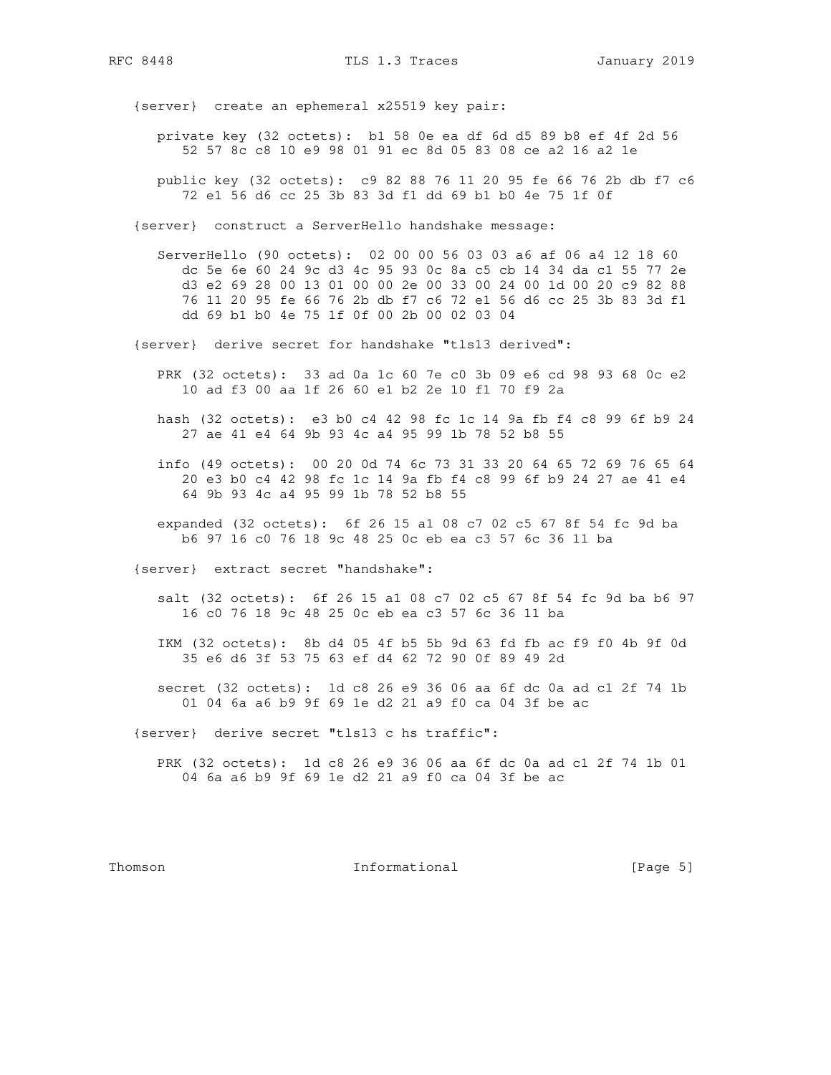{server} create an ephemeral x25519 key pair:

- private key (32 octets): b1 58 0e ea df 6d d5 89 b8 ef 4f 2d 56 52 57 8c c8 10 e9 98 01 91 ec 8d 05 83 08 ce a2 16 a2 1e
- public key (32 octets): c9 82 88 76 11 20 95 fe 66 76 2b db f7 c6 72 e1 56 d6 cc 25 3b 83 3d f1 dd 69 b1 b0 4e 75 1f 0f

{server} construct a ServerHello handshake message:

 ServerHello (90 octets): 02 00 00 56 03 03 a6 af 06 a4 12 18 60 dc 5e 6e 60 24 9c d3 4c 95 93 0c 8a c5 cb 14 34 da c1 55 77 2e d3 e2 69 28 00 13 01 00 00 2e 00 33 00 24 00 1d 00 20 c9 82 88 76 11 20 95 fe 66 76 2b db f7 c6 72 e1 56 d6 cc 25 3b 83 3d f1 dd 69 b1 b0 4e 75 1f 0f 00 2b 00 02 03 04

{server} derive secret for handshake "tls13 derived":

- PRK (32 octets): 33 ad 0a 1c 60 7e c0 3b 09 e6 cd 98 93 68 0c e2 10 ad f3 00 aa 1f 26 60 e1 b2 2e 10 f1 70 f9 2a
- hash (32 octets): e3 b0 c4 42 98 fc 1c 14 9a fb f4 c8 99 6f b9 24 27 ae 41 e4 64 9b 93 4c a4 95 99 1b 78 52 b8 55
- info (49 octets): 00 20 0d 74 6c 73 31 33 20 64 65 72 69 76 65 64 20 e3 b0 c4 42 98 fc 1c 14 9a fb f4 c8 99 6f b9 24 27 ae 41 e4 64 9b 93 4c a4 95 99 1b 78 52 b8 55
- expanded (32 octets): 6f 26 15 a1 08 c7 02 c5 67 8f 54 fc 9d ba b6 97 16 c0 76 18 9c 48 25 0c eb ea c3 57 6c 36 11 ba
- {server} extract secret "handshake":
	- salt (32 octets): 6f 26 15 a1 08 c7 02 c5 67 8f 54 fc 9d ba b6 97 16 c0 76 18 9c 48 25 0c eb ea c3 57 6c 36 11 ba
	- IKM (32 octets): 8b d4 05 4f b5 5b 9d 63 fd fb ac f9 f0 4b 9f 0d 35 e6 d6 3f 53 75 63 ef d4 62 72 90 0f 89 49 2d
	- secret (32 octets): 1d c8 26 e9 36 06 aa 6f dc 0a ad c1 2f 74 1b 01 04 6a a6 b9 9f 69 1e d2 21 a9 f0 ca 04 3f be ac
- {server} derive secret "tls13 c hs traffic":
	- PRK (32 octets): 1d c8 26 e9 36 06 aa 6f dc 0a ad c1 2f 74 1b 01 04 6a a6 b9 9f 69 1e d2 21 a9 f0 ca 04 3f be ac

#### Thomson **Informational Informational** [Page 5]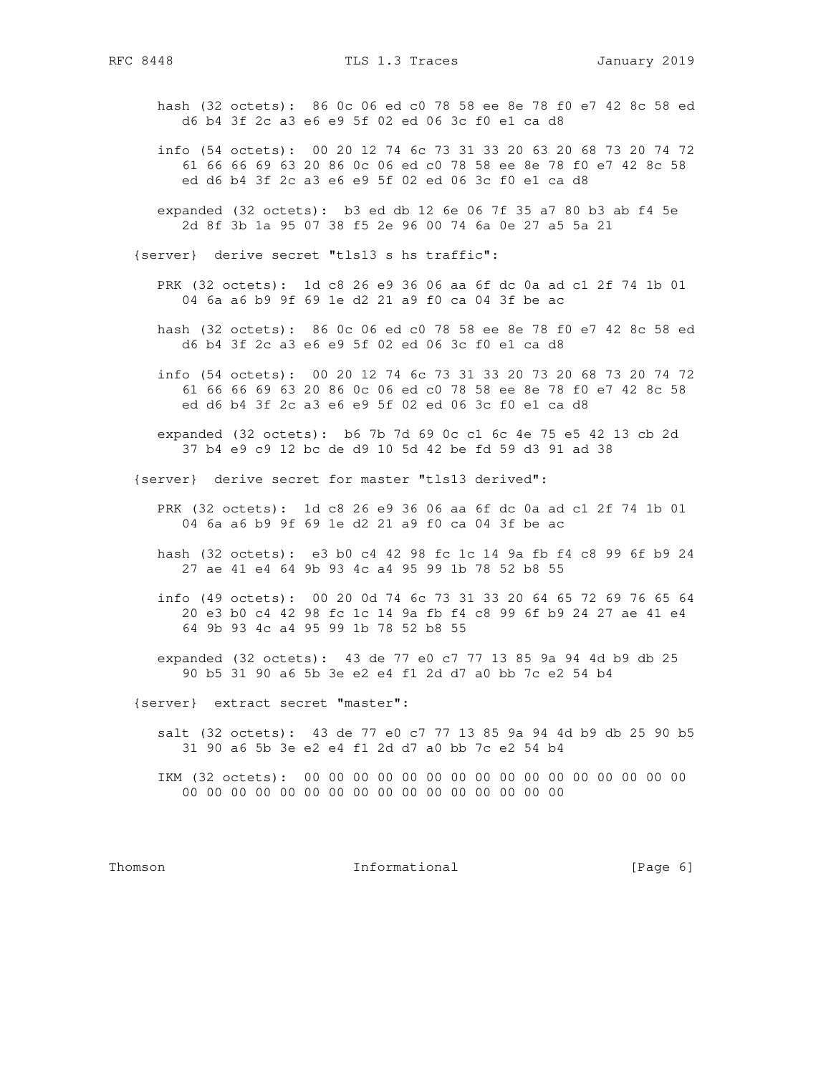hash (32 octets): 86 0c 06 ed c0 78 58 ee 8e 78 f0 e7 42 8c 58 ed d6 b4 3f 2c a3 e6 e9 5f 02 ed 06 3c f0 e1 ca d8

- info (54 octets): 00 20 12 74 6c 73 31 33 20 63 20 68 73 20 74 72 61 66 66 69 63 20 86 0c 06 ed c0 78 58 ee 8e 78 f0 e7 42 8c 58 ed d6 b4 3f 2c a3 e6 e9 5f 02 ed 06 3c f0 e1 ca d8
- expanded (32 octets): b3 ed db 12 6e 06 7f 35 a7 80 b3 ab f4 5e 2d 8f 3b 1a 95 07 38 f5 2e 96 00 74 6a 0e 27 a5 5a 21

{server} derive secret "tls13 s hs traffic":

- PRK (32 octets): 1d c8 26 e9 36 06 aa 6f dc 0a ad c1 2f 74 1b 01 04 6a a6 b9 9f 69 1e d2 21 a9 f0 ca 04 3f be ac
- hash (32 octets): 86 0c 06 ed c0 78 58 ee 8e 78 f0 e7 42 8c 58 ed d6 b4 3f 2c a3 e6 e9 5f 02 ed 06 3c f0 e1 ca d8
- info (54 octets): 00 20 12 74 6c 73 31 33 20 73 20 68 73 20 74 72 61 66 66 69 63 20 86 0c 06 ed c0 78 58 ee 8e 78 f0 e7 42 8c 58 ed d6 b4 3f 2c a3 e6 e9 5f 02 ed 06 3c f0 e1 ca d8
- expanded (32 octets): b6 7b 7d 69 0c c1 6c 4e 75 e5 42 13 cb 2d 37 b4 e9 c9 12 bc de d9 10 5d 42 be fd 59 d3 91 ad 38

{server} derive secret for master "tls13 derived":

- PRK (32 octets): 1d c8 26 e9 36 06 aa 6f dc 0a ad c1 2f 74 1b 01 04 6a a6 b9 9f 69 1e d2 21 a9 f0 ca 04 3f be ac
- hash (32 octets): e3 b0 c4 42 98 fc 1c 14 9a fb f4 c8 99 6f b9 24 27 ae 41 e4 64 9b 93 4c a4 95 99 1b 78 52 b8 55
- info (49 octets): 00 20 0d 74 6c 73 31 33 20 64 65 72 69 76 65 64 20 e3 b0 c4 42 98 fc 1c 14 9a fb f4 c8 99 6f b9 24 27 ae 41 e4 64 9b 93 4c a4 95 99 1b 78 52 b8 55
- expanded (32 octets): 43 de 77 e0 c7 77 13 85 9a 94 4d b9 db 25 90 b5 31 90 a6 5b 3e e2 e4 f1 2d d7 a0 bb 7c e2 54 b4

{server} extract secret "master":

- salt (32 octets): 43 de 77 e0 c7 77 13 85 9a 94 4d b9 db 25 90 b5 31 90 a6 5b 3e e2 e4 f1 2d d7 a0 bb 7c e2 54 b4
- IKM (32 octets): 00 00 00 00 00 00 00 00 00 00 00 00 00 00 00 00 00 00 00 00 00 00 00 00 00 00 00 00 00 00 00 00

Thomson **Informational Informational** [Page 6]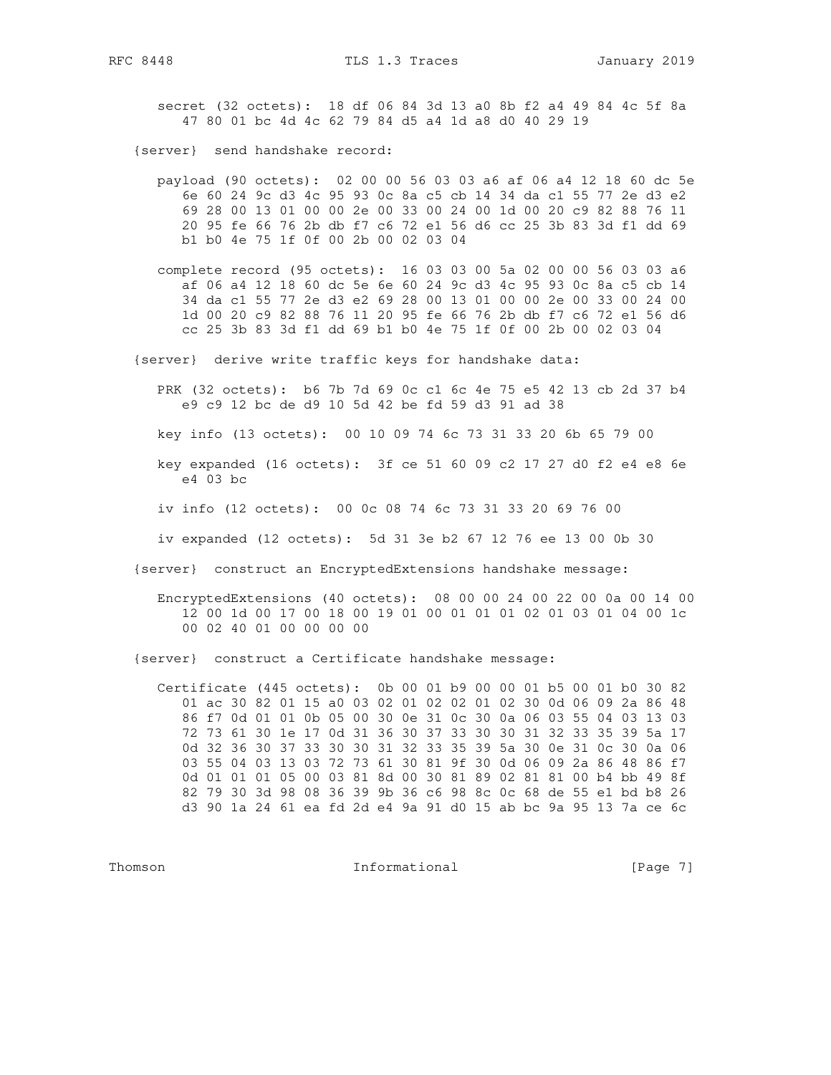secret (32 octets): 18 df 06 84 3d 13 a0 8b f2 a4 49 84 4c 5f 8a 47 80 01 bc 4d 4c 62 79 84 d5 a4 1d a8 d0 40 29 19

{server} send handshake record:

 payload (90 octets): 02 00 00 56 03 03 a6 af 06 a4 12 18 60 dc 5e 6e 60 24 9c d3 4c 95 93 0c 8a c5 cb 14 34 da c1 55 77 2e d3 e2 69 28 00 13 01 00 00 2e 00 33 00 24 00 1d 00 20 c9 82 88 76 11 20 95 fe 66 76 2b db f7 c6 72 e1 56 d6 cc 25 3b 83 3d f1 dd 69 b1 b0 4e 75 1f 0f 00 2b 00 02 03 04

 complete record (95 octets): 16 03 03 00 5a 02 00 00 56 03 03 a6 af 06 a4 12 18 60 dc 5e 6e 60 24 9c d3 4c 95 93 0c 8a c5 cb 14 34 da c1 55 77 2e d3 e2 69 28 00 13 01 00 00 2e 00 33 00 24 00 1d 00 20 c9 82 88 76 11 20 95 fe 66 76 2b db f7 c6 72 e1 56 d6 cc 25 3b 83 3d f1 dd 69 b1 b0 4e 75 1f 0f 00 2b 00 02 03 04

{server} derive write traffic keys for handshake data:

 PRK (32 octets): b6 7b 7d 69 0c c1 6c 4e 75 e5 42 13 cb 2d 37 b4 e9 c9 12 bc de d9 10 5d 42 be fd 59 d3 91 ad 38

key info (13 octets): 00 10 09 74 6c 73 31 33 20 6b 65 79 00

 key expanded (16 octets): 3f ce 51 60 09 c2 17 27 d0 f2 e4 e8 6e e4 03 bc

iv info (12 octets): 00 0c 08 74 6c 73 31 33 20 69 76 00

iv expanded (12 octets): 5d 31 3e b2 67 12 76 ee 13 00 0b 30

{server} construct an EncryptedExtensions handshake message:

 EncryptedExtensions (40 octets): 08 00 00 24 00 22 00 0a 00 14 00 12 00 1d 00 17 00 18 00 19 01 00 01 01 01 02 01 03 01 04 00 1c 00 02 40 01 00 00 00 00

{server} construct a Certificate handshake message:

 Certificate (445 octets): 0b 00 01 b9 00 00 01 b5 00 01 b0 30 82 01 ac 30 82 01 15 a0 03 02 01 02 02 01 02 30 0d 06 09 2a 86 48 86 f7 0d 01 01 0b 05 00 30 0e 31 0c 30 0a 06 03 55 04 03 13 03 72 73 61 30 1e 17 0d 31 36 30 37 33 30 30 31 32 33 35 39 5a 17 0d 32 36 30 37 33 30 30 31 32 33 35 39 5a 30 0e 31 0c 30 0a 06 03 55 04 03 13 03 72 73 61 30 81 9f 30 0d 06 09 2a 86 48 86 f7 0d 01 01 01 05 00 03 81 8d 00 30 81 89 02 81 81 00 b4 bb 49 8f 82 79 30 3d 98 08 36 39 9b 36 c6 98 8c 0c 68 de 55 e1 bd b8 26 d3 90 1a 24 61 ea fd 2d e4 9a 91 d0 15 ab bc 9a 95 13 7a ce 6c

Thomson **Informational Informational** [Page 7]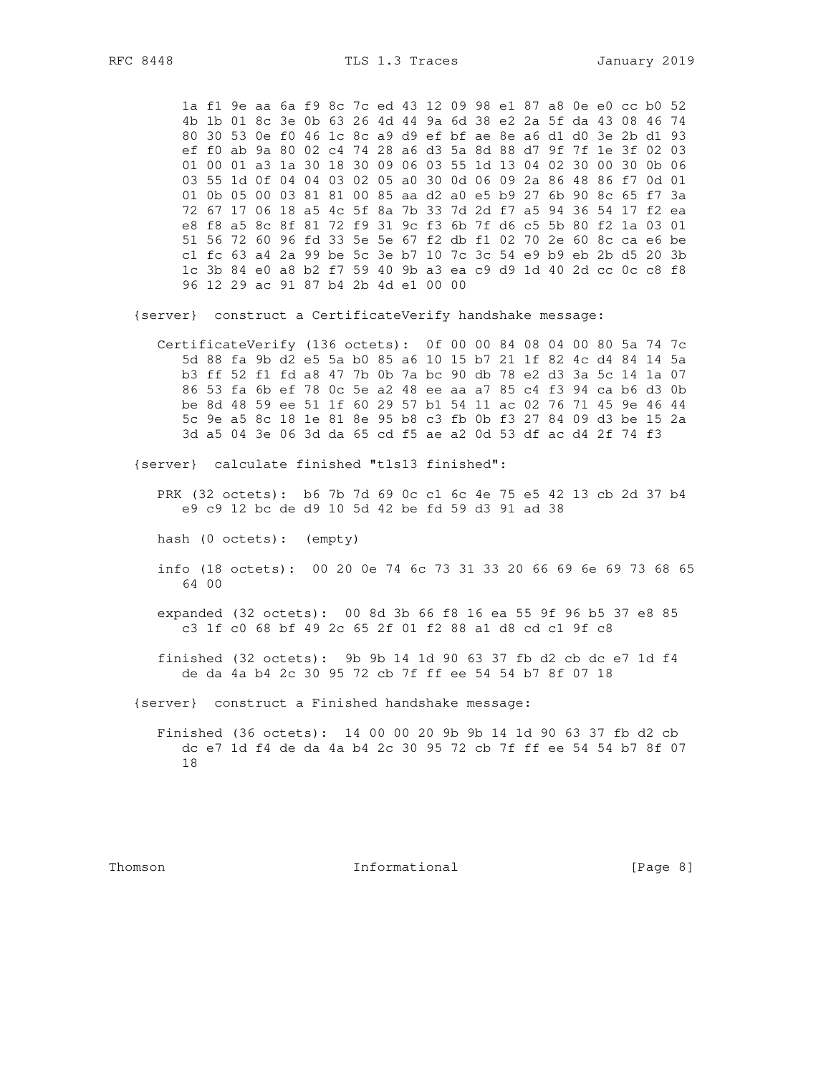1a f1 9e aa 6a f9 8c 7c ed 43 12 09 98 e1 87 a8 0e e0 cc b0 52 4b 1b 01 8c 3e 0b 63 26 4d 44 9a 6d 38 e2 2a 5f da 43 08 46 74 80 30 53 0e f0 46 1c 8c a9 d9 ef bf ae 8e a6 d1 d0 3e 2b d1 93 ef f0 ab 9a 80 02 c4 74 28 a6 d3 5a 8d 88 d7 9f 7f 1e 3f 02 03 01 00 01 a3 1a 30 18 30 09 06 03 55 1d 13 04 02 30 00 30 0b 06 03 55 1d 0f 04 04 03 02 05 a0 30 0d 06 09 2a 86 48 86 f7 0d 01 01 0b 05 00 03 81 81 00 85 aa d2 a0 e5 b9 27 6b 90 8c 65 f7 3a 72 67 17 06 18 a5 4c 5f 8a 7b 33 7d 2d f7 a5 94 36 54 17 f2 ea e8 f8 a5 8c 8f 81 72 f9 31 9c f3 6b 7f d6 c5 5b 80 f2 1a 03 01 51 56 72 60 96 fd 33 5e 5e 67 f2 db f1 02 70 2e 60 8c ca e6 be c1 fc 63 a4 2a 99 be 5c 3e b7 10 7c 3c 54 e9 b9 eb 2b d5 20 3b 1c 3b 84 e0 a8 b2 f7 59 40 9b a3 ea c9 d9 1d 40 2d cc 0c c8 f8 96 12 29 ac 91 87 b4 2b 4d e1 00 00

{server} construct a CertificateVerify handshake message:

CertificateVerify (136 octets): 0f 00 00 84 08 04 00 80 5a 74 7c 5d 88 fa 9b d2 e5 5a b0 85 a6 10 15 b7 21 1f 82 4c d4 84 14 5a b3 ff 52 f1 fd a8 47 7b 0b 7a bc 90 db 78 e2 d3 3a 5c 14 1a 07 86 53 fa 6b ef 78 0c 5e a2 48 ee aa a7 85 c4 f3 94 ca b6 d3 0b be 8d 48 59 ee 51 1f 60 29 57 b1 54 11 ac 02 76 71 45 9e 46 44 5c 9e a5 8c 18 1e 81 8e 95 b8 c3 fb 0b f3 27 84 09 d3 be 15 2a 3d a5 04 3e 06 3d da 65 cd f5 ae a2 0d 53 df ac d4 2f 74 f3

{server} calculate finished "tls13 finished":

PRK (32 octets): b6 7b 7d 69 0c c1 6c 4e 75 e5 42 13 cb 2d 37 b4 e9 c9 12 bc de d9 10 5d 42 be fd 59 d3 91 ad 38

hash (0 octets): (empty)

info (18 octets): 00 20 0e 74 6c 73 31 33 20 66 69 6e 69 73 68 65 64 00

expanded (32 octets): 00 8d 3b 66 f8 16 ea 55 9f 96 b5 37 e8 85 c3 1f c0 68 bf 49 2c 65 2f 01 f2 88 a1 d8 cd c1 9f c8

finished (32 octets): 9b 9b 14 1d 90 63 37 fb d2 cb dc e7 1d f4 de da 4a b4 2c 30 95 72 cb 7f ff ee 54 54 b7 8f 07 18

{server} construct a Finished handshake message:

Finished (36 octets): 14 00 00 20 9b 9b 14 1d 90 63 37 fb d2 cb dc e7 1d f4 de da 4a b4 2c 30 95 72 cb 7f ff ee 54 54 b7 8f 07 18

Thomson

Informational

[Page 8]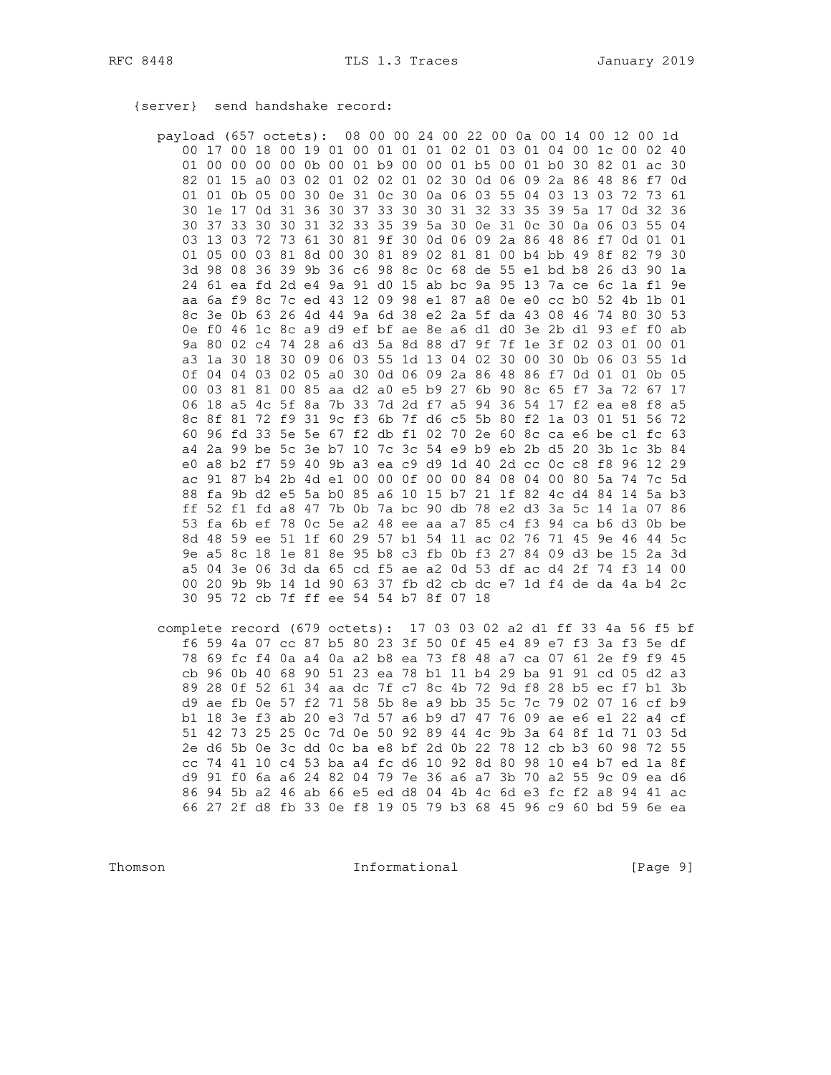{server} send handshake record:

payload (657 octets): 08 00 00 24 00 22 00 0a 00 14 00 12 00 1d 00 17 00 18 00 19 01 00 01 01 01 02 01 03 01 04 00 1c 00 02 40 01 00 00 00 00 0b 00 01 b9 00 00 01 b5 00 01 b0 30 82 01 ac 30 82 01 15 a0 03 02 01 02 02 01 02 30 0d 06 09 2a 86 48 86 f7 0d 01 01 0b 05 00 30 0e 31 0c 30 0a 06 03 55 04 03 13 03 72 73 61 30 1e 17 0d 31 36 30 37 33 30 30 31 32 33 35 39 5a 17 0d 32 36 30 37 33 30 30 31 32 33 35 39 5a 30 0e 31 0c 30 0a 06 03 55 04 03 13 03 72 73 61 30 81 9f 30 0d 06 09 2a 86 48 86 f7 0d 01 01 01 05 00 03 81 8d 00 30 81 89 02 81 81 00 b4 bb 49 8f 82 79 30 3d 98 08 36 39 9b 36 c6 98 8c 0c 68 de 55 e1 bd b8 26 d3 90 1a 24 61 ea fd 2d e4 9a 91 d0 15 ab bc 9a 95 13 7a ce 6c 1a f1 9e aa 6a f9 8c 7c ed 43 12 09 98 e1 87 a8 0e e0 cc b0 52 4b 1b 01 8c 3e 0b 63 26 4d 44 9a 6d 38 e2 2a 5f da 43 08 46 74 80 30 53 0e f0 46 1c 8c a9 d9 ef bf ae 8e a6 d1 d0 3e 2b d1 93 ef f0 ab 9a 80 02 c4 74 28 a6 d3 5a 8d 88 d7 9f 7f 1e 3f 02 03 01 00 01 a3 1a 30 18 30 09 06 03 55 1d 13 04 02 30 00 30 0b 06 03 55 1d 0f 04 04 03 02 05 a0 30 0d 06 09 2a 86 48 86 f7 0d 01 01 0b 05 00 03 81 81 00 85 aa d2 a0 e5 b9 27 6b 90 8c 65 f7 3a 72 67 17 06 18 a5 4c 5f 8a 7b 33 7d 2d f7 a5 94 36 54 17 f2 ea e8 f8 a5 8c 8f 81 72 f9 31 9c f3 6b 7f d6 c5 5b 80 f2 1a 03 01 51 56 72 60 96 fd 33 5e 5e 67 f2 db f1 02 70 2e 60 8c ca e6 be c1 fc 63 a4 2a 99 be 5c 3e b7 10 7c 3c 54 e9 b9 eb 2b d5 20 3b 1c 3b 84 e0 a8 b2 f7 59 40 9b a3 ea c9 d9 1d 40 2d cc 0c c8 f8 96 12 29 ac 91 87 b4 2b 4d e1 00 00 0f 00 00 84 08 04 00 80 5a 74 7c 5d 88 fa 9b d2 e5 5a b0 85 a6 10 15 b7 21 1f 82 4c d4 84 14 5a b3 ff 52 f1 fd a8 47 7b 0b 7a bc 90 db 78 e2 d3 3a 5c 14 1a 07 86 53 fa 6b ef 78 Oc 5e a2 48 ee aa a7 85 c4 f3 94 ca b6 d3 Ob be 8d 48 59 ee 51 1f 60 29 57 b1 54 11 ac 02 76 71 45 9e 46 44 5c 9e a5 8c 18 1e 81 8e 95 b8 c3 fb 0b f3 27 84 09 d3 be 15 2a 3d a5 04 3e 06 3d da 65 cd f5 ae a2 0d 53 df ac d4 2f 74 f3 14 00 00 20 9b 9b 14 1d 90 63 37 fb d2 cb dc e7 1d f4 de da 4a b4 2c 30 95 72 cb 7f ff ee 54 54 b7 8f 07 18

complete record (679 octets): 17 03 03 02 a2 d1 ff 33 4a 56 f5 bf f6 59 4a 07 cc 87 b5 80 23 3f 50 0f 45 e4 89 e7 f3 3a f3 5e df 78 69 fc f4 0a a4 0a a2 b8 ea 73 f8 48 a7 ca 07 61 2e f9 f9 45 cb 96 0b 40 68 90 51 23 ea 78 b1 11 b4 29 ba 91 91 cd 05 d2 a3 89 28 0f 52 61 34 aa dc 7f c7 8c 4b 72 9d f8 28 b5 ec f7 b1 3b d9 ae fb 0e 57 f2 71 58 5b 8e a9 bb 35 5c 7c 79 02 07 16 cf b9 bl 18 3e f3 ab 20 e3 7d 57 a6 b9 d7 47 76 09 ae e6 e1 22 a4 cf 51 42 73 25 25 0c 7d 0e 50 92 89 44 4c 9b 3a 64 8f 1d 71 03 5d 2e d6 5b 0e 3c dd 0c ba e8 bf 2d 0b 22 78 12 cb b3 60 98 72 55 cc 74 41 10 c4 53 ba a4 fc d6 10 92 8d 80 98 10 e4 b7 ed 1a 8f d9 91 f0 6a a6 24 82 04 79 7e 36 a6 a7 3b 70 a2 55 9c 09 ea d6 86 94 5b a2 46 ab 66 e5 ed d8 04 4b 4c 6d e3 fc f2 a8 94 41 ac 66 27 2f d8 fb 33 0e f8 19 05 79 b3 68 45 96 c9 60 bd 59 6e ea

Thomson

Informational

[Page 9]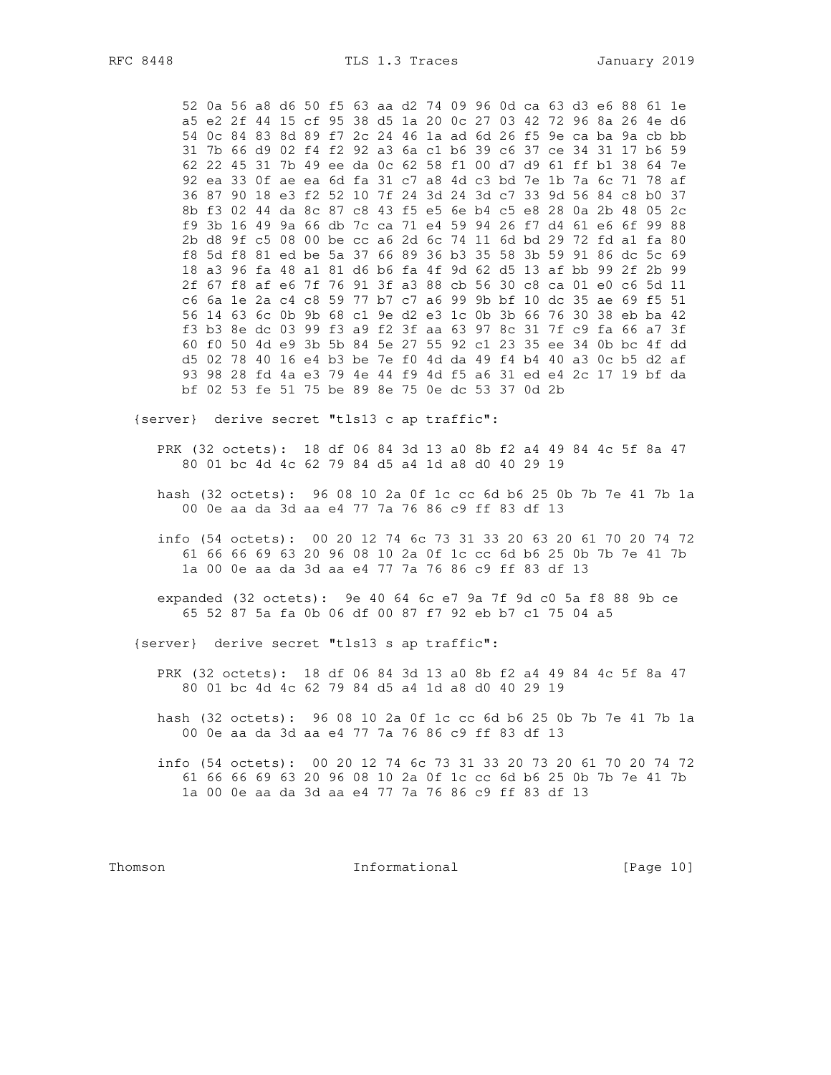52 0a 56 a8 d6 50 f5 63 aa d2 74 09 96 0d ca 63 d3 e6 88 61 1e a5 e2 2f 44 15 cf 95 38 d5 1a 20 0c 27 03 42 72 96 8a 26 4e d6 54 Oc 84 83 8d 89 f7 2c 24 46 1a ad 6d 26 f5 9e ca ba 9a cb bb 31 7b 66 d9 02 f4 f2 92 a3 6a c1 b6 39 c6 37 ce 34 31 17 b6 59 62 22 45 31 7b 49 ee da 0c 62 58 f1 00 d7 d9 61 ff b1 38 64 7e 92 ea 33 0f ae ea 6d fa 31 c7 a8 4d c3 bd 7e 1b 7a 6c 71 78 af 36 87 90 18 e3 f2 52 10 7f 24 3d 24 3d c7 33 9d 56 84 c8 b0 37 8b f3 02 44 da 8c 87 c8 43 f5 e5 6e b4 c5 e8 28 0a 2b 48 05 2c f9 3b 16 49 9a 66 db 7c ca 71 e4 59 94 26 f7 d4 61 e6 6f 99 88 2b d8 9f c5 08 00 be cc a6 2d 6c 74 11 6d bd 29 72 fd a1 fa 80 f8 5d f8 81 ed be 5a 37 66 89 36 b3 35 58 3b 59 91 86 dc 5c 69 18 a3 96 fa 48 a1 81 d6 b6 fa 4f 9d 62 d5 13 af bb 99 2f 2b 99 2f 67 f8 af e6 7f 76 91 3f a3 88 cb 56 30 c8 ca 01 e0 c6 5d 11 c6 6a 1e 2a c4 c8 59 77 b7 c7 a6 99 9b bf 10 dc 35 ae 69 f5 51 56 14 63 6c 0b 9b 68 c1 9e d2 e3 1c 0b 3b 66 76 30 38 eb ba 42 f3 b3 8e dc 03 99 f3 a9 f2 3f aa 63 97 8c 31 7f c9 fa 66 a7 3f 60 f0 50 4d e9 3b 5b 84 5e 27 55 92 c1 23 35 ee 34 0b bc 4f dd d5 02 78 40 16 e4 b3 be 7e f0 4d da 49 f4 b4 40 a3 0c b5 d2 af 93 98 28 fd 4a e3 79 4e 44 f9 4d f5 a6 31 ed e4 2c 17 19 bf da bf 02 53 fe 51 75 be 89 8e 75 0e dc 53 37 0d 2b

{server} derive secret "tls13 c ap traffic":

- PRK (32 octets): 18 df 06 84 3d 13 a0 8b f2 a4 49 84 4c 5f 8a 47 80 01 bc 4d 4c 62 79 84 d5 a4 1d a8 d0 40 29 19
- hash (32 octets): 96 08 10 2a 0f 1c cc 6d b6 25 0b 7b 7e 41 7b 1a 00 0e aa da 3d aa e4 77 7a 76 86 c9 ff 83 df 13
- info (54 octets): 00 20 12 74 6c 73 31 33 20 63 20 61 70 20 74 72 61 66 66 69 63 20 96 08 10 2a 0f 1c cc 6d b6 25 0b 7b 7e 41 7b 1a 00 0e aa da 3d aa e4 77 7a 76 86 c9 ff 83 df 13
- expanded (32 octets): 9e 40 64 6c e7 9a 7f 9d c0 5a f8 88 9b ce 65 52 87 5a fa 0b 06 df 00 87 f7 92 eb b7 c1 75 04 a5

{server} derive secret "tls13 s ap traffic":

- PRK (32 octets): 18 df 06 84 3d 13 a0 8b f2 a4 49 84 4c 5f 8a 47 80 01 bc 4d 4c 62 79 84 d5 a4 1d a8 d0 40 29 19
- hash (32 octets): 96 08 10 2a 0f 1c cc 6d b6 25 0b 7b 7e 41 7b 1a 00 0e aa da 3d aa e4 77 7a 76 86 c9 ff 83 df 13
- info (54 octets): 00 20 12 74 6c 73 31 33 20 73 20 61 70 20 74 72 61 66 66 69 63 20 96 08 10 2a 0f 1c cc 6d b6 25 0b 7b 7e 41 7b 1a 00 0e aa da 3d aa e4 77 7a 76 86 c9 ff 83 df 13

Thomson

Informational

[Page 10]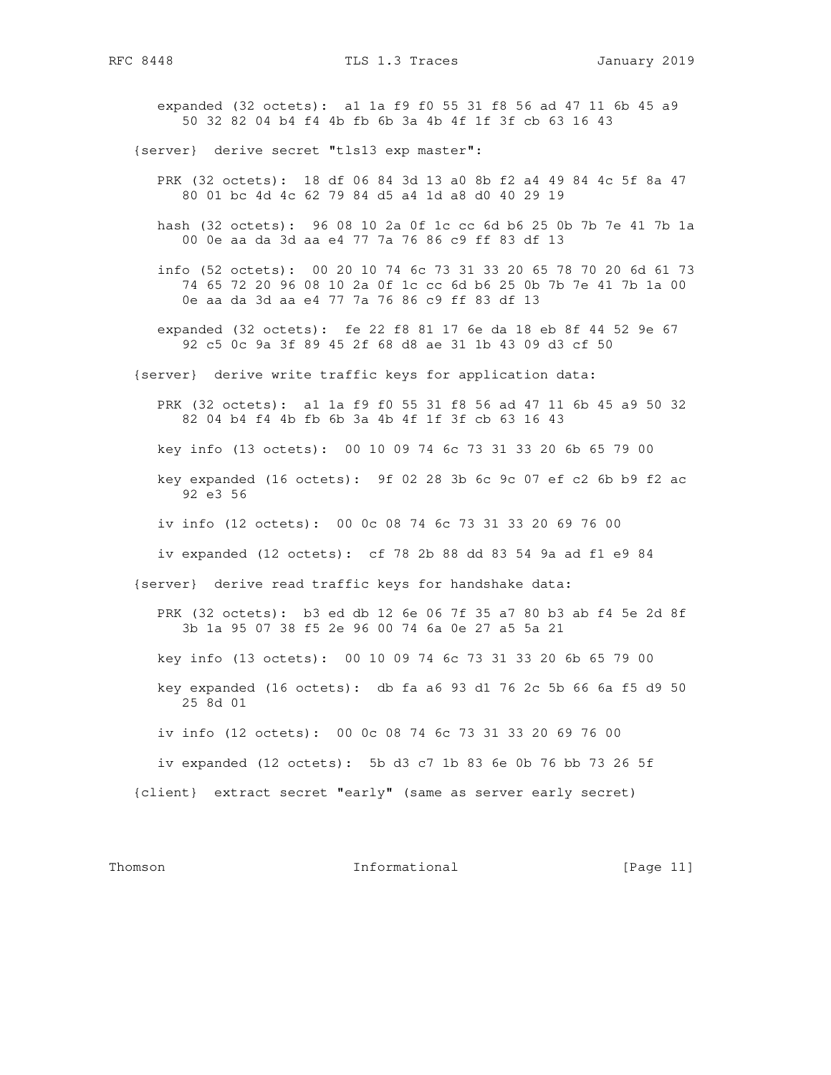expanded (32 octets): a1 1a f9 f0 55 31 f8 56 ad 47 11 6b 45 a9 50 32 82 04 b4 f4 4b fb 6b 3a 4b 4f 1f 3f cb 63 16 43

{server} derive secret "tls13 exp master":

- PRK (32 octets): 18 df 06 84 3d 13 a0 8b f2 a4 49 84 4c 5f 8a 47 80 01 bc 4d 4c 62 79 84 d5 a4 1d a8 d0 40 29 19
- hash (32 octets): 96 08 10 2a 0f 1c cc 6d b6 25 0b 7b 7e 41 7b 1a 00 0e aa da 3d aa e4 77 7a 76 86 c9 ff 83 df 13
- info (52 octets): 00 20 10 74 6c 73 31 33 20 65 78 70 20 6d 61 73 74 65 72 20 96 08 10 2a 0f 1c cc 6d b6 25 0b 7b 7e 41 7b 1a 00 0e aa da 3d aa e4 77 7a 76 86 c9 ff 83 df 13
- expanded (32 octets): fe 22 f8 81 17 6e da 18 eb 8f 44 52 9e 67 92 c5 0c 9a 3f 89 45 2f 68 d8 ae 31 1b 43 09 d3 cf 50
- {server} derive write traffic keys for application data:

 PRK (32 octets): a1 1a f9 f0 55 31 f8 56 ad 47 11 6b 45 a9 50 32 82 04 b4 f4 4b fb 6b 3a 4b 4f 1f 3f cb 63 16 43

key info (13 octets): 00 10 09 74 6c 73 31 33 20 6b 65 79 00

- key expanded (16 octets): 9f 02 28 3b 6c 9c 07 ef c2 6b b9 f2 ac 92 e3 56
- iv info (12 octets): 00 0c 08 74 6c 73 31 33 20 69 76 00
- iv expanded (12 octets): cf 78 2b 88 dd 83 54 9a ad f1 e9 84

{server} derive read traffic keys for handshake data:

 PRK (32 octets): b3 ed db 12 6e 06 7f 35 a7 80 b3 ab f4 5e 2d 8f 3b 1a 95 07 38 f5 2e 96 00 74 6a 0e 27 a5 5a 21

key info (13 octets): 00 10 09 74 6c 73 31 33 20 6b 65 79 00

 key expanded (16 octets): db fa a6 93 d1 76 2c 5b 66 6a f5 d9 50 25 8d 01

iv info (12 octets): 00 0c 08 74 6c 73 31 33 20 69 76 00

iv expanded (12 octets): 5b d3 c7 1b 83 6e 0b 76 bb 73 26 5f

{client} extract secret "early" (same as server early secret)

Thomson **Informational Informational** [Page 11]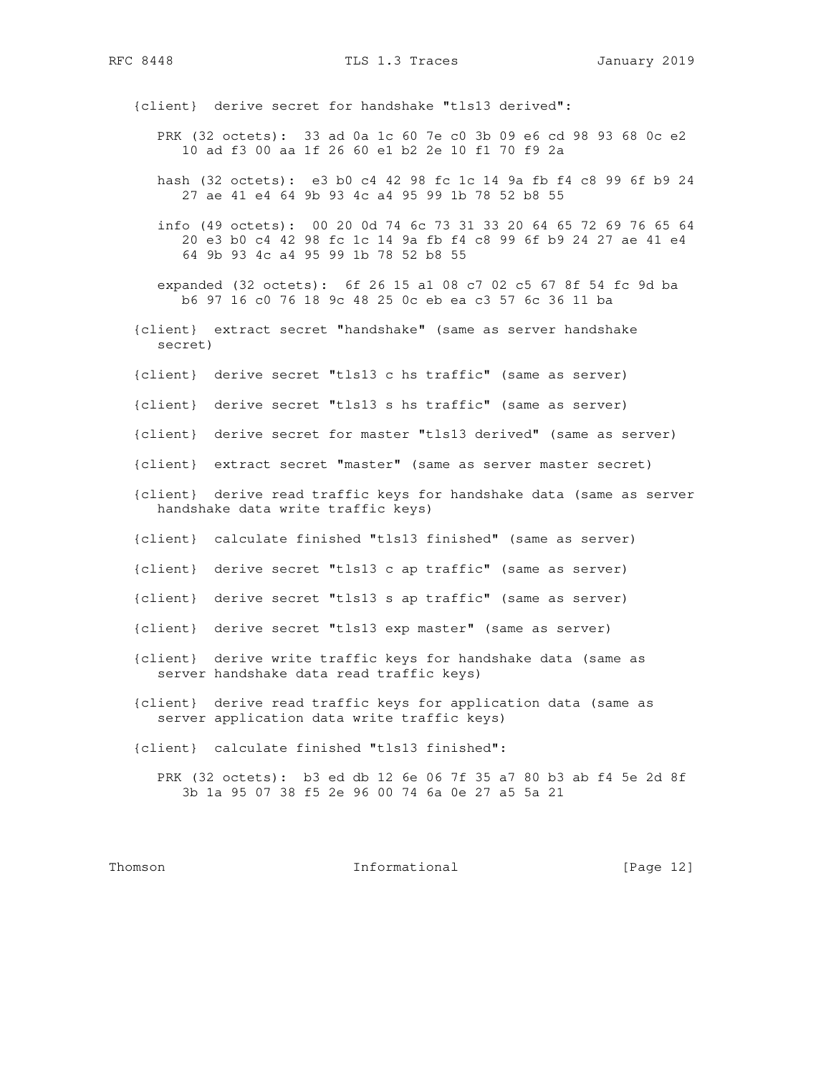RFC 8448 TLS 1.3 Traces January 2019

{client} derive secret for handshake "tls13 derived":

- PRK (32 octets): 33 ad 0a 1c 60 7e c0 3b 09 e6 cd 98 93 68 0c e2 10 ad f3 00 aa 1f 26 60 e1 b2 2e 10 f1 70 f9 2a
- hash (32 octets): e3 b0 c4 42 98 fc 1c 14 9a fb f4 c8 99 6f b9 24 27 ae 41 e4 64 9b 93 4c a4 95 99 1b 78 52 b8 55
- info (49 octets): 00 20 0d 74 6c 73 31 33 20 64 65 72 69 76 65 64 20 e3 b0 c4 42 98 fc 1c 14 9a fb f4 c8 99 6f b9 24 27 ae 41 e4 64 9b 93 4c a4 95 99 1b 78 52 b8 55
- expanded (32 octets): 6f 26 15 a1 08 c7 02 c5 67 8f 54 fc 9d ba b6 97 16 c0 76 18 9c 48 25 0c eb ea c3 57 6c 36 11 ba
- {client} extract secret "handshake" (same as server handshake secret)
- {client} derive secret "tls13 c hs traffic" (same as server)
- {client} derive secret "tls13 s hs traffic" (same as server)
- {client} derive secret for master "tls13 derived" (same as server)
- {client} extract secret "master" (same as server master secret)
- {client} derive read traffic keys for handshake data (same as server handshake data write traffic keys)
- {client} calculate finished "tls13 finished" (same as server)
- {client} derive secret "tls13 c ap traffic" (same as server)
- {client} derive secret "tls13 s ap traffic" (same as server)
- {client} derive secret "tls13 exp master" (same as server)
- {client} derive write traffic keys for handshake data (same as server handshake data read traffic keys)
- {client} derive read traffic keys for application data (same as server application data write traffic keys)
- {client} calculate finished "tls13 finished":

 PRK (32 octets): b3 ed db 12 6e 06 7f 35 a7 80 b3 ab f4 5e 2d 8f 3b 1a 95 07 38 f5 2e 96 00 74 6a 0e 27 a5 5a 21

Thomson **Informational Informational** [Page 12]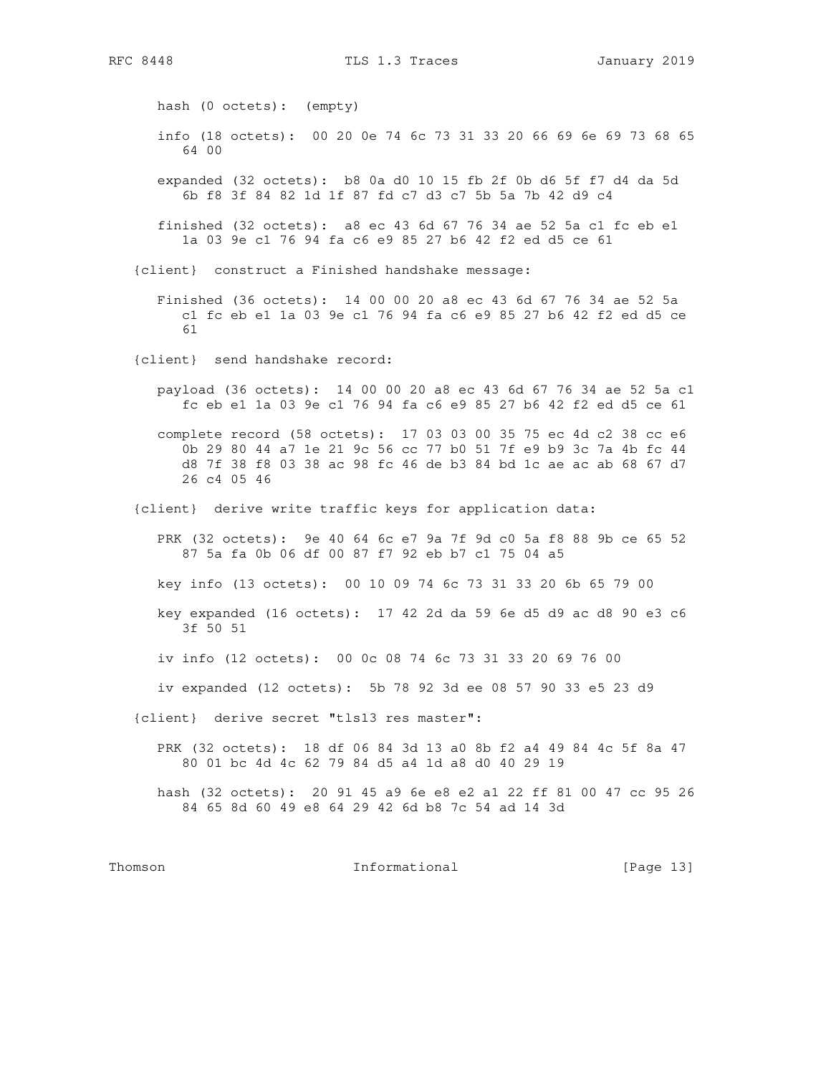hash (0 octets): (empty) info (18 octets): 00 20 0e 74 6c 73 31 33 20 66 69 6e 69 73 68 65 64 00 expanded (32 octets): b8 0a d0 10 15 fb 2f 0b d6 5f f7 d4 da 5d 6b f8 3f 84 82 1d 1f 87 fd c7 d3 c7 5b 5a 7b 42 d9 c4 finished (32 octets): a8 ec 43 6d 67 76 34 ae 52 5a c1 fc eb e1 1a 03 9e c1 76 94 fa c6 e9 85 27 b6 42 f2 ed d5 ce 61 {client} construct a Finished handshake message: Finished (36 octets): 14 00 00 20 a8 ec 43 6d 67 76 34 ae 52 5a c1 fc eb e1 1a 03 9e c1 76 94 fa c6 e9 85 27 b6 42 f2 ed d5 ce 61 {client} send handshake record: payload (36 octets): 14 00 00 20 a8 ec 43 6d 67 76 34 ae 52 5a c1 fc eb e1 1a 03 9e c1 76 94 fa c6 e9 85 27 b6 42 f2 ed d5 ce 61 complete record (58 octets): 17 03 03 00 35 75 ec 4d c2 38 cc e6 0b 29 80 44 a7 1e 21 9c 56 cc 77 b0 51 7f e9 b9 3c 7a 4b fc 44 d8 7f 38 f8 03 38 ac 98 fc 46 de b3 84 bd 1c ae ac ab 68 67 d7 26 c4 05 46 {client} derive write traffic keys for application data: PRK (32 octets): 9e 40 64 6c e7 9a 7f 9d c0 5a f8 88 9b ce 65 52 87 5a fa 0b 06 df 00 87 f7 92 eb b7 c1 75 04 a5 key info (13 octets): 00 10 09 74 6c 73 31 33 20 6b 65 79 00 key expanded (16 octets): 17 42 2d da 59 6e d5 d9 ac d8 90 e3 c6 3f 50 51 iv info (12 octets): 00 0c 08 74 6c 73 31 33 20 69 76 00 iv expanded (12 octets): 5b 78 92 3d ee 08 57 90 33 e5 23 d9 {client} derive secret "tls13 res master": PRK (32 octets): 18 df 06 84 3d 13 a0 8b f2 a4 49 84 4c 5f 8a 47 80 01 bc 4d 4c 62 79 84 d5 a4 1d a8 d0 40 29 19 hash (32 octets): 20 91 45 a9 6e e8 e2 a1 22 ff 81 00 47 cc 95 26 84 65 8d 60 49 e8 64 29 42 6d b8 7c 54 ad 14 3d

Thomson **Informational Informational** [Page 13]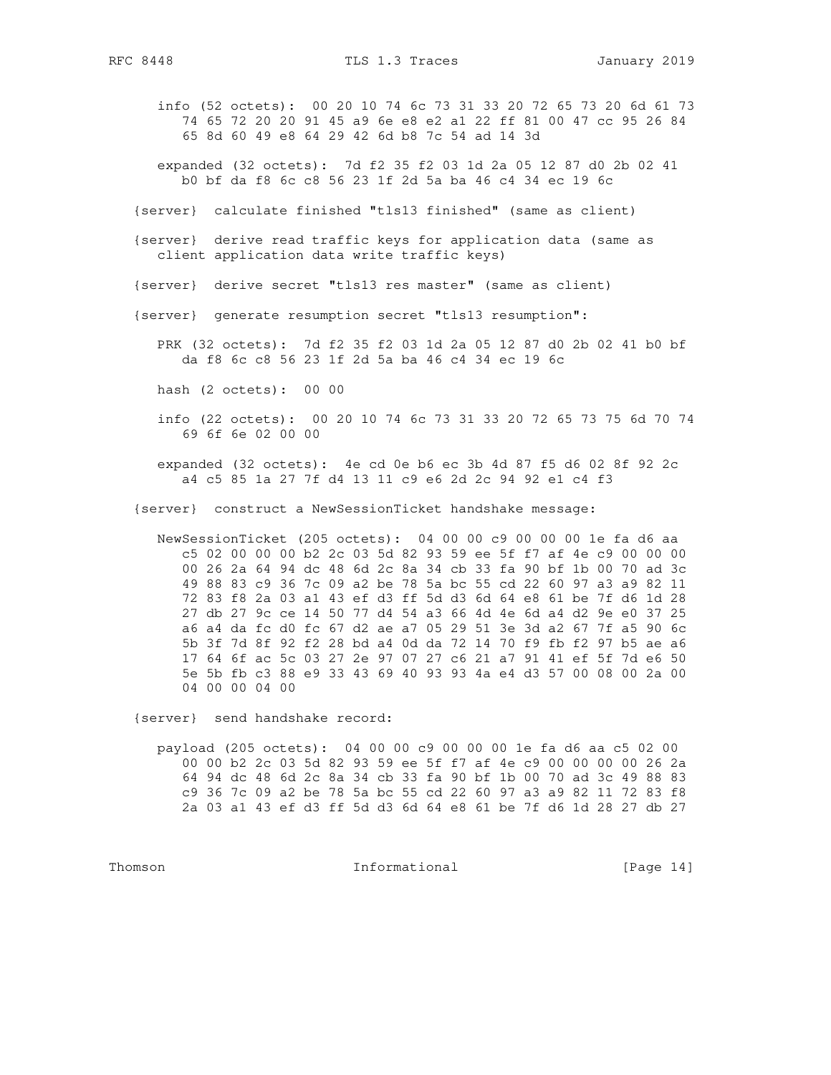info (52 octets): 00 20 10 74 6c 73 31 33 20 72 65 73 20 6d 61 73 74 65 72 20 20 91 45 a9 6e e8 e2 a1 22 ff 81 00 47 cc 95 26 84 65 8d 60 49 e8 64 29 42 6d b8 7c 54 ad 14 3d

 expanded (32 octets): 7d f2 35 f2 03 1d 2a 05 12 87 d0 2b 02 41 b0 bf da f8 6c c8 56 23 1f 2d 5a ba 46 c4 34 ec 19 6c

- {server} calculate finished "tls13 finished" (same as client)
- {server} derive read traffic keys for application data (same as client application data write traffic keys)
- {server} derive secret "tls13 res master" (same as client)
- {server} generate resumption secret "tls13 resumption":

 PRK (32 octets): 7d f2 35 f2 03 1d 2a 05 12 87 d0 2b 02 41 b0 bf da f8 6c c8 56 23 1f 2d 5a ba 46 c4 34 ec 19 6c

hash (2 octets): 00 00

 info (22 octets): 00 20 10 74 6c 73 31 33 20 72 65 73 75 6d 70 74 69 6f 6e 02 00 00

 expanded (32 octets): 4e cd 0e b6 ec 3b 4d 87 f5 d6 02 8f 92 2c a4 c5 85 1a 27 7f d4 13 11 c9 e6 2d 2c 94 92 e1 c4 f3

{server} construct a NewSessionTicket handshake message:

 NewSessionTicket (205 octets): 04 00 00 c9 00 00 00 1e fa d6 aa c5 02 00 00 00 b2 2c 03 5d 82 93 59 ee 5f f7 af 4e c9 00 00 00 00 26 2a 64 94 dc 48 6d 2c 8a 34 cb 33 fa 90 bf 1b 00 70 ad 3c 49 88 83 c9 36 7c 09 a2 be 78 5a bc 55 cd 22 60 97 a3 a9 82 11 72 83 f8 2a 03 a1 43 ef d3 ff 5d d3 6d 64 e8 61 be 7f d6 1d 28 27 db 27 9c ce 14 50 77 d4 54 a3 66 4d 4e 6d a4 d2 9e e0 37 25 a6 a4 da fc d0 fc 67 d2 ae a7 05 29 51 3e 3d a2 67 7f a5 90 6c 5b 3f 7d 8f 92 f2 28 bd a4 0d da 72 14 70 f9 fb f2 97 b5 ae a6 17 64 6f ac 5c 03 27 2e 97 07 27 c6 21 a7 91 41 ef 5f 7d e6 50 5e 5b fb c3 88 e9 33 43 69 40 93 93 4a e4 d3 57 00 08 00 2a 00 04 00 00 04 00

{server} send handshake record:

 payload (205 octets): 04 00 00 c9 00 00 00 1e fa d6 aa c5 02 00 00 00 b2 2c 03 5d 82 93 59 ee 5f f7 af 4e c9 00 00 00 00 26 2a 64 94 dc 48 6d 2c 8a 34 cb 33 fa 90 bf 1b 00 70 ad 3c 49 88 83 c9 36 7c 09 a2 be 78 5a bc 55 cd 22 60 97 a3 a9 82 11 72 83 f8 2a 03 a1 43 ef d3 ff 5d d3 6d 64 e8 61 be 7f d6 1d 28 27 db 27

Thomson **Informational Informational** [Page 14]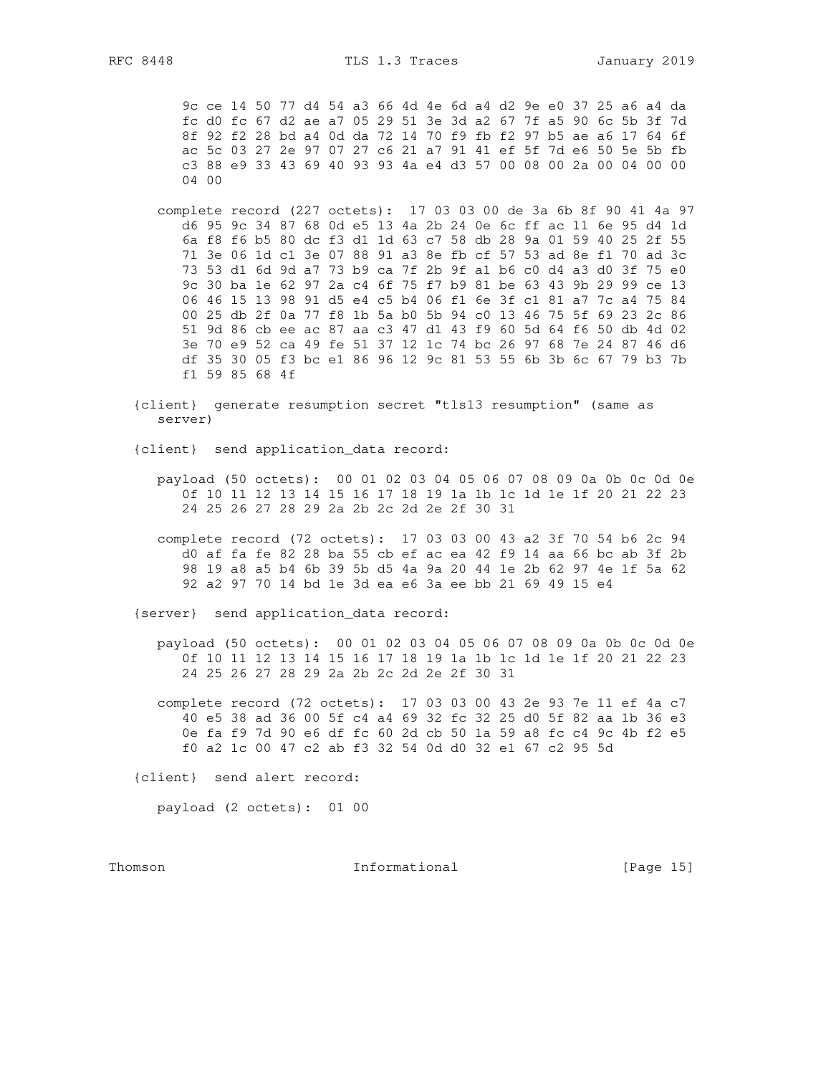9c ce 14 50 77 d4 54 a3 66 4d 4e 6d a4 d2 9e e0 37 25 a6 a4 da fc d0 fc 67 d2 ae a7 05 29 51 3e 3d a2 67 7f a5 90 6c 5b 3f 7d 8f 92 f2 28 bd a4 0d da 72 14 70 f9 fb f2 97 b5 ae a6 17 64 6f ac 5c 03 27 2e 97 07 27 c6 21 a7 91 41 ef 5f 7d e6 50 5e 5b fb c3 88 e9 33 43 69 40 93 93 4a e4 d3 57 00 08 00 2a 00 04 00 00  $0400$ 

- complete record (227 octets): 17 03 03 00 de 3a 6b 8f 90 41 4a 97 d6 95 9c 34 87 68 0d e5 13 4a 2b 24 0e 6c ff ac 11 6e 95 d4 1d 6a f8 f6 b5 80 dc f3 d1 1d 63 c7 58 db 28 9a 01 59 40 25 2f 55 71 3e 06 1d c1 3e 07 88 91 a3 8e fb cf 57 53 ad 8e f1 70 ad 3c 73 53 d1 6d 9d a7 73 b9 ca 7f 2b 9f a1 b6 c0 d4 a3 d0 3f 75 e0 9c 30 ba 1e 62 97 2a c4 6f 75 f7 b9 81 be 63 43 9b 29 99 ce 13 06 46 15 13 98 91 d5 e4 c5 b4 06 f1 6e 3f c1 81 a7 7c a4 75 84 00 25 db 2f 0a 77 f8 1b 5a b0 5b 94 c0 13 46 75 5f 69 23 2c 86 51 9d 86 cb ee ac 87 aa c3 47 d1 43 f9 60 5d 64 f6 50 db 4d 02 3e 70 e9 52 ca 49 fe 51 37 12 1c 74 bc 26 97 68 7e 24 87 46 d6 df 35 30 05 f3 bc e1 86 96 12 9c 81 53 55 6b 3b 6c 67 79 b3 7b f1 59 85 68 4f
- {client} generate resumption secret "tls13 resumption" (same as server)

{client} send application\_data record:

- payload (50 octets): 00 01 02 03 04 05 06 07 08 09 0a 0b 0c 0d 0e 0f 10 11 12 13 14 15 16 17 18 19 1a 1b 1c 1d 1e 1f 20 21 22 23 24 25 26 27 28 29 2a 2b 2c 2d 2e 2f 30 31
- complete record (72 octets): 17 03 03 00 43 a2 3f 70 54 b6 2c 94 d0 af fa fe 82 28 ba 55 cb ef ac ea 42 f9 14 aa 66 bc ab 3f 2b 98 19 a8 a5 b4 6b 39 5b d5 4a 9a 20 44 1e 2b 62 97 4e 1f 5a 62 92 a2 97 70 14 bd 1e 3d ea e6 3a ee bb 21 69 49 15 e4

{server} send application\_data record:

payload (50 octets): 00 01 02 03 04 05 06 07 08 09 0a 0b 0c 0d 0e 0f 10 11 12 13 14 15 16 17 18 19 1a 1b 1c 1d 1e 1f 20 21 22 23 24 25 26 27 28 29 2a 2b 2c 2d 2e 2f 30 31

complete record (72 octets): 17 03 03 00 43 2e 93 7e 11 ef 4a c7 40 e5 38 ad 36 00 5f c4 a4 69 32 fc 32 25 d0 5f 82 aa 1b 36 e3 0e fa f9 7d 90 e6 df fc 60 2d cb 50 1a 59 a8 fc c4 9c 4b f2 e5 f0 a2 1c 00 47 c2 ab f3 32 54 0d d0 32 e1 67 c2 95 5d

{client} send alert record:

payload (2 octets): 01 00

Thomson

Informational

[Page 15]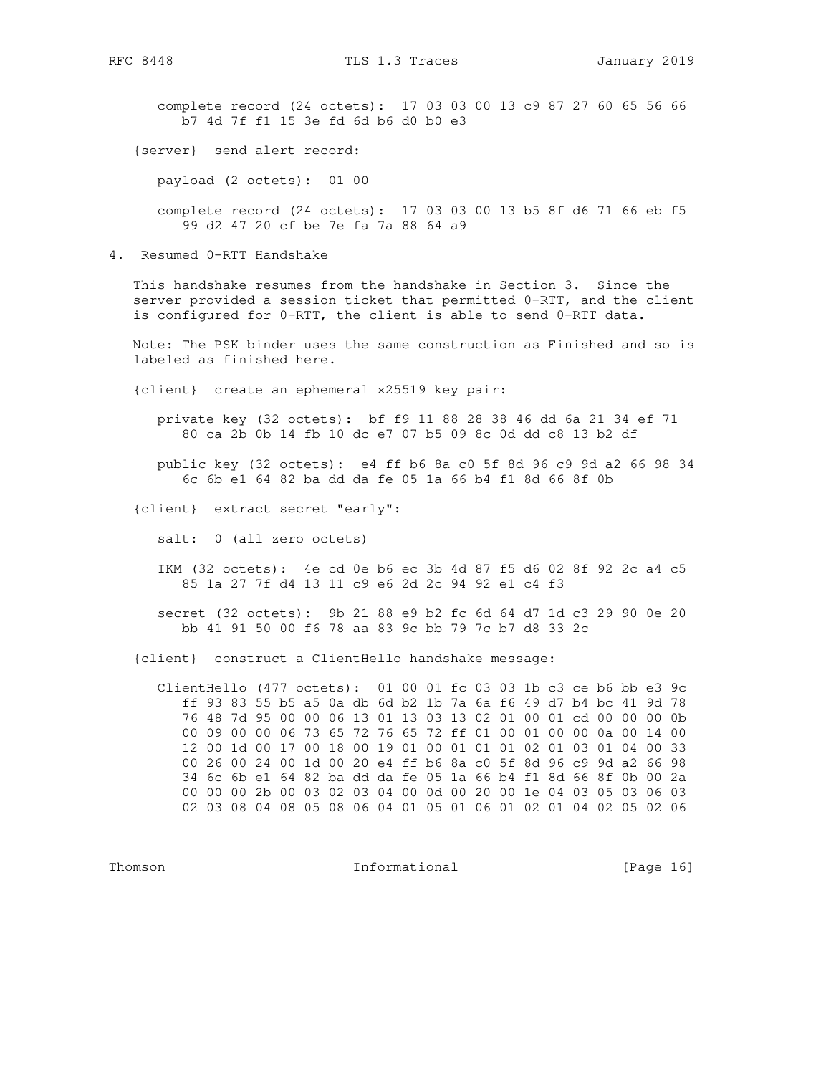complete record (24 octets): 17 03 03 00 13 c9 87 27 60 65 56 66 b7 4d 7f f1 15 3e fd 6d b6 d0 b0 e3

{server} send alert record:

payload (2 octets): 01 00

 complete record (24 octets): 17 03 03 00 13 b5 8f d6 71 66 eb f5 99 d2 47 20 cf be 7e fa 7a 88 64 a9

4. Resumed 0-RTT Handshake

 This handshake resumes from the handshake in Section 3. Since the server provided a session ticket that permitted 0-RTT, and the client is configured for 0-RTT, the client is able to send 0-RTT data.

 Note: The PSK binder uses the same construction as Finished and so is labeled as finished here.

{client} create an ephemeral x25519 key pair:

 private key (32 octets): bf f9 11 88 28 38 46 dd 6a 21 34 ef 71 80 ca 2b 0b 14 fb 10 dc e7 07 b5 09 8c 0d dd c8 13 b2 df

 public key (32 octets): e4 ff b6 8a c0 5f 8d 96 c9 9d a2 66 98 34 6c 6b e1 64 82 ba dd da fe 05 1a 66 b4 f1 8d 66 8f 0b

{client} extract secret "early":

salt: 0 (all zero octets)

 IKM (32 octets): 4e cd 0e b6 ec 3b 4d 87 f5 d6 02 8f 92 2c a4 c5 85 1a 27 7f d4 13 11 c9 e6 2d 2c 94 92 e1 c4 f3

 secret (32 octets): 9b 21 88 e9 b2 fc 6d 64 d7 1d c3 29 90 0e 20 bb 41 91 50 00 f6 78 aa 83 9c bb 79 7c b7 d8 33 2c

{client} construct a ClientHello handshake message:

 ClientHello (477 octets): 01 00 01 fc 03 03 1b c3 ce b6 bb e3 9c ff 93 83 55 b5 a5 0a db 6d b2 1b 7a 6a f6 49 d7 b4 bc 41 9d 78 76 48 7d 95 00 00 06 13 01 13 03 13 02 01 00 01 cd 00 00 00 0b 00 09 00 00 06 73 65 72 76 65 72 ff 01 00 01 00 00 0a 00 14 00 12 00 1d 00 17 00 18 00 19 01 00 01 01 01 02 01 03 01 04 00 33 00 26 00 24 00 1d 00 20 e4 ff b6 8a c0 5f 8d 96 c9 9d a2 66 98 34 6c 6b e1 64 82 ba dd da fe 05 1a 66 b4 f1 8d 66 8f 0b 00 2a 00 00 00 2b 00 03 02 03 04 00 0d 00 20 00 1e 04 03 05 03 06 03 02 03 08 04 08 05 08 06 04 01 05 01 06 01 02 01 04 02 05 02 06

Thomson **Informational Informational** [Page 16]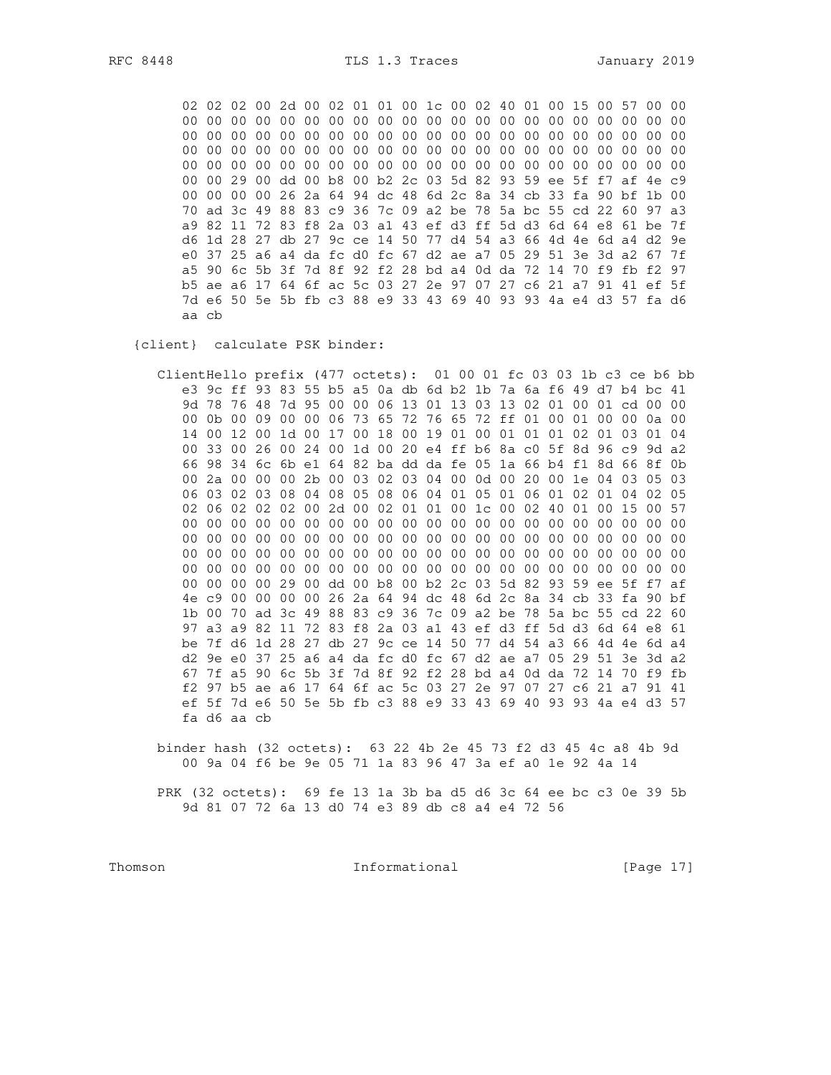02 02 02 00 2d 00 02 01 01 00 1c 00 02 40 01 00 15 00 57 00 00 00 00 29 00 dd 00 b8 00 b2 2c 03 5d 82 93 59 ee 5f f7 af 4e c9 00 00 00 00 26 2a 64 94 dc 48 6d 2c 8a 34 cb 33 fa 90 bf 1b 00 70 ad 3c 49 88 83 c9 36 7c 09 a2 be 78 5a bc 55 cd 22 60 97 a3 a9 82 11 72 83 f8 2a 03 a1 43 ef d3 ff 5d d3 6d 64 e8 61 be 7f d6 1d 28 27 db 27 9c ce 14 50 77 d4 54 a3 66 4d 4e 6d a4 d2 9e e0 37 25 a6 a4 da fc d0 fc 67 d2 ae a7 05 29 51 3e 3d a2 67 7f a5 90 6c 5b 3f 7d 8f 92 f2 28 bd a4 0d da 72 14 70 f9 fb f2 97 b5 ae a6 17 64 6f ac 5c 03 27 2e 97 07 27 c6 21 a7 91 41 ef 5f 7d e6 50 5e 5b fb c3 88 e9 33 43 69 40 93 93 4a e4 d3 57 fa d6 aa cb

{client} calculate PSK binder:

ClientHello prefix (477 octets): 01 00 01 fc 03 03 1b c3 ce b6 bb e3 9c ff 93 83 55 b5 a5 0a db 6d b2 1b 7a 6a f6 49 d7 b4 bc 41 9d 78 76 48 7d 95 00 00 06 13 01 13 03 13 02 01 00 01 cd 00 00 00 0b 00 09 00 00 06 73 65 72 76 65 72 ff 01 00 01 00 00 0a 00 14 00 12 00 1d 00 17 00 18 00 19 01 00 01 01 01 02 01 03 01 04 00 33 00 26 00 24 00 1d 00 20 e4 ff b6 8a c0 5f 8d 96 c9 9d a2 66 98 34 6c 6b e1 64 82 ba dd da fe 05 1a 66 b4 f1 8d 66 8f 0b 00 2a 00 00 00 2b 00 03 02 03 04 00 0d 00 20 00 1e 04 03 05 03 06 03 02 03 08 04 08 05 08 06 04 01 05 01 06 01 02 01 04 02 05 02 06 02 02 02 00 2d 00 02 01 01 00 1c 00 02 40 01 00 15 00 57 00 00 00 00 29 00 dd 00 b8 00 b2 2c 03 5d 82 93 59 ee 5f f7 af 4e c9 00 00 00 00 26 2a 64 94 dc 48 6d 2c 8a 34 cb 33 fa 90 bf 1b 00 70 ad 3c 49 88 83 c9 36 7c 09 a2 be 78 5a bc 55 cd 22 60 97 a3 a9 82 11 72 83 f8 2a 03 a1 43 ef d3 ff 5d d3 6d 64 e8 61 be 7f d6 1d 28 27 db 27 9c ce 14 50 77 d4 54 a3 66 4d 4e 6d a4 d2 9e e0 37 25 a6 a4 da fc d0 fc 67 d2 ae a7 05 29 51 3e 3d a2 67 7f a5 90 6c 5b 3f 7d 8f 92 f2 28 bd a4 0d da 72 14 70 f9 fb f2 97 b5 ae a6 17 64 6f ac 5c 03 27 2e 97 07 27 c6 21 a7 91 41 ef 5f 7d e6 50 5e 5b fb c3 88 e9 33 43 69 40 93 93 4a e4 d3 57 fa d6 aa cb

binder hash (32 octets): 63 22 4b 2e 45 73 f2 d3 45 4c a8 4b 9d 00 9a 04 f6 be 9e 05 71 1a 83 96 47 3a ef a0 1e 92 4a 14

PRK (32 octets): 69 fe 13 1a 3b ba d5 d6 3c 64 ee bc c3 0e 39 5b 9d 81 07 72 6a 13 d0 74 e3 89 db c8 a4 e4 72 56

Thomson

Informational

[Page 17]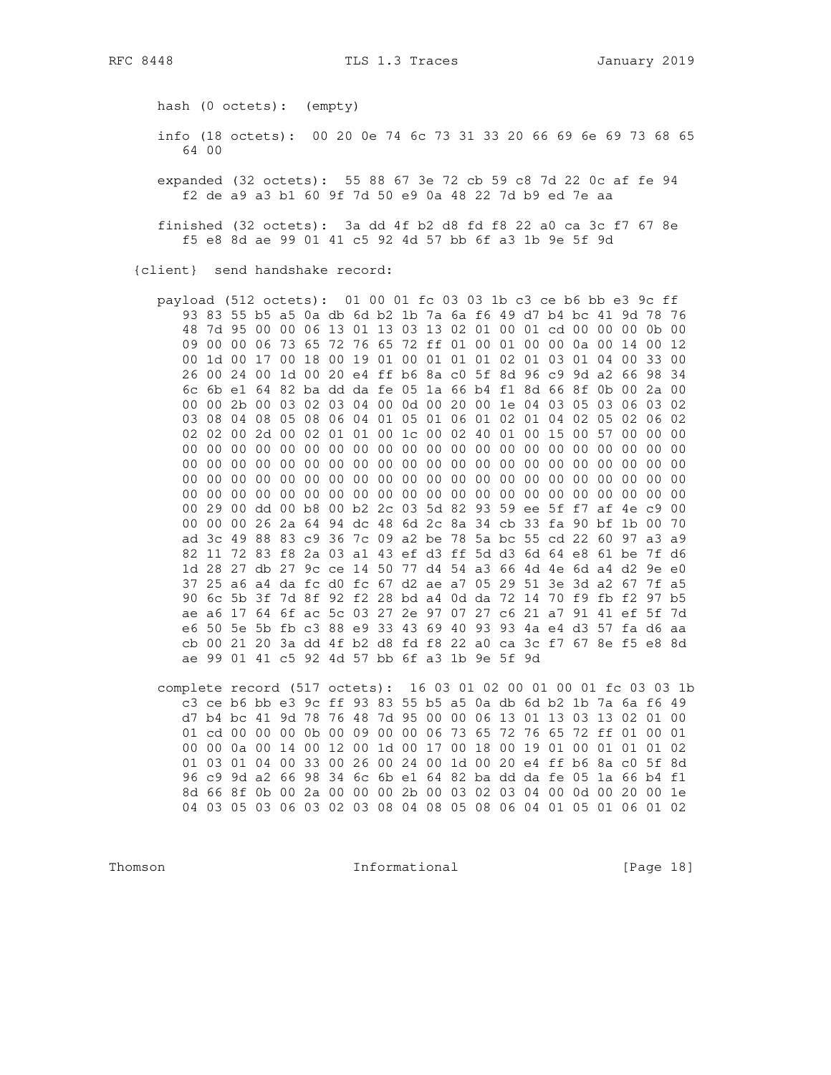hash (0 octets): (empty)

 info (18 octets): 00 20 0e 74 6c 73 31 33 20 66 69 6e 69 73 68 65 64 00

 expanded (32 octets): 55 88 67 3e 72 cb 59 c8 7d 22 0c af fe 94 f2 de a9 a3 b1 60 9f 7d 50 e9 0a 48 22 7d b9 ed 7e aa

 finished (32 octets): 3a dd 4f b2 d8 fd f8 22 a0 ca 3c f7 67 8e f5 e8 8d ae 99 01 41 c5 92 4d 57 bb 6f a3 1b 9e 5f 9d

{client} send handshake record:

 payload (512 octets): 01 00 01 fc 03 03 1b c3 ce b6 bb e3 9c ff 93 83 55 b5 a5 0a db 6d b2 1b 7a 6a f6 49 d7 b4 bc 41 9d 78 76 48 7d 95 00 00 06 13 01 13 03 13 02 01 00 01 cd 00 00 00 0b 00 09 00 00 06 73 65 72 76 65 72 ff 01 00 01 00 00 0a 00 14 00 12 00 1d 00 17 00 18 00 19 01 00 01 01 01 02 01 03 01 04 00 33 00 26 00 24 00 1d 00 20 e4 ff b6 8a c0 5f 8d 96 c9 9d a2 66 98 34 6c 6b e1 64 82 ba dd da fe 05 1a 66 b4 f1 8d 66 8f 0b 00 2a 00 00 00 2b 00 03 02 03 04 00 0d 00 20 00 1e 04 03 05 03 06 03 02 03 08 04 08 05 08 06 04 01 05 01 06 01 02 01 04 02 05 02 06 02 02 02 00 2d 00 02 01 01 00 1c 00 02 40 01 00 15 00 57 00 00 00 00 00 00 00 00 00 00 00 00 00 00 00 00 00 00 00 00 00 00 00 00 00 00 00 00 00 00 00 00 00 00 00 00 00 00 00 00 00 00 00 00 00 00 00 00 00 00 00 00 00 00 00 00 00 00 00 00 00 00 00 00 00 00 00 00 00 00 00 00 00 00 00 00 00 00 00 00 00 00 00 00 00 00 00 00 29 00 dd 00 b8 00 b2 2c 03 5d 82 93 59 ee 5f f7 af 4e c9 00 00 00 00 26 2a 64 94 dc 48 6d 2c 8a 34 cb 33 fa 90 bf 1b 00 70 ad 3c 49 88 83 c9 36 7c 09 a2 be 78 5a bc 55 cd 22 60 97 a3 a9 82 11 72 83 f8 2a 03 a1 43 ef d3 ff 5d d3 6d 64 e8 61 be 7f d6 1d 28 27 db 27 9c ce 14 50 77 d4 54 a3 66 4d 4e 6d a4 d2 9e e0 37 25 a6 a4 da fc d0 fc 67 d2 ae a7 05 29 51 3e 3d a2 67 7f a5 90 6c 5b 3f 7d 8f 92 f2 28 bd a4 0d da 72 14 70 f9 fb f2 97 b5 ae a6 17 64 6f ac 5c 03 27 2e 97 07 27 c6 21 a7 91 41 ef 5f 7d e6 50 5e 5b fb c3 88 e9 33 43 69 40 93 93 4a e4 d3 57 fa d6 aa cb 00 21 20 3a dd 4f b2 d8 fd f8 22 a0 ca 3c f7 67 8e f5 e8 8d ae 99 01 41 c5 92 4d 57 bb 6f a3 1b 9e 5f 9d

 complete record (517 octets): 16 03 01 02 00 01 00 01 fc 03 03 1b c3 ce b6 bb e3 9c ff 93 83 55 b5 a5 0a db 6d b2 1b 7a 6a f6 49 d7 b4 bc 41 9d 78 76 48 7d 95 00 00 06 13 01 13 03 13 02 01 00 01 cd 00 00 00 0b 00 09 00 00 06 73 65 72 76 65 72 ff 01 00 01 00 00 0a 00 14 00 12 00 1d 00 17 00 18 00 19 01 00 01 01 01 02 01 03 01 04 00 33 00 26 00 24 00 1d 00 20 e4 ff b6 8a c0 5f 8d 96 c9 9d a2 66 98 34 6c 6b e1 64 82 ba dd da fe 05 1a 66 b4 f1 8d 66 8f 0b 00 2a 00 00 00 2b 00 03 02 03 04 00 0d 00 20 00 1e 04 03 05 03 06 03 02 03 08 04 08 05 08 06 04 01 05 01 06 01 02

Thomson **Informational Informational** [Page 18]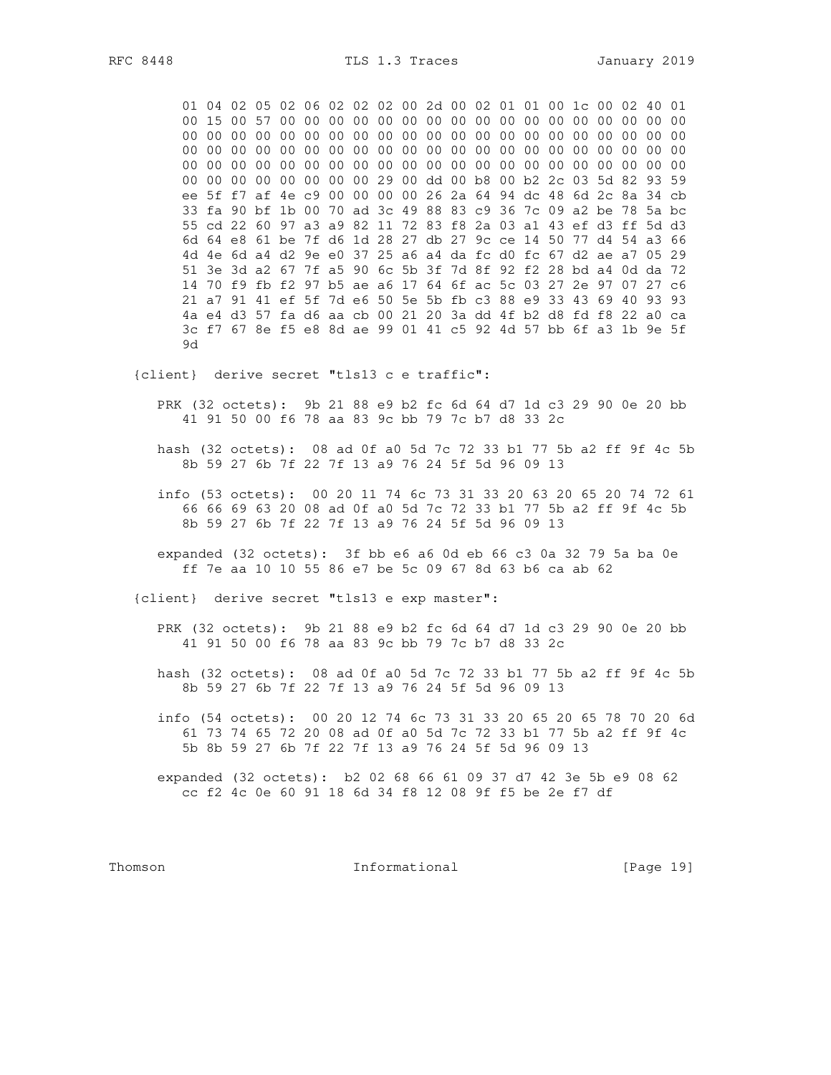RFC 8448

01 04 02 05 02 06 02 02 02 00 2d 00 02 01 01 00 1c 00 02 40 01 00 00 00 00 00 00 00 00 29 00 dd 00 b8 00 b2 2c 03 5d 82 93 59 ee 5f f7 af 4e c9 00 00 00 00 26 2a 64 94 dc 48 6d 2c 8a 34 cb 33 fa 90 bf 1b 00 70 ad 3c 49 88 83 c9 36 7c 09 a2 be 78 5a bc 55 cd 22 60 97 a3 a9 82 11 72 83 f8 2a 03 a1 43 ef d3 ff 5d d3 6d 64 e8 61 be 7f d6 1d 28 27 db 27 9c ce 14 50 77 d4 54 a3 66 4d 4e 6d a4 d2 9e e0 37 25 a6 a4 da fc d0 fc 67 d2 ae a7 05 29 51 3e 3d a2 67 7f a5 90 6c 5b 3f 7d 8f 92 f2 28 bd a4 0d da 72 14 70 f9 fb f2 97 b5 ae a6 17 64 6f ac 5c 03 27 2e 97 07 27 c6 21 a7 91 41 ef 5f 7d e6 50 5e 5b fb c3 88 e9 33 43 69 40 93 93 4a e4 d3 57 fa d6 aa cb 00 21 20 3a dd 4f b2 d8 fd f8 22 a0 ca 3c f7 67 8e f5 e8 8d ae 99 01 41 c5 92 4d 57 bb 6f a3 1b 9e 5f 9d

{client} derive secret "tls13 c e traffic":

PRK (32 octets): 9b 21 88 e9 b2 fc 6d 64 d7 1d c3 29 90 0e 20 bb 41 91 50 00 f6 78 aa 83 9c bb 79 7c b7 d8 33 2c

- hash (32 octets): 08 ad 0f a0 5d 7c 72 33 b1 77 5b a2 ff 9f 4c 5b 8b 59 27 6b 7f 22 7f 13 a9 76 24 5f 5d 96 09 13
- info (53 octets): 00 20 11 74 6c 73 31 33 20 63 20 65 20 74 72 61 66 66 69 63 20 08 ad 0f a0 5d 7c 72 33 b1 77 5b a2 ff 9f 4c 5b 8b 59 27 6b 7f 22 7f 13 a9 76 24 5f 5d 96 09 13
- expanded (32 octets): 3f bb e6 a6 0d eb 66 c3 0a 32 79 5a ba 0e ff 7e aa 10 10 55 86 e7 be 5c 09 67 8d 63 b6 ca ab 62

{client} derive secret "tls13 e exp master":

- PRK (32 octets): 9b 21 88 e9 b2 fc 6d 64 d7 1d c3 29 90 0e 20 bb 41 91 50 00 f6 78 aa 83 9c bb 79 7c b7 d8 33 2c
- hash (32 octets): 08 ad 0f a0 5d 7c 72 33 b1 77 5b a2 ff 9f 4c 5b 8b 59 27 6b 7f 22 7f 13 a9 76 24 5f 5d 96 09 13
- info (54 octets): 00 20 12 74 6c 73 31 33 20 65 20 65 78 70 20 6d 61 73 74 65 72 20 08 ad 0f a0 5d 7c 72 33 b1 77 5b a2 ff 9f 4c 5b 8b 59 27 6b 7f 22 7f 13 a9 76 24 5f 5d 96 09 13
- expanded (32 octets): b2 02 68 66 61 09 37 d7 42 3e 5b e9 08 62 cc f2 4c 0e 60 91 18 6d 34 f8 12 08 9f f5 be 2e f7 df

Thomson

Informational

[Page 19]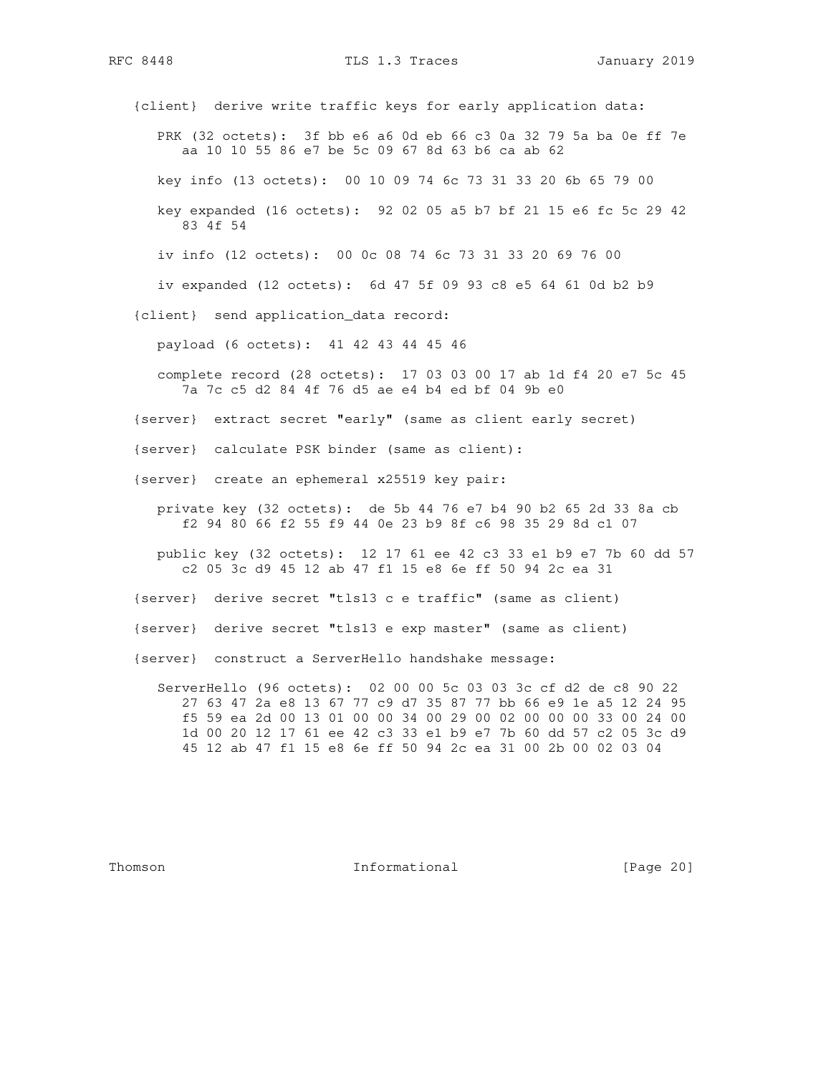RFC 8448 TLS 1.3 Traces January 2019

 {client} derive write traffic keys for early application data: PRK (32 octets): 3f bb e6 a6 0d eb 66 c3 0a 32 79 5a ba 0e ff 7e aa 10 10 55 86 e7 be 5c 09 67 8d 63 b6 ca ab 62 key info (13 octets): 00 10 09 74 6c 73 31 33 20 6b 65 79 00 key expanded (16 octets): 92 02 05 a5 b7 bf 21 15 e6 fc 5c 29 42 83 4f 54 iv info (12 octets): 00 0c 08 74 6c 73 31 33 20 69 76 00 iv expanded (12 octets): 6d 47 5f 09 93 c8 e5 64 61 0d b2 b9 {client} send application\_data record: payload (6 octets): 41 42 43 44 45 46 complete record (28 octets): 17 03 03 00 17 ab 1d f4 20 e7 5c 45 7a 7c c5 d2 84 4f 76 d5 ae e4 b4 ed bf 04 9b e0 {server} extract secret "early" (same as client early secret) {server} calculate PSK binder (same as client): {server} create an ephemeral x25519 key pair: private key (32 octets): de 5b 44 76 e7 b4 90 b2 65 2d 33 8a cb f2 94 80 66 f2 55 f9 44 0e 23 b9 8f c6 98 35 29 8d c1 07 public key (32 octets): 12 17 61 ee 42 c3 33 e1 b9 e7 7b 60 dd 57 c2 05 3c d9 45 12 ab 47 f1 15 e8 6e ff 50 94 2c ea 31 {server} derive secret "tls13 c e traffic" (same as client) {server} derive secret "tls13 e exp master" (same as client) {server} construct a ServerHello handshake message: ServerHello (96 octets): 02 00 00 5c 03 03 3c cf d2 de c8 90 22 27 63 47 2a e8 13 67 77 c9 d7 35 87 77 bb 66 e9 1e a5 12 24 95 f5 59 ea 2d 00 13 01 00 00 34 00 29 00 02 00 00 00 33 00 24 00 1d 00 20 12 17 61 ee 42 c3 33 e1 b9 e7 7b 60 dd 57 c2 05 3c d9 45 12 ab 47 f1 15 e8 6e ff 50 94 2c ea 31 00 2b 00 02 03 04

Thomson **Informational Informational** [Page 20]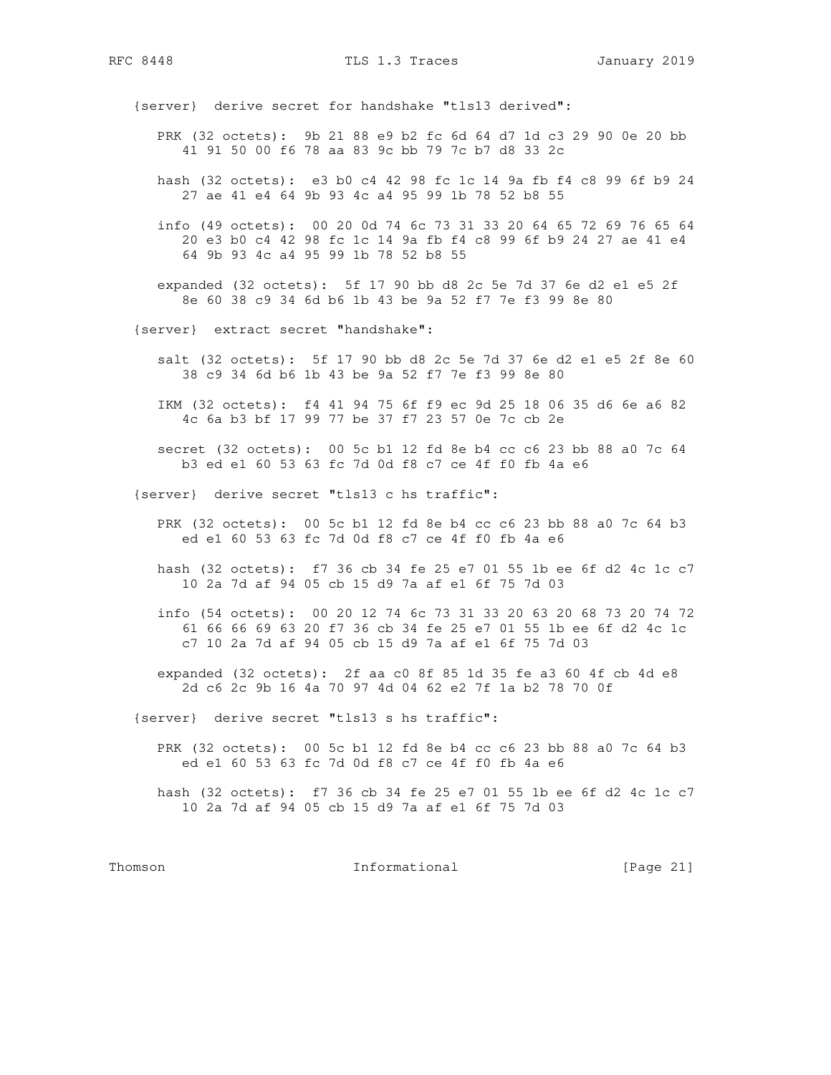RFC 8448 TLS 1.3 Traces January 2019

{server} derive secret for handshake "tls13 derived":

- PRK (32 octets): 9b 21 88 e9 b2 fc 6d 64 d7 1d c3 29 90 0e 20 bb 41 91 50 00 f6 78 aa 83 9c bb 79 7c b7 d8 33 2c
- hash (32 octets): e3 b0 c4 42 98 fc 1c 14 9a fb f4 c8 99 6f b9 24 27 ae 41 e4 64 9b 93 4c a4 95 99 1b 78 52 b8 55
- info (49 octets): 00 20 0d 74 6c 73 31 33 20 64 65 72 69 76 65 64 20 e3 b0 c4 42 98 fc 1c 14 9a fb f4 c8 99 6f b9 24 27 ae 41 e4 64 9b 93 4c a4 95 99 1b 78 52 b8 55
- expanded (32 octets): 5f 17 90 bb d8 2c 5e 7d 37 6e d2 e1 e5 2f 8e 60 38 c9 34 6d b6 1b 43 be 9a 52 f7 7e f3 99 8e 80
- {server} extract secret "handshake":
	- salt (32 octets): 5f 17 90 bb d8 2c 5e 7d 37 6e d2 e1 e5 2f 8e 60 38 c9 34 6d b6 1b 43 be 9a 52 f7 7e f3 99 8e 80
	- IKM (32 octets): f4 41 94 75 6f f9 ec 9d 25 18 06 35 d6 6e a6 82 4c 6a b3 bf 17 99 77 be 37 f7 23 57 0e 7c cb 2e
	- secret (32 octets): 00 5c b1 12 fd 8e b4 cc c6 23 bb 88 a0 7c 64 b3 ed e1 60 53 63 fc 7d 0d f8 c7 ce 4f f0 fb 4a e6
- {server} derive secret "tls13 c hs traffic":
	- PRK (32 octets): 00 5c b1 12 fd 8e b4 cc c6 23 bb 88 a0 7c 64 b3 ed e1 60 53 63 fc 7d 0d f8 c7 ce 4f f0 fb 4a e6
	- hash (32 octets): f7 36 cb 34 fe 25 e7 01 55 1b ee 6f d2 4c 1c c7 10 2a 7d af 94 05 cb 15 d9 7a af e1 6f 75 7d 03
	- info (54 octets): 00 20 12 74 6c 73 31 33 20 63 20 68 73 20 74 72 61 66 66 69 63 20 f7 36 cb 34 fe 25 e7 01 55 1b ee 6f d2 4c 1c c7 10 2a 7d af 94 05 cb 15 d9 7a af e1 6f 75 7d 03
	- expanded (32 octets): 2f aa c0 8f 85 1d 35 fe a3 60 4f cb 4d e8 2d c6 2c 9b 16 4a 70 97 4d 04 62 e2 7f 1a b2 78 70 0f
- {server} derive secret "tls13 s hs traffic":
	- PRK (32 octets): 00 5c b1 12 fd 8e b4 cc c6 23 bb 88 a0 7c 64 b3 ed e1 60 53 63 fc 7d 0d f8 c7 ce 4f f0 fb 4a e6
	- hash (32 octets): f7 36 cb 34 fe 25 e7 01 55 1b ee 6f d2 4c 1c c7 10 2a 7d af 94 05 cb 15 d9 7a af e1 6f 75 7d 03

Thomson **Informational Informational** [Page 21]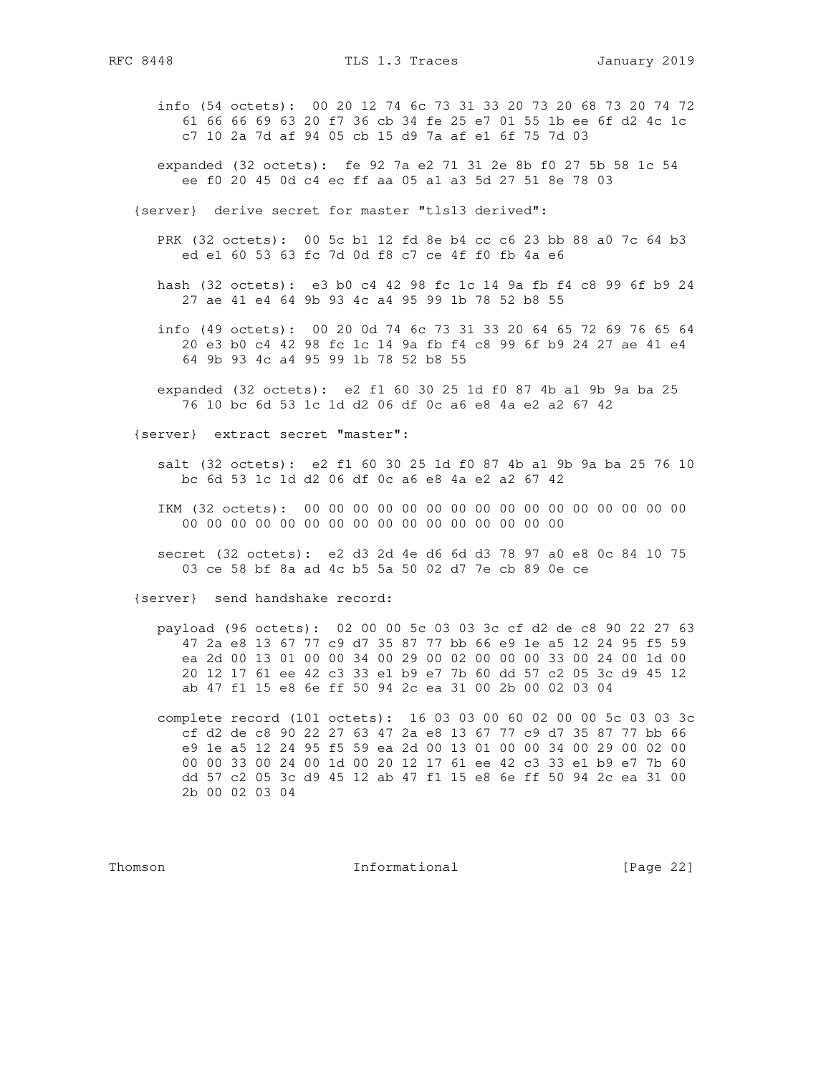- info (54 octets): 00 20 12 74 6c 73 31 33 20 73 20 68 73 20 74 72 61 66 66 69 63 20 f7 36 cb 34 fe 25 e7 01 55 1b ee 6f d2 4c 1c c7 10 2a 7d af 94 05 cb 15 d9 7a af e1 6f 75 7d 03
- expanded (32 octets): fe 92 7a e2 71 31 2e 8b f0 27 5b 58 1c 54 ee f0 20 45 0d c4 ec ff aa 05 a1 a3 5d 27 51 8e 78 03
- {server} derive secret for master "tls13 derived":
	- PRK (32 octets): 00 5c b1 12 fd 8e b4 cc c6 23 bb 88 a0 7c 64 b3 ed e1 60 53 63 fc 7d 0d f8 c7 ce 4f f0 fb 4a e6
	- hash (32 octets): e3 b0 c4 42 98 fc 1c 14 9a fb f4 c8 99 6f b9 24 27 ae 41 e4 64 9b 93 4c a4 95 99 1b 78 52 b8 55
	- info (49 octets): 00 20 0d 74 6c 73 31 33 20 64 65 72 69 76 65 64 20 e3 b0 c4 42 98 fc 1c 14 9a fb f4 c8 99 6f b9 24 27 ae 41 e4 64 9b 93 4c a4 95 99 1b 78 52 b8 55
	- expanded (32 octets): e2 f1 60 30 25 1d f0 87 4b a1 9b 9a ba 25 76 10 bc 6d 53 1c 1d d2 06 df 0c a6 e8 4a e2 a2 67 42

{server} extract secret "master":

- salt (32 octets): e2 f1 60 30 25 1d f0 87 4b a1 9b 9a ba 25 76 10 bc 6d 53 1c 1d d2 06 df 0c a6 e8 4a e2 a2 67 42
- IKM (32 octets): 00 00 00 00 00 00 00 00 00 00 00 00 00 00 00 00 00 00 00 00 00 00 00 00 00 00 00 00 00 00 00 00
- secret (32 octets): e2 d3 2d 4e d6 6d d3 78 97 a0 e8 0c 84 10 75 03 ce 58 bf 8a ad 4c b5 5a 50 02 d7 7e cb 89 0e ce

{server} send handshake record:

 payload (96 octets): 02 00 00 5c 03 03 3c cf d2 de c8 90 22 27 63 47 2a e8 13 67 77 c9 d7 35 87 77 bb 66 e9 1e a5 12 24 95 f5 59 ea 2d 00 13 01 00 00 34 00 29 00 02 00 00 00 33 00 24 00 1d 00 20 12 17 61 ee 42 c3 33 e1 b9 e7 7b 60 dd 57 c2 05 3c d9 45 12 ab 47 f1 15 e8 6e ff 50 94 2c ea 31 00 2b 00 02 03 04

 complete record (101 octets): 16 03 03 00 60 02 00 00 5c 03 03 3c cf d2 de c8 90 22 27 63 47 2a e8 13 67 77 c9 d7 35 87 77 bb 66 e9 1e a5 12 24 95 f5 59 ea 2d 00 13 01 00 00 34 00 29 00 02 00 00 00 33 00 24 00 1d 00 20 12 17 61 ee 42 c3 33 e1 b9 e7 7b 60 dd 57 c2 05 3c d9 45 12 ab 47 f1 15 e8 6e ff 50 94 2c ea 31 00 2b 00 02 03 04

Thomson **Informational Informational** [Page 22]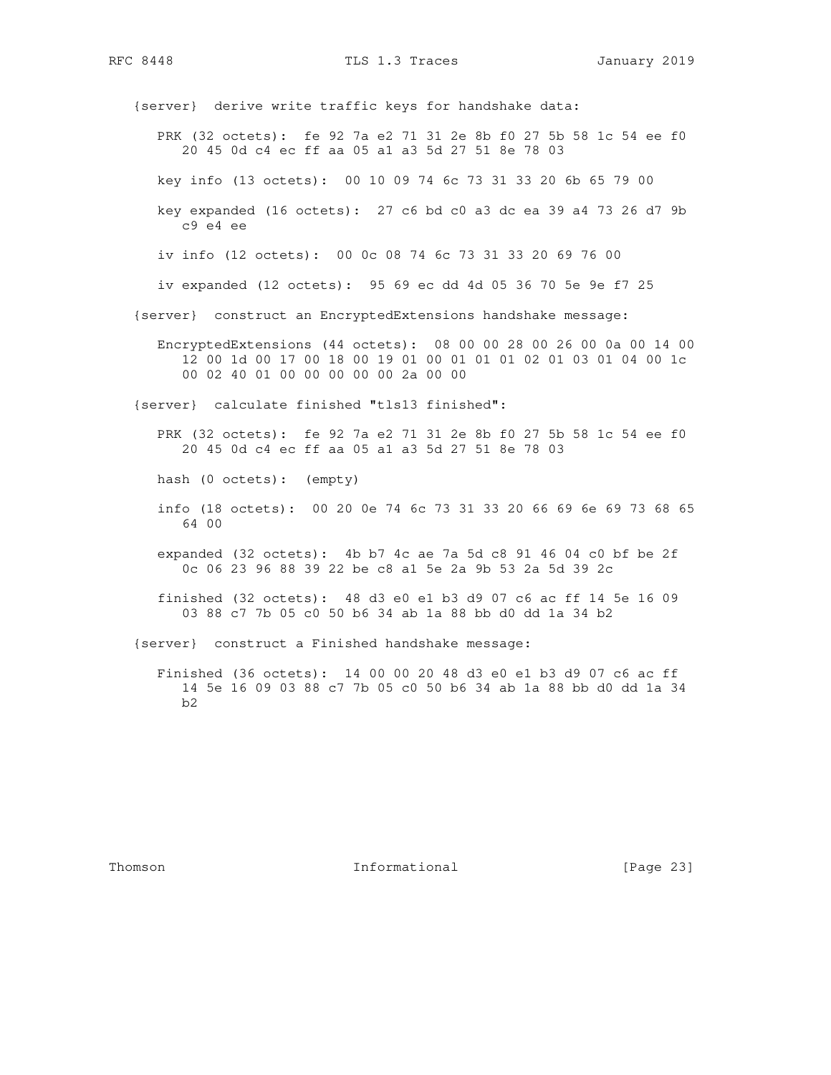RFC 8448 TLS 1.3 Traces January 2019

 {server} derive write traffic keys for handshake data: PRK (32 octets): fe 92 7a e2 71 31 2e 8b f0 27 5b 58 1c 54 ee f0 20 45 0d c4 ec ff aa 05 a1 a3 5d 27 51 8e 78 03 key info (13 octets): 00 10 09 74 6c 73 31 33 20 6b 65 79 00 key expanded (16 octets): 27 c6 bd c0 a3 dc ea 39 a4 73 26 d7 9b c9 e4 ee iv info (12 octets): 00 0c 08 74 6c 73 31 33 20 69 76 00 iv expanded (12 octets): 95 69 ec dd 4d 05 36 70 5e 9e f7 25 {server} construct an EncryptedExtensions handshake message: EncryptedExtensions (44 octets): 08 00 00 28 00 26 00 0a 00 14 00 12 00 1d 00 17 00 18 00 19 01 00 01 01 01 02 01 03 01 04 00 1c 00 02 40 01 00 00 00 00 00 2a 00 00 {server} calculate finished "tls13 finished": PRK (32 octets): fe 92 7a e2 71 31 2e 8b f0 27 5b 58 1c 54 ee f0 20 45 0d c4 ec ff aa 05 a1 a3 5d 27 51 8e 78 03 hash (0 octets): (empty) info (18 octets): 00 20 0e 74 6c 73 31 33 20 66 69 6e 69 73 68 65 64 00 expanded (32 octets): 4b b7 4c ae 7a 5d c8 91 46 04 c0 bf be 2f 0c 06 23 96 88 39 22 be c8 a1 5e 2a 9b 53 2a 5d 39 2c finished (32 octets): 48 d3 e0 e1 b3 d9 07 c6 ac ff 14 5e 16 09 03 88 c7 7b 05 c0 50 b6 34 ab 1a 88 bb d0 dd 1a 34 b2 {server} construct a Finished handshake message: Finished (36 octets): 14 00 00 20 48 d3 e0 e1 b3 d9 07 c6 ac ff 14 5e 16 09 03 88 c7 7b 05 c0 50 b6 34 ab 1a 88 bb d0 dd 1a 34 b2

Thomson **Informational Informational** [Page 23]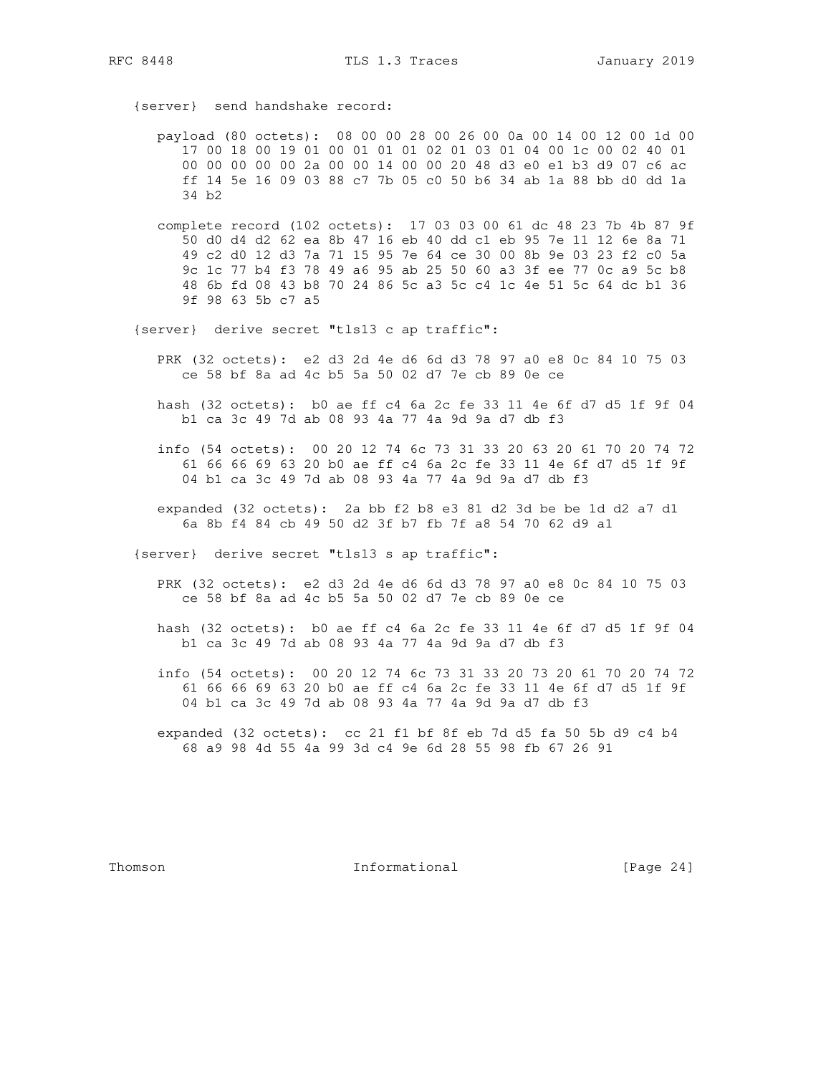{server} send handshake record:

- payload (80 octets): 08 00 00 28 00 26 00 0a 00 14 00 12 00 1d 00 17 00 18 00 19 01 00 01 01 01 02 01 03 01 04 00 1c 00 02 40 01 00 00 00 00 00 2a 00 00 14 00 00 20 48 d3 e0 e1 b3 d9 07 c6 ac ff 14 5e 16 09 03 88 c7 7b 05 c0 50 b6 34 ab 1a 88 bb d0 dd 1a 34 b2
- complete record (102 octets): 17 03 03 00 61 dc 48 23 7b 4b 87 9f 50 d0 d4 d2 62 ea 8b 47 16 eb 40 dd c1 eb 95 7e 11 12 6e 8a 71 49 c2 d0 12 d3 7a 71 15 95 7e 64 ce 30 00 8b 9e 03 23 f2 c0 5a 9c 1c 77 b4 f3 78 49 a6 95 ab 25 50 60 a3 3f ee 77 0c a9 5c b8 48 6b fd 08 43 b8 70 24 86 5c a3 5c c4 1c 4e 51 5c 64 dc b1 36 9f 98 63 5b c7 a5
- {server} derive secret "tls13 c ap traffic":
	- PRK (32 octets): e2 d3 2d 4e d6 6d d3 78 97 a0 e8 0c 84 10 75 03 ce 58 bf 8a ad 4c b5 5a 50 02 d7 7e cb 89 0e ce
	- hash (32 octets): b0 ae ff c4 6a 2c fe 33 11 4e 6f d7 d5 1f 9f 04 b1 ca 3c 49 7d ab 08 93 4a 77 4a 9d 9a d7 db f3
	- info (54 octets): 00 20 12 74 6c 73 31 33 20 63 20 61 70 20 74 72 61 66 66 69 63 20 b0 ae ff c4 6a 2c fe 33 11 4e 6f d7 d5 1f 9f 04 b1 ca 3c 49 7d ab 08 93 4a 77 4a 9d 9a d7 db f3
	- expanded (32 octets): 2a bb f2 b8 e3 81 d2 3d be be 1d d2 a7 d1 6a 8b f4 84 cb 49 50 d2 3f b7 fb 7f a8 54 70 62 d9 a1

{server} derive secret "tls13 s ap traffic":

- PRK (32 octets): e2 d3 2d 4e d6 6d d3 78 97 a0 e8 0c 84 10 75 03 ce 58 bf 8a ad 4c b5 5a 50 02 d7 7e cb 89 0e ce
- hash (32 octets): b0 ae ff c4 6a 2c fe 33 11 4e 6f d7 d5 1f 9f 04 b1 ca 3c 49 7d ab 08 93 4a 77 4a 9d 9a d7 db f3
- info (54 octets): 00 20 12 74 6c 73 31 33 20 73 20 61 70 20 74 72 61 66 66 69 63 20 b0 ae ff c4 6a 2c fe 33 11 4e 6f d7 d5 1f 9f 04 b1 ca 3c 49 7d ab 08 93 4a 77 4a 9d 9a d7 db f3
- expanded (32 octets): cc 21 f1 bf 8f eb 7d d5 fa 50 5b d9 c4 b4 68 a9 98 4d 55 4a 99 3d c4 9e 6d 28 55 98 fb 67 26 91

Thomson **Informational Informational** [Page 24]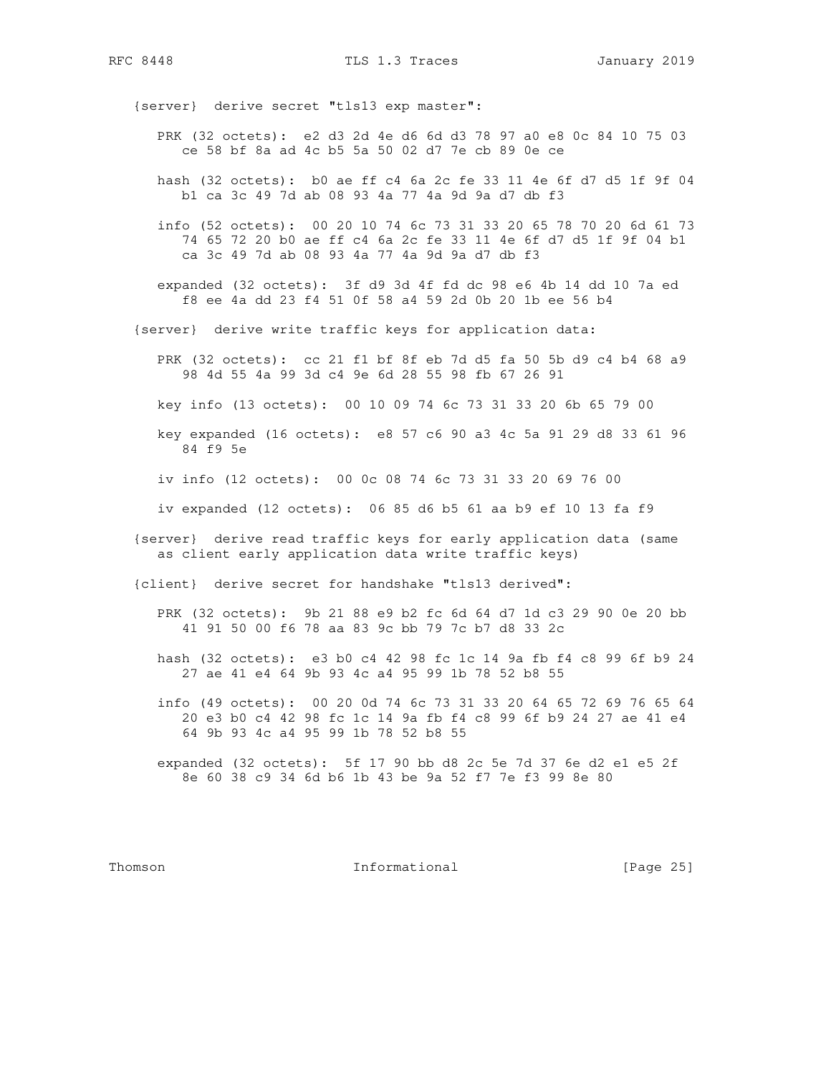RFC 8448 TLS 1.3 Traces January 2019

{server} derive secret "tls13 exp master":

- PRK (32 octets): e2 d3 2d 4e d6 6d d3 78 97 a0 e8 0c 84 10 75 03 ce 58 bf 8a ad 4c b5 5a 50 02 d7 7e cb 89 0e ce
- hash (32 octets): b0 ae ff c4 6a 2c fe 33 11 4e 6f d7 d5 1f 9f 04 b1 ca 3c 49 7d ab 08 93 4a 77 4a 9d 9a d7 db f3
- info (52 octets): 00 20 10 74 6c 73 31 33 20 65 78 70 20 6d 61 73 74 65 72 20 b0 ae ff c4 6a 2c fe 33 11 4e 6f d7 d5 1f 9f 04 b1 ca 3c 49 7d ab 08 93 4a 77 4a 9d 9a d7 db f3
- expanded (32 octets): 3f d9 3d 4f fd dc 98 e6 4b 14 dd 10 7a ed f8 ee 4a dd 23 f4 51 0f 58 a4 59 2d 0b 20 1b ee 56 b4
- {server} derive write traffic keys for application data:
	- PRK (32 octets): cc 21 f1 bf 8f eb 7d d5 fa 50 5b d9 c4 b4 68 a9 98 4d 55 4a 99 3d c4 9e 6d 28 55 98 fb 67 26 91
	- key info (13 octets): 00 10 09 74 6c 73 31 33 20 6b 65 79 00
	- key expanded (16 octets): e8 57 c6 90 a3 4c 5a 91 29 d8 33 61 96 84 f9 5e
	- iv info (12 octets): 00 0c 08 74 6c 73 31 33 20 69 76 00
	- iv expanded (12 octets): 06 85 d6 b5 61 aa b9 ef 10 13 fa f9
- {server} derive read traffic keys for early application data (same as client early application data write traffic keys)

{client} derive secret for handshake "tls13 derived":

- PRK (32 octets): 9b 21 88 e9 b2 fc 6d 64 d7 1d c3 29 90 0e 20 bb 41 91 50 00 f6 78 aa 83 9c bb 79 7c b7 d8 33 2c
- hash (32 octets): e3 b0 c4 42 98 fc 1c 14 9a fb f4 c8 99 6f b9 24 27 ae 41 e4 64 9b 93 4c a4 95 99 1b 78 52 b8 55
- info (49 octets): 00 20 0d 74 6c 73 31 33 20 64 65 72 69 76 65 64 20 e3 b0 c4 42 98 fc 1c 14 9a fb f4 c8 99 6f b9 24 27 ae 41 e4 64 9b 93 4c a4 95 99 1b 78 52 b8 55
- expanded (32 octets): 5f 17 90 bb d8 2c 5e 7d 37 6e d2 e1 e5 2f 8e 60 38 c9 34 6d b6 1b 43 be 9a 52 f7 7e f3 99 8e 80

Thomson **Informational Informational** [Page 25]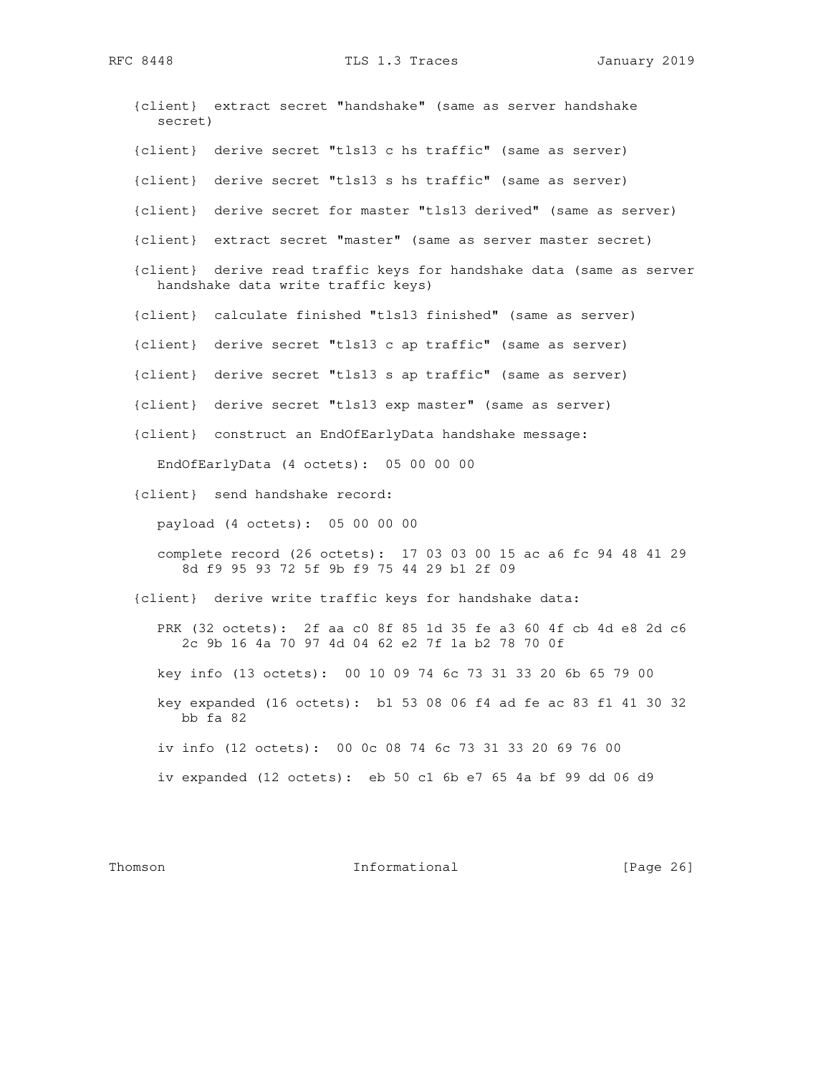RFC 8448 TLS 1.3 Traces January 2019

 {client} extract secret "handshake" (same as server handshake secret) {client} derive secret "tls13 c hs traffic" (same as server) {client} derive secret "tls13 s hs traffic" (same as server) {client} derive secret for master "tls13 derived" (same as server) {client} extract secret "master" (same as server master secret) {client} derive read traffic keys for handshake data (same as server handshake data write traffic keys) {client} calculate finished "tls13 finished" (same as server) {client} derive secret "tls13 c ap traffic" (same as server) {client} derive secret "tls13 s ap traffic" (same as server) {client} derive secret "tls13 exp master" (same as server) {client} construct an EndOfEarlyData handshake message: EndOfEarlyData (4 octets): 05 00 00 00 {client} send handshake record: payload (4 octets): 05 00 00 00 complete record (26 octets): 17 03 03 00 15 ac a6 fc 94 48 41 29 8d f9 95 93 72 5f 9b f9 75 44 29 b1 2f 09 {client} derive write traffic keys for handshake data: PRK (32 octets): 2f aa c0 8f 85 1d 35 fe a3 60 4f cb 4d e8 2d c6 2c 9b 16 4a 70 97 4d 04 62 e2 7f 1a b2 78 70 0f key info (13 octets): 00 10 09 74 6c 73 31 33 20 6b 65 79 00 key expanded (16 octets): b1 53 08 06 f4 ad fe ac 83 f1 41 30 32 bb fa 82 iv info (12 octets): 00 0c 08 74 6c 73 31 33 20 69 76 00 iv expanded (12 octets): eb 50 c1 6b e7 65 4a bf 99 dd 06 d9

Thomson **Informational Informational** [Page 26]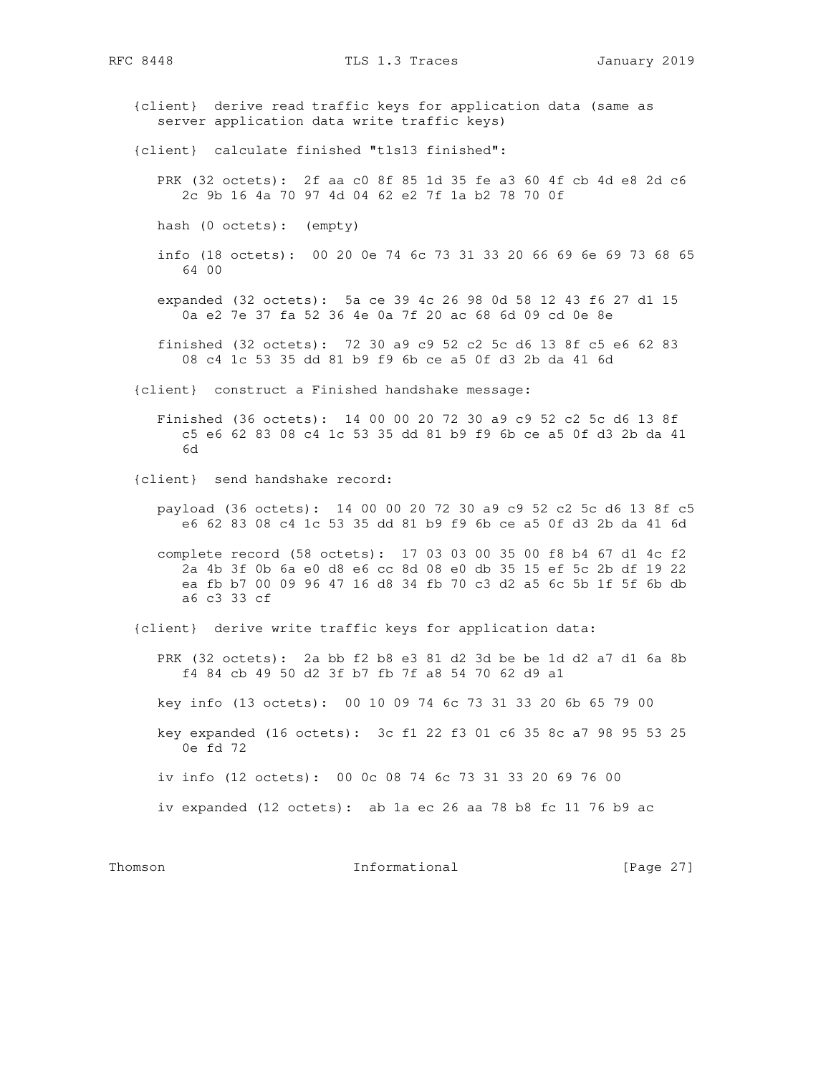{client} derive read traffic keys for application data (same as server application data write traffic keys) {client} calculate finished "tls13 finished": PRK (32 octets): 2f aa c0 8f 85 1d 35 fe a3 60 4f cb 4d e8 2d c6 2c 9b 16 4a 70 97 4d 04 62 e2 7f 1a b2 78 70 0f hash (0 octets): (empty) info (18 octets): 00 20 0e 74 6c 73 31 33 20 66 69 6e 69 73 68 65 64 00 expanded (32 octets): 5a ce 39 4c 26 98 0d 58 12 43 f6 27 d1 15 0a e2 7e 37 fa 52 36 4e 0a 7f 20 ac 68 6d 09 cd 0e 8e finished (32 octets): 72 30 a9 c9 52 c2 5c d6 13 8f c5 e6 62 83 08 c4 1c 53 35 dd 81 b9 f9 6b ce a5 0f d3 2b da 41 6d {client} construct a Finished handshake message: Finished (36 octets): 14 00 00 20 72 30 a9 c9 52 c2 5c d6 13 8f c5 e6 62 83 08 c4 1c 53 35 dd 81 b9 f9 6b ce a5 0f d3 2b da 41 6d {client} send handshake record: payload (36 octets): 14 00 00 20 72 30 a9 c9 52 c2 5c d6 13 8f c5 e6 62 83 08 c4 1c 53 35 dd 81 b9 f9 6b ce a5 0f d3 2b da 41 6d complete record (58 octets): 17 03 03 00 35 00 f8 b4 67 d1 4c f2 2a 4b 3f 0b 6a e0 d8 e6 cc 8d 08 e0 db 35 15 ef 5c 2b df 19 22 ea fb b7 00 09 96 47 16 d8 34 fb 70 c3 d2 a5 6c 5b 1f 5f 6b db a6 c3 33 cf {client} derive write traffic keys for application data: PRK (32 octets): 2a bb f2 b8 e3 81 d2 3d be be 1d d2 a7 d1 6a 8b f4 84 cb 49 50 d2 3f b7 fb 7f a8 54 70 62 d9 a1 key info (13 octets): 00 10 09 74 6c 73 31 33 20 6b 65 79 00 key expanded (16 octets): 3c f1 22 f3 01 c6 35 8c a7 98 95 53 25 0e fd 72 iv info (12 octets): 00 0c 08 74 6c 73 31 33 20 69 76 00 iv expanded (12 octets): ab 1a ec 26 aa 78 b8 fc 11 76 b9 ac

Thomson **Informational Informational** [Page 27]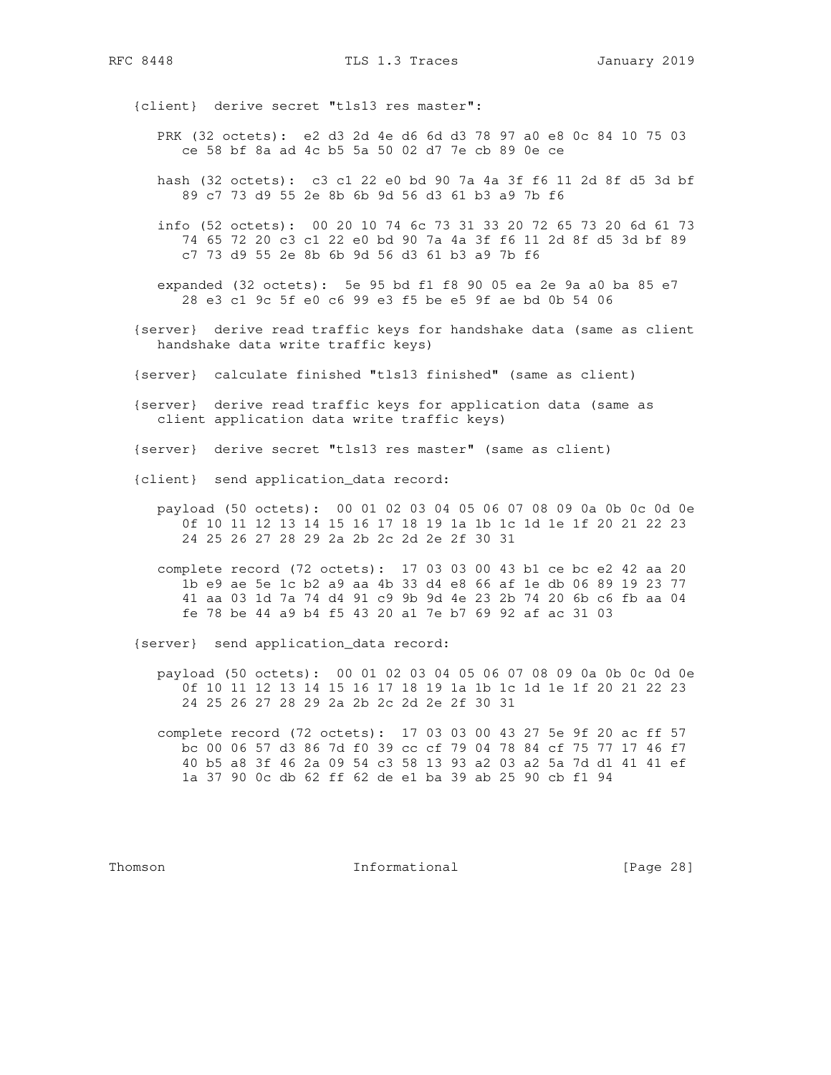{client} derive secret "tls13 res master":

- PRK (32 octets): e2 d3 2d 4e d6 6d d3 78 97 a0 e8 0c 84 10 75 03 ce 58 bf 8a ad 4c b5 5a 50 02 d7 7e cb 89 0e ce
- hash (32 octets): c3 c1 22 e0 bd 90 7a 4a 3f f6 11 2d 8f d5 3d bf 89 c7 73 d9 55 2e 8b 6b 9d 56 d3 61 b3 a9 7b f6
- info (52 octets): 00 20 10 74 6c 73 31 33 20 72 65 73 20 6d 61 73 74 65 72 20 c3 c1 22 e0 bd 90 7a 4a 3f f6 11 2d 8f d5 3d bf 89 c7 73 d9 55 2e 8b 6b 9d 56 d3 61 b3 a9 7b f6
- expanded (32 octets): 5e 95 bd f1 f8 90 05 ea 2e 9a a0 ba 85 e7 28 e3 c1 9c 5f e0 c6 99 e3 f5 be e5 9f ae bd 0b 54 06
- {server} derive read traffic keys for handshake data (same as client handshake data write traffic keys)
- {server} calculate finished "tls13 finished" (same as client)
- {server} derive read traffic keys for application data (same as client application data write traffic keys)
- {server} derive secret "tls13 res master" (same as client)
- {client} send application\_data record:
	- payload (50 octets): 00 01 02 03 04 05 06 07 08 09 0a 0b 0c 0d 0e 0f 10 11 12 13 14 15 16 17 18 19 1a 1b 1c 1d 1e 1f 20 21 22 23 24 25 26 27 28 29 2a 2b 2c 2d 2e 2f 30 31
	- complete record (72 octets): 17 03 03 00 43 b1 ce bc e2 42 aa 20 1b e9 ae 5e 1c b2 a9 aa 4b 33 d4 e8 66 af 1e db 06 89 19 23 77 41 aa 03 1d 7a 74 d4 91 c9 9b 9d 4e 23 2b 74 20 6b c6 fb aa 04 fe 78 be 44 a9 b4 f5 43 20 a1 7e b7 69 92 af ac 31 03

{server} send application\_data record:

- payload (50 octets): 00 01 02 03 04 05 06 07 08 09 0a 0b 0c 0d 0e 0f 10 11 12 13 14 15 16 17 18 19 1a 1b 1c 1d 1e 1f 20 21 22 23 24 25 26 27 28 29 2a 2b 2c 2d 2e 2f 30 31
- complete record (72 octets): 17 03 03 00 43 27 5e 9f 20 ac ff 57 bc 00 06 57 d3 86 7d f0 39 cc cf 79 04 78 84 cf 75 77 17 46 f7 40 b5 a8 3f 46 2a 09 54 c3 58 13 93 a2 03 a2 5a 7d d1 41 41 ef 1a 37 90 0c db 62 ff 62 de e1 ba 39 ab 25 90 cb f1 94

Thomson **Informational Informational** [Page 28]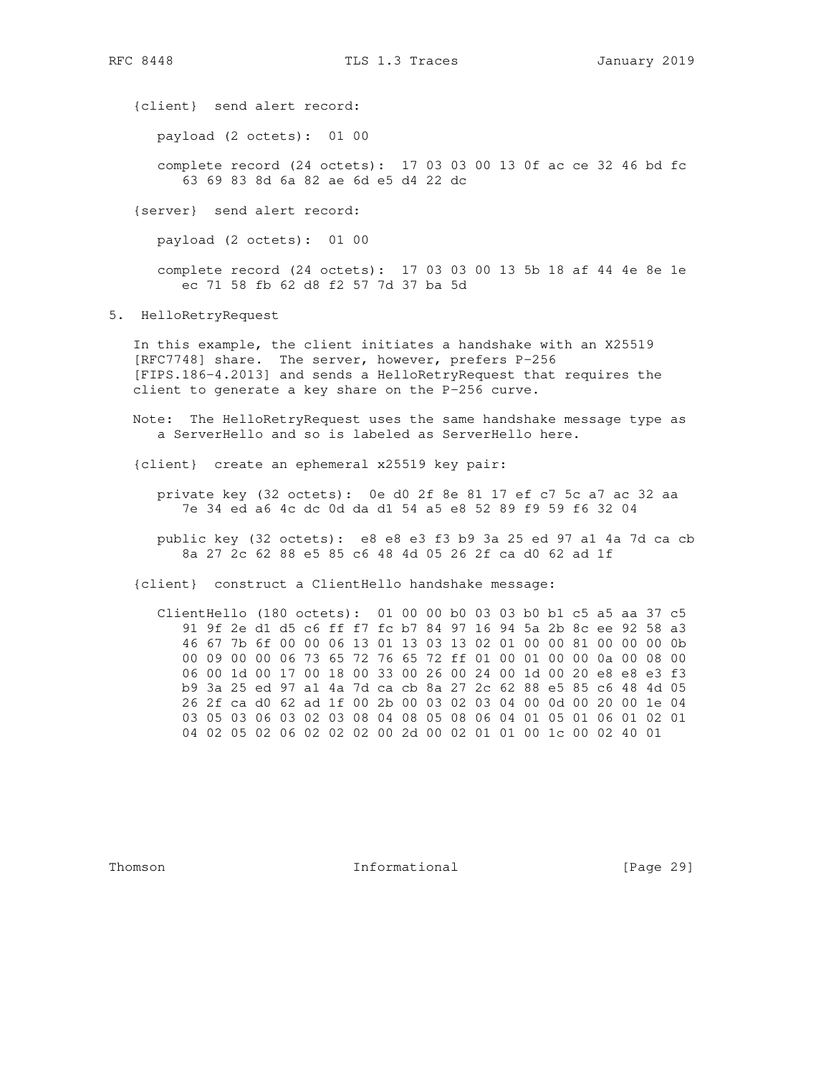{client} send alert record:

payload (2 octets): 01 00

 complete record (24 octets): 17 03 03 00 13 0f ac ce 32 46 bd fc 63 69 83 8d 6a 82 ae 6d e5 d4 22 dc

{server} send alert record:

payload (2 octets): 01 00

 complete record (24 octets): 17 03 03 00 13 5b 18 af 44 4e 8e 1e ec 71 58 fb 62 d8 f2 57 7d 37 ba 5d

5. HelloRetryRequest

 In this example, the client initiates a handshake with an X25519 [RFC7748] share. The server, however, prefers P-256 [FIPS.186-4.2013] and sends a HelloRetryRequest that requires the client to generate a key share on the P-256 curve.

- Note: The HelloRetryRequest uses the same handshake message type as a ServerHello and so is labeled as ServerHello here.
- {client} create an ephemeral x25519 key pair:
	- private key (32 octets): 0e d0 2f 8e 81 17 ef c7 5c a7 ac 32 aa 7e 34 ed a6 4c dc 0d da d1 54 a5 e8 52 89 f9 59 f6 32 04
	- public key (32 octets): e8 e8 e3 f3 b9 3a 25 ed 97 a1 4a 7d ca cb 8a 27 2c 62 88 e5 85 c6 48 4d 05 26 2f ca d0 62 ad 1f

{client} construct a ClientHello handshake message:

 ClientHello (180 octets): 01 00 00 b0 03 03 b0 b1 c5 a5 aa 37 c5 91 9f 2e d1 d5 c6 ff f7 fc b7 84 97 16 94 5a 2b 8c ee 92 58 a3 46 67 7b 6f 00 00 06 13 01 13 03 13 02 01 00 00 81 00 00 00 0b 00 09 00 00 06 73 65 72 76 65 72 ff 01 00 01 00 00 0a 00 08 00 06 00 1d 00 17 00 18 00 33 00 26 00 24 00 1d 00 20 e8 e8 e3 f3 b9 3a 25 ed 97 a1 4a 7d ca cb 8a 27 2c 62 88 e5 85 c6 48 4d 05 26 2f ca d0 62 ad 1f 00 2b 00 03 02 03 04 00 0d 00 20 00 1e 04 03 05 03 06 03 02 03 08 04 08 05 08 06 04 01 05 01 06 01 02 01 04 02 05 02 06 02 02 02 00 2d 00 02 01 01 00 1c 00 02 40 01

Thomson **Informational Informational** [Page 29]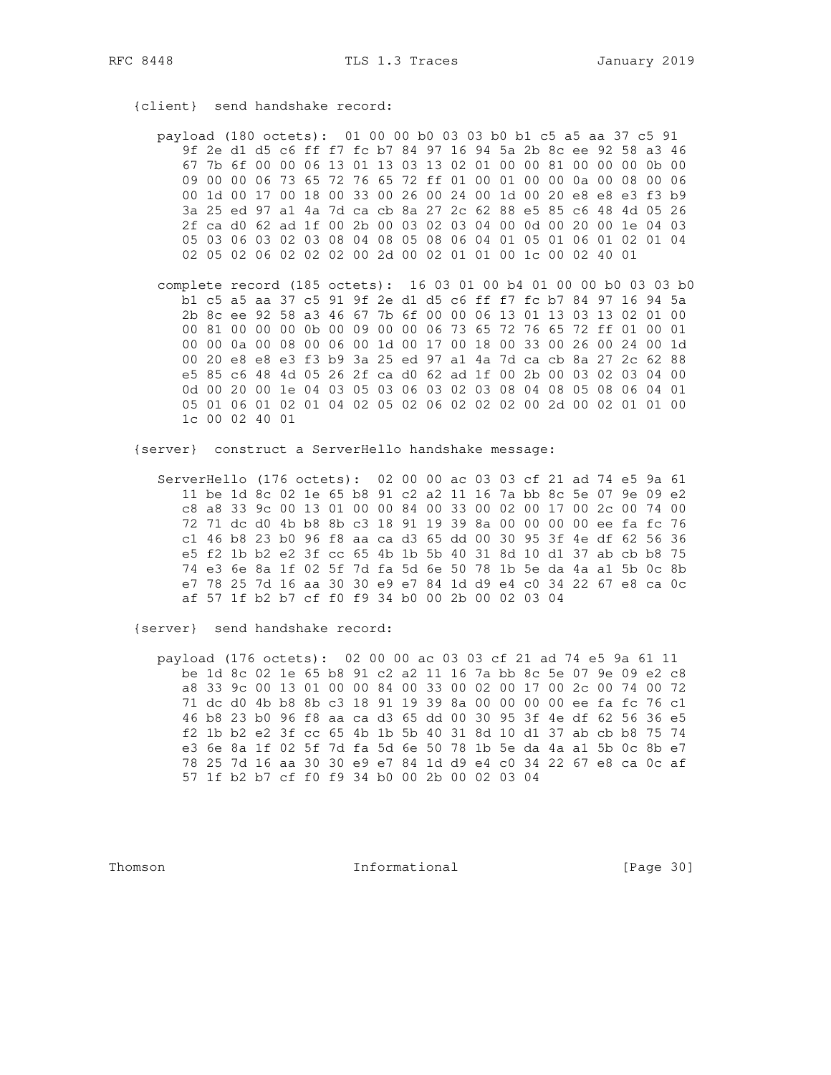{client} send handshake record:

 payload (180 octets): 01 00 00 b0 03 03 b0 b1 c5 a5 aa 37 c5 91 9f 2e d1 d5 c6 ff f7 fc b7 84 97 16 94 5a 2b 8c ee 92 58 a3 46 67 7b 6f 00 00 06 13 01 13 03 13 02 01 00 00 81 00 00 00 0b 00 09 00 00 06 73 65 72 76 65 72 ff 01 00 01 00 00 0a 00 08 00 06 00 1d 00 17 00 18 00 33 00 26 00 24 00 1d 00 20 e8 e8 e3 f3 b9 3a 25 ed 97 a1 4a 7d ca cb 8a 27 2c 62 88 e5 85 c6 48 4d 05 26 2f ca d0 62 ad 1f 00 2b 00 03 02 03 04 00 0d 00 20 00 1e 04 03 05 03 06 03 02 03 08 04 08 05 08 06 04 01 05 01 06 01 02 01 04 02 05 02 06 02 02 02 00 2d 00 02 01 01 00 1c 00 02 40 01

 complete record (185 octets): 16 03 01 00 b4 01 00 00 b0 03 03 b0 b1 c5 a5 aa 37 c5 91 9f 2e d1 d5 c6 ff f7 fc b7 84 97 16 94 5a 2b 8c ee 92 58 a3 46 67 7b 6f 00 00 06 13 01 13 03 13 02 01 00 00 81 00 00 00 0b 00 09 00 00 06 73 65 72 76 65 72 ff 01 00 01 00 00 0a 00 08 00 06 00 1d 00 17 00 18 00 33 00 26 00 24 00 1d 00 20 e8 e8 e3 f3 b9 3a 25 ed 97 a1 4a 7d ca cb 8a 27 2c 62 88 e5 85 c6 48 4d 05 26 2f ca d0 62 ad 1f 00 2b 00 03 02 03 04 00 0d 00 20 00 1e 04 03 05 03 06 03 02 03 08 04 08 05 08 06 04 01 05 01 06 01 02 01 04 02 05 02 06 02 02 02 00 2d 00 02 01 01 00 1c 00 02 40 01

{server} construct a ServerHello handshake message:

 ServerHello (176 octets): 02 00 00 ac 03 03 cf 21 ad 74 e5 9a 61 11 be 1d 8c 02 1e 65 b8 91 c2 a2 11 16 7a bb 8c 5e 07 9e 09 e2 c8 a8 33 9c 00 13 01 00 00 84 00 33 00 02 00 17 00 2c 00 74 00 72 71 dc d0 4b b8 8b c3 18 91 19 39 8a 00 00 00 00 ee fa fc 76 c1 46 b8 23 b0 96 f8 aa ca d3 65 dd 00 30 95 3f 4e df 62 56 36 e5 f2 1b b2 e2 3f cc 65 4b 1b 5b 40 31 8d 10 d1 37 ab cb b8 75 74 e3 6e 8a 1f 02 5f 7d fa 5d 6e 50 78 1b 5e da 4a a1 5b 0c 8b e7 78 25 7d 16 aa 30 30 e9 e7 84 1d d9 e4 c0 34 22 67 e8 ca 0c af 57 1f b2 b7 cf f0 f9 34 b0 00 2b 00 02 03 04

{server} send handshake record:

 payload (176 octets): 02 00 00 ac 03 03 cf 21 ad 74 e5 9a 61 11 be 1d 8c 02 1e 65 b8 91 c2 a2 11 16 7a bb 8c 5e 07 9e 09 e2 c8 a8 33 9c 00 13 01 00 00 84 00 33 00 02 00 17 00 2c 00 74 00 72 71 dc d0 4b b8 8b c3 18 91 19 39 8a 00 00 00 00 ee fa fc 76 c1 46 b8 23 b0 96 f8 aa ca d3 65 dd 00 30 95 3f 4e df 62 56 36 e5 f2 1b b2 e2 3f cc 65 4b 1b 5b 40 31 8d 10 d1 37 ab cb b8 75 74 e3 6e 8a 1f 02 5f 7d fa 5d 6e 50 78 1b 5e da 4a a1 5b 0c 8b e7 78 25 7d 16 aa 30 30 e9 e7 84 1d d9 e4 c0 34 22 67 e8 ca 0c af 57 1f b2 b7 cf f0 f9 34 b0 00 2b 00 02 03 04

Thomson **Informational Informational** [Page 30]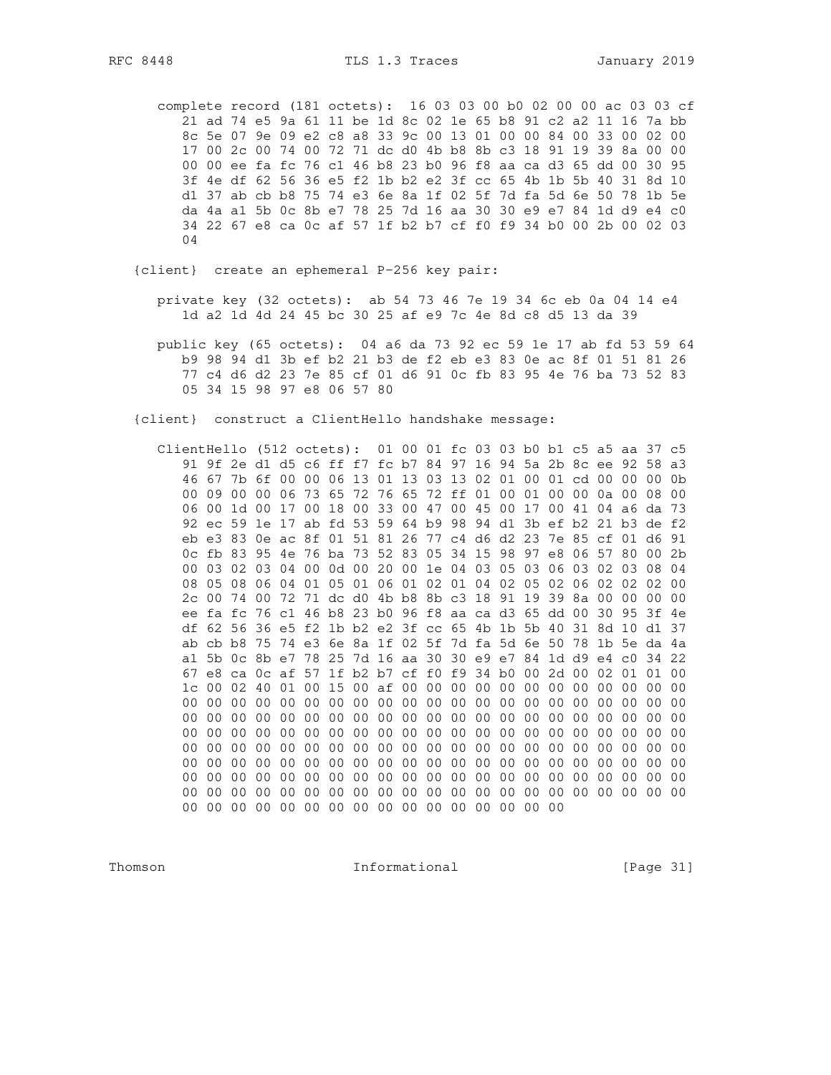complete record (181 octets): 16 03 03 00 b0 02 00 00 ac 03 03 cf 21 ad 74 e5 9a 61 11 be 1d 8c 02 1e 65 b8 91 c2 a2 11 16 7a bb 8c 5e 07 9e 09 e2 c8 a8 33 9c 00 13 01 00 00 84 00 33 00 02 00 17 00 2c 00 74 00 72 71 dc d0 4b b8 8b c3 18 91 19 39 8a 00 00 00 00 ee fa fc 76 c1 46 b8 23 b0 96 f8 aa ca d3 65 dd 00 30 95 3f 4e df 62 56 36 e5 f2 1b b2 e2 3f cc 65 4b 1b 5b 40 31 8d 10 d1 37 ab cb b8 75 74 e3 6e 8a 1f 02 5f 7d fa 5d 6e 50 78 1b 5e da 4a a1 5b 0c 8b e7 78 25 7d 16 aa 30 30 e9 e7 84 1d d9 e4 c0 34 22 67 e8 ca 0c af 57 1f b2 b7 cf f0 f9 34 b0 00 2b 00 02 03 04

{client} create an ephemeral P-256 key pair:

- private key (32 octets): ab 54 73 46 7e 19 34 6c eb 0a 04 14 e4 1d a2 1d 4d 24 45 bc 30 25 af e9 7c 4e 8d c8 d5 13 da 39
- public key (65 octets): 04 a6 da 73 92 ec 59 1e 17 ab fd 53 59 64 b9 98 94 d1 3b ef b2 21 b3 de f2 eb e3 83 0e ac 8f 01 51 81 26 77 c4 d6 d2 23 7e 85 cf 01 d6 91 0c fb 83 95 4e 76 ba 73 52 83 05 34 15 98 97 e8 06 57 80

{client} construct a ClientHello handshake message:

 ClientHello (512 octets): 01 00 01 fc 03 03 b0 b1 c5 a5 aa 37 c5 91 9f 2e d1 d5 c6 ff f7 fc b7 84 97 16 94 5a 2b 8c ee 92 58 a3 46 67 7b 6f 00 00 06 13 01 13 03 13 02 01 00 01 cd 00 00 00 0b 00 09 00 00 06 73 65 72 76 65 72 ff 01 00 01 00 00 0a 00 08 00 06 00 1d 00 17 00 18 00 33 00 47 00 45 00 17 00 41 04 a6 da 73 92 ec 59 1e 17 ab fd 53 59 64 b9 98 94 d1 3b ef b2 21 b3 de f2 eb e3 83 0e ac 8f 01 51 81 26 77 c4 d6 d2 23 7e 85 cf 01 d6 91 0c fb 83 95 4e 76 ba 73 52 83 05 34 15 98 97 e8 06 57 80 00 2b 00 03 02 03 04 00 0d 00 20 00 1e 04 03 05 03 06 03 02 03 08 04 08 05 08 06 04 01 05 01 06 01 02 01 04 02 05 02 06 02 02 02 00 2c 00 74 00 72 71 dc d0 4b b8 8b c3 18 91 19 39 8a 00 00 00 00 ee fa fc 76 c1 46 b8 23 b0 96 f8 aa ca d3 65 dd 00 30 95 3f 4e df 62 56 36 e5 f2 1b b2 e2 3f cc 65 4b 1b 5b 40 31 8d 10 d1 37 ab cb b8 75 74 e3 6e 8a 1f 02 5f 7d fa 5d 6e 50 78 1b 5e da 4a a1 5b 0c 8b e7 78 25 7d 16 aa 30 30 e9 e7 84 1d d9 e4 c0 34 22 67 e8 ca 0c af 57 1f b2 b7 cf f0 f9 34 b0 00 2d 00 02 01 01 00 1c 00 02 40 01 00 15 00 af 00 00 00 00 00 00 00 00 00 00 00 00 00 00 00 00 00 00 00 00 00 00 00 00 00 00 00 00 00 00 00 00 00 00 00 00 00 00 00 00 00 00 00 00 00 00 00 00 00 00 00 00 00 00 00 00 00 00 00 00 00 00 00 00 00 00 00 00 00 00 00 00 00 00 00 00 00 00 00 00 00 00 00 00 00 00 00 00 00 00 00 00 00 00 00 00 00 00 00 00 00 00 00 00 00 00 00 00 00 00 00 00 00 00 00 00 00 00 00 00 00 00 00 00 00 00 00 00 00 00 00 00 00 00 00 00 00 00 00 00 00 00 00 00 00 00 00 00 00 00 00 00 00 00 00 00 00 00 00 00 00 00 00 00 00 00 00 00 00 00 00 00 00 00 00

Thomson **Informational Informational** [Page 31]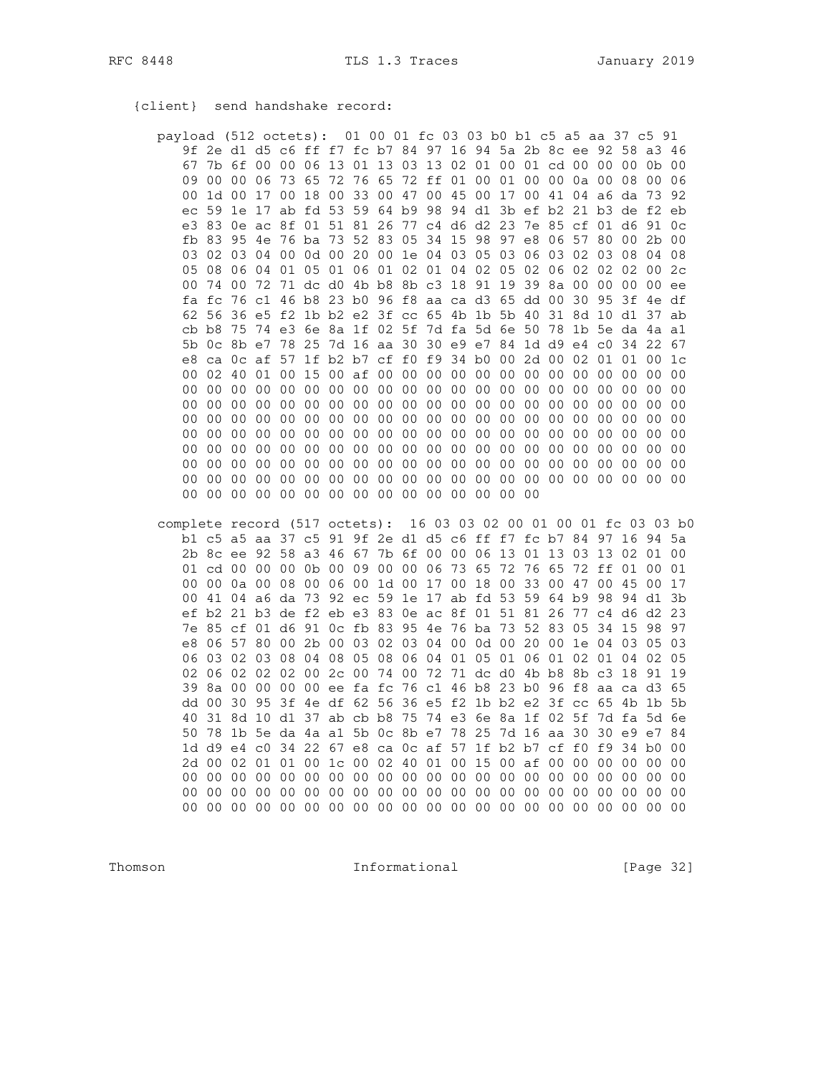{client} send handshake record:

| payload (512 octets): 01 00 01 fc 03 03 b0 b1 c5 a5 aa 37 c5 91 |                 |                 |                 |                 |                            |                 |                 |                 |                |    |                                              |    |                 |                |                |                 |                                                          |                 |                 |                |
|-----------------------------------------------------------------|-----------------|-----------------|-----------------|-----------------|----------------------------|-----------------|-----------------|-----------------|----------------|----|----------------------------------------------|----|-----------------|----------------|----------------|-----------------|----------------------------------------------------------|-----------------|-----------------|----------------|
|                                                                 |                 |                 |                 |                 |                            |                 |                 |                 |                |    |                                              |    |                 |                |                |                 | 9f 2e d1 d5 c6 ff f7 fc b7 84 97 16 94 5a 2b 8c ee 92 58 |                 | a3 46           |                |
| 67                                                              |                 |                 | 7b 6f 00        |                 |                            |                 |                 |                 |                |    |                                              |    |                 |                |                |                 | 00 06 13 01 13 03 13 02 01 00 01 cd 00 00                | 00              |                 | $0b$ $00$      |
| 09                                                              | 0 <sub>0</sub>  | 00.             | 06              | 73              | 65                         | 72              | 76              | 65              |                |    | 72 ff 01 00                                  |    | 01              | 0 <sub>0</sub> | 00             |                 | $0a$ $00$                                                | 08              | 0 <sub>0</sub>  | 06             |
| 00                                                              |                 | 1d 00           | 17              |                 | 00 18                      | 00              |                 |                 |                |    |                                              |    |                 |                |                |                 | 33 00 47 00 45 00 17 00 41 04 a6 da                      |                 | 73              | 92             |
| ec                                                              |                 |                 |                 |                 |                            |                 |                 |                 |                |    |                                              |    |                 |                |                |                 | 59 1e 17 ab fd 53 59 64 b9 98 94 d1 3b ef b2 21 b3 de    |                 |                 | f2 eb          |
| e3                                                              |                 |                 |                 |                 |                            |                 |                 |                 |                |    |                                              |    |                 |                |                |                 | 83 0e ac 8f 01 51 81 26 77 c4 d6 d2 23 7e 85 cf 01 d6    |                 |                 | 91 Oc          |
| fb                                                              | 83              | 95              |                 |                 | 4e 76 ba 73 52 83          |                 |                 |                 |                |    | 05 34 15 98                                  |    | 97              |                | e8 06          | 57              | 80                                                       | 0 <sub>0</sub>  |                 | $2b$ 00        |
| 03                                                              |                 | 02 03           | 04              |                 |                            |                 |                 |                 |                |    |                                              |    |                 |                |                |                 | 00 0d 00 20 00 1e 04 03 05 03 06 03 02 03                | 08              |                 | 04 08          |
| 0.5                                                             |                 | 08 06           | 04              | 01              | 0 <sub>5</sub>             |                 | 01 06           | 01              |                |    | 02 01 04 02                                  |    | 05              | 02             | 06             | 02              | 02                                                       | 02              |                 | 002c           |
| 00                                                              |                 | 74 00           |                 |                 |                            |                 |                 |                 |                |    | 72 71 dc d0 4b b8 8b c3 18 91 19 39 8a 00    |    |                 |                |                |                 | 00 <sup>o</sup>                                          | 00              |                 | $00$ ee        |
| fa                                                              |                 |                 |                 |                 |                            |                 |                 |                 |                |    | fc 76 c1 46 b8 23 b0 96 f8 aa ca d3 65 dd 00 |    |                 |                |                | 30              |                                                          | 95 3f 4e df     |                 |                |
|                                                                 | 62 56           |                 |                 |                 |                            |                 |                 |                 |                |    | 36 e5 f2 1b b2 e2 3f cc 65 4b 1b 5b 40       |    |                 |                |                |                 | 31 8d 10                                                 | d1              |                 | 37 ab          |
| cb                                                              | b8              | 75              |                 | 74 e3           |                            |                 |                 |                 |                |    | 6e 8a 1f 02 5f 7d fa 5d 6e 50                |    |                 |                | 78             |                 | 1b 5e da                                                 |                 |                 | 4a a1          |
| 5b                                                              | 0c 8b e7        |                 |                 |                 |                            |                 |                 |                 |                |    |                                              |    |                 |                |                |                 | 78 25 7d 16 aa 30 30 e9 e7 84 1d d9 e4 c0 34             |                 |                 | 22 67          |
| e8                                                              |                 |                 |                 |                 | ca 0c af 57 1f b2 b7 cf f0 |                 |                 |                 |                |    | f9 34 b0                                     |    | 00              |                | $2d$ 00        | 02 <sub>1</sub> | 01                                                       | 01              | 00              | 1c             |
| 00                                                              |                 | 02 40           | 01              |                 | 00 15 00 af 00             |                 |                 |                 |                |    | 00 00 00 00                                  |    | 00              | 00             | 00             | 00              | 0 <sub>0</sub>                                           | 00              | 00              | 00             |
| 00                                                              | 00 <sub>o</sub> | 00              | 00 <sup>o</sup> | 00 <sup>o</sup> | 00 <sub>0</sub>            |                 | 00 00           | 00              |                |    | 00 00 00 00                                  |    | 00              | 00             | 00             | 0 <sub>0</sub>  | 0 <sub>0</sub>                                           | 0 <sub>0</sub>  | 00 <sub>0</sub> | 0 <sub>0</sub> |
| 0 <sub>0</sub>                                                  | 0 <sub>0</sub>  | 00 <sup>o</sup> | 00              | 00              | 00                         | 00 <sup>o</sup> | 00              | 00 <sup>o</sup> | 00             |    | 00 00                                        | 00 | 00 <sup>1</sup> | 00             | 00             | 0 <sub>0</sub>  | 0 <sub>0</sub>                                           | 0 <sub>0</sub>  | 0 <sub>0</sub>  | 0 <sub>0</sub> |
| 00                                                              | 00 <sub>0</sub> | 00              | 00 <sup>o</sup> | 00 <sup>o</sup> | 0 <sub>0</sub>             | 00              | 00              | 00              | 00             | 00 | 00                                           | 00 | 00 <sup>o</sup> | 00             | 0 <sub>0</sub> | 0 <sub>0</sub>  | 0 <sub>0</sub>                                           | 0 <sub>0</sub>  | 00 <sub>0</sub> | 0 <sub>0</sub> |
| 00                                                              | 0 <sub>0</sub>  | 00 <sup>o</sup> | 00 <sup>o</sup> | 0 <sub>0</sub>  | 00                         | 00 <sub>o</sub> | 00              | 00              | 00             |    | 00 00                                        | 00 | 00 <sup>°</sup> | 00             | 00             | 00              | 0 <sub>0</sub>                                           | 0 <sub>0</sub>  | 00 <sub>0</sub> | 00             |
| 00                                                              | 0 <sub>0</sub>  | 0 <sub>0</sub>  | 0 <sub>0</sub>  | 0 <sub>0</sub>  | 0 <sub>0</sub>             | 0 <sub>0</sub>  | 00 <sup>o</sup> | 0 <sup>0</sup>  | 0 <sup>0</sup> | 00 | 00 <sup>o</sup>                              | 00 | 00 <sup>o</sup> | 0 <sub>0</sub> | 0 <sub>0</sub> | 0 <sub>0</sub>  | 0 <sub>0</sub>                                           | 0 <sub>0</sub>  | 0 <sub>0</sub>  | 0 <sub>0</sub> |
| 00                                                              | 0 <sub>0</sub>  | 00 <sup>o</sup> | 0 <sub>0</sub>  | 0 <sub>0</sub>  | 0 <sub>0</sub>             | 00 <sub>0</sub> | 00              | 00 <sub>o</sub> | 00             | 00 | 00                                           | 00 | 00              | 00             | 00             | 0 <sub>0</sub>  | 0 <sub>0</sub>                                           | 0 <sub>0</sub>  | 00              | 0 <sub>0</sub> |
| 00                                                              | 00              | 00 <sup>o</sup> | 00 <sup>o</sup> | 00 <sup>o</sup> | 0 <sub>0</sub>             | 00 <sup>o</sup> | 00              | 00              | 00             |    | 00 00 00                                     |    | 00              | 00             | 00             | 00 <sup>o</sup> | 00                                                       | 00 <sup>o</sup> | 00 <sup>o</sup> | 00             |
| 00 <sup>o</sup>                                                 | 0 <sub>0</sub>  | 00 <sup>o</sup> | 00 <sup>o</sup> | 00 <sup>o</sup> |                            |                 |                 | 00 00 00 00     |                |    | 00 00 00 00                                  |    | 00 <sup>o</sup> | 0 <sub>0</sub> |                |                 |                                                          |                 |                 |                |

complete record (517 octets): 16 03 03 02 00 01 00 01 fc 03 03 b0 b1 c5 a5 aa 37 c5 91 9f 2e d1 d5 c6 ff f7 fc b7 84 97 16 94 5a 2b 8c ee 92 58 a3 46 67 7b 6f 00 00 06 13 01 13 03 13 02 01 00 01 cd 00 00 00 0b 00 09 00 00 06 73 65 72 76 65 72 ff 01 00 01 00 00 0a 00 08 00 06 00 1d 00 17 00 18 00 33 00 47 00 45 00 17 00 41 04 a6 da 73 92 ec 59 1e 17 ab fd 53 59 64 b9 98 94 d1 3b ef b2 21 b3 de f2 eb e3 83 0e ac 8f 01 51 81 26 77 c4 d6 d2 23 7e 85 cf 01 d6 91 0c fb 83 95 4e 76 ba 73 52 83 05 34 15 98 97 e8 06 57 80 00 2b 00 03 02 03 04 00 0d 00 20 00 1e 04 03 05 03 06 03 02 03 08 04 08 05 08 06 04 01 05 01 06 01 02 01 04 02 05 02 06 02 02 02 00 2c 00 74 00 72 71 dc d0 4b b8 8b c3 18 91 19 39 8a 00 00 00 00 ee fa fc 76 c1 46 b8 23 b0 96 f8 aa ca d3 65 dd 00 30 95 3f 4e df 62 56 36 e5 f2 1b b2 e2 3f cc 65 4b 1b 5b 40 31 8d 10 d1 37 ab cb b8 75 74 e3 6e 8a 1f 02 5f 7d fa 5d 6e 50 78 1b 5e da 4a a1 5b 0c 8b e7 78 25 7d 16 aa 30 30 e9 e7 84 1d d9 e4 c0 34 22 67 e8 ca 0c af 57 1f b2 b7 cf f0 f9 34 b0 00 2d 00 02 01 01 00 1c 00 02 40 01 00 15 00 af 00 00 00 00 00 00 

Thomson

Informational

[Page 32]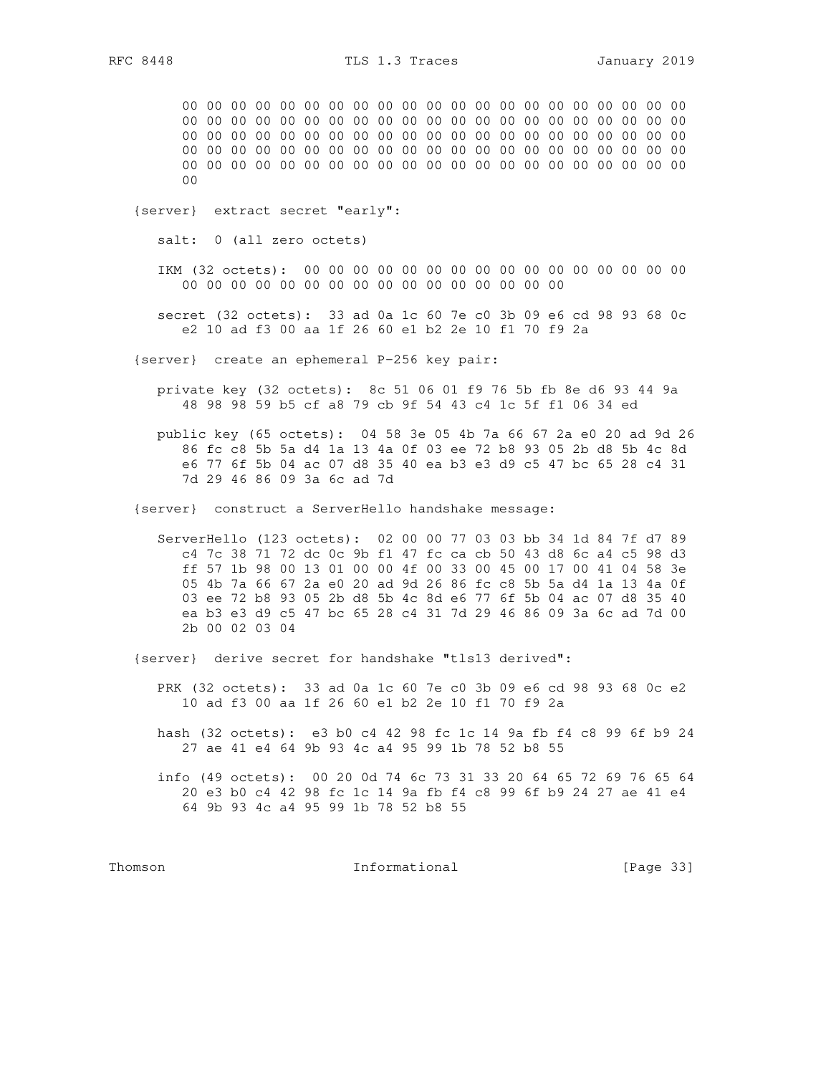00 00 00 00 00 00 00 00 00 00 00 00 00 00 00 00 00 00 00 00 00 00 00 00 00 00 00 00 00 00 00 00 00 00 00 00 00 00 00 00 00 00 00 00 00 00 00 00 00 00 00 00 00 00 00 00 00 00 00 00 00 00 00 00 00 00 00 00 00 00 00 00 00 00 00 00 00 00 00 00 00 00 00 00 00 00 00 00 00 00 00 00 00 00 00 00 00 00 00 00 00 00 00 00 00  $0<sub>0</sub>$ 

{server} extract secret "early":

salt: 0 (all zero octets)

 IKM (32 octets): 00 00 00 00 00 00 00 00 00 00 00 00 00 00 00 00 00 00 00 00 00 00 00 00 00 00 00 00 00 00 00 00

 secret (32 octets): 33 ad 0a 1c 60 7e c0 3b 09 e6 cd 98 93 68 0c e2 10 ad f3 00 aa 1f 26 60 e1 b2 2e 10 f1 70 f9 2a

{server} create an ephemeral P-256 key pair:

 private key (32 octets): 8c 51 06 01 f9 76 5b fb 8e d6 93 44 9a 48 98 98 59 b5 cf a8 79 cb 9f 54 43 c4 1c 5f f1 06 34 ed

 public key (65 octets): 04 58 3e 05 4b 7a 66 67 2a e0 20 ad 9d 26 86 fc c8 5b 5a d4 1a 13 4a 0f 03 ee 72 b8 93 05 2b d8 5b 4c 8d e6 77 6f 5b 04 ac 07 d8 35 40 ea b3 e3 d9 c5 47 bc 65 28 c4 31 7d 29 46 86 09 3a 6c ad 7d

{server} construct a ServerHello handshake message:

 ServerHello (123 octets): 02 00 00 77 03 03 bb 34 1d 84 7f d7 89 c4 7c 38 71 72 dc 0c 9b f1 47 fc ca cb 50 43 d8 6c a4 c5 98 d3 ff 57 1b 98 00 13 01 00 00 4f 00 33 00 45 00 17 00 41 04 58 3e 05 4b 7a 66 67 2a e0 20 ad 9d 26 86 fc c8 5b 5a d4 1a 13 4a 0f 03 ee 72 b8 93 05 2b d8 5b 4c 8d e6 77 6f 5b 04 ac 07 d8 35 40 ea b3 e3 d9 c5 47 bc 65 28 c4 31 7d 29 46 86 09 3a 6c ad 7d 00 2b 00 02 03 04

{server} derive secret for handshake "tls13 derived":

- PRK (32 octets): 33 ad 0a 1c 60 7e c0 3b 09 e6 cd 98 93 68 0c e2 10 ad f3 00 aa 1f 26 60 e1 b2 2e 10 f1 70 f9 2a
- hash (32 octets): e3 b0 c4 42 98 fc 1c 14 9a fb f4 c8 99 6f b9 24 27 ae 41 e4 64 9b 93 4c a4 95 99 1b 78 52 b8 55

 info (49 octets): 00 20 0d 74 6c 73 31 33 20 64 65 72 69 76 65 64 20 e3 b0 c4 42 98 fc 1c 14 9a fb f4 c8 99 6f b9 24 27 ae 41 e4 64 9b 93 4c a4 95 99 1b 78 52 b8 55

Thomson **Informational Informational** [Page 33]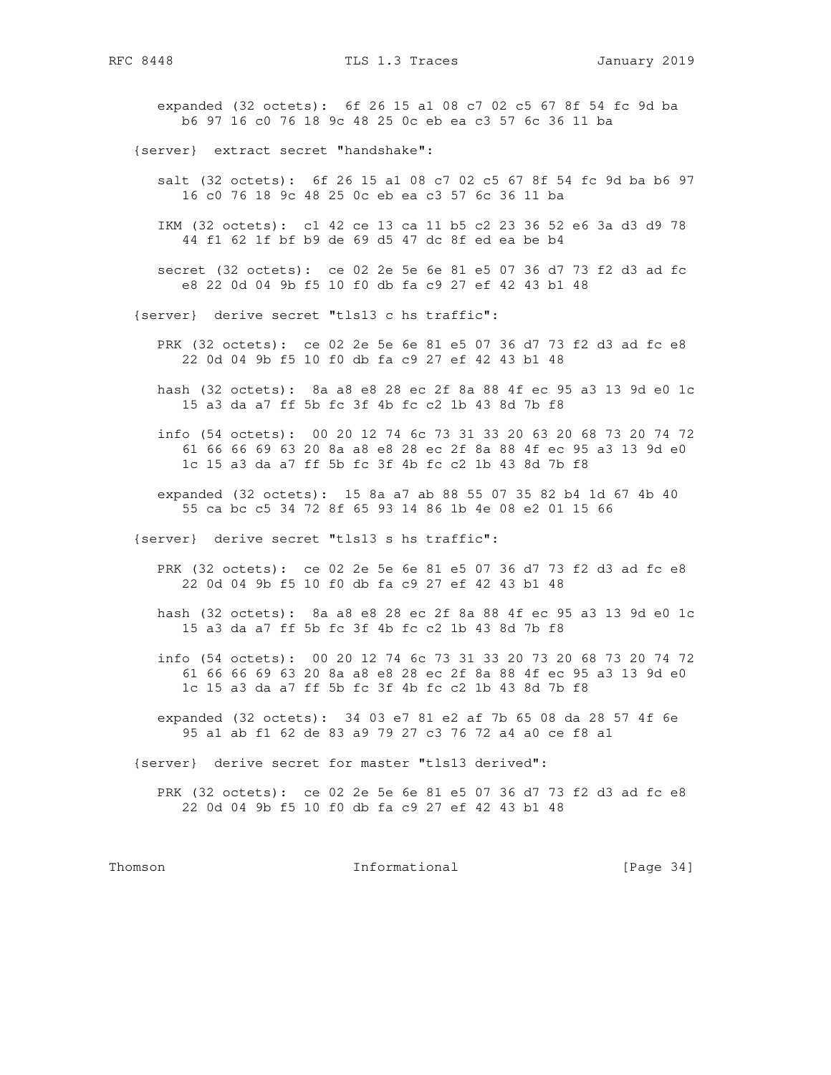expanded (32 octets): 6f 26 15 a1 08 c7 02 c5 67 8f 54 fc 9d ba b6 97 16 c0 76 18 9c 48 25 0c eb ea c3 57 6c 36 11 ba

{server} extract secret "handshake":

 salt (32 octets): 6f 26 15 a1 08 c7 02 c5 67 8f 54 fc 9d ba b6 97 16 c0 76 18 9c 48 25 0c eb ea c3 57 6c 36 11 ba

 IKM (32 octets): c1 42 ce 13 ca 11 b5 c2 23 36 52 e6 3a d3 d9 78 44 f1 62 1f bf b9 de 69 d5 47 dc 8f ed ea be b4

 secret (32 octets): ce 02 2e 5e 6e 81 e5 07 36 d7 73 f2 d3 ad fc e8 22 0d 04 9b f5 10 f0 db fa c9 27 ef 42 43 b1 48

{server} derive secret "tls13 c hs traffic":

 PRK (32 octets): ce 02 2e 5e 6e 81 e5 07 36 d7 73 f2 d3 ad fc e8 22 0d 04 9b f5 10 f0 db fa c9 27 ef 42 43 b1 48

 hash (32 octets): 8a a8 e8 28 ec 2f 8a 88 4f ec 95 a3 13 9d e0 1c 15 a3 da a7 ff 5b fc 3f 4b fc c2 1b 43 8d 7b f8

 info (54 octets): 00 20 12 74 6c 73 31 33 20 63 20 68 73 20 74 72 61 66 66 69 63 20 8a a8 e8 28 ec 2f 8a 88 4f ec 95 a3 13 9d e0 1c 15 a3 da a7 ff 5b fc 3f 4b fc c2 1b 43 8d 7b f8

 expanded (32 octets): 15 8a a7 ab 88 55 07 35 82 b4 1d 67 4b 40 55 ca bc c5 34 72 8f 65 93 14 86 1b 4e 08 e2 01 15 66

{server} derive secret "tls13 s hs traffic":

- PRK (32 octets): ce 02 2e 5e 6e 81 e5 07 36 d7 73 f2 d3 ad fc e8 22 0d 04 9b f5 10 f0 db fa c9 27 ef 42 43 b1 48
- hash (32 octets): 8a a8 e8 28 ec 2f 8a 88 4f ec 95 a3 13 9d e0 1c 15 a3 da a7 ff 5b fc 3f 4b fc c2 1b 43 8d 7b f8
- info (54 octets): 00 20 12 74 6c 73 31 33 20 73 20 68 73 20 74 72 61 66 66 69 63 20 8a a8 e8 28 ec 2f 8a 88 4f ec 95 a3 13 9d e0 1c 15 a3 da a7 ff 5b fc 3f 4b fc c2 1b 43 8d 7b f8
- expanded (32 octets): 34 03 e7 81 e2 af 7b 65 08 da 28 57 4f 6e 95 a1 ab f1 62 de 83 a9 79 27 c3 76 72 a4 a0 ce f8 a1

{server} derive secret for master "tls13 derived":

 PRK (32 octets): ce 02 2e 5e 6e 81 e5 07 36 d7 73 f2 d3 ad fc e8 22 0d 04 9b f5 10 f0 db fa c9 27 ef 42 43 b1 48

Thomson **Informational Informational** [Page 34]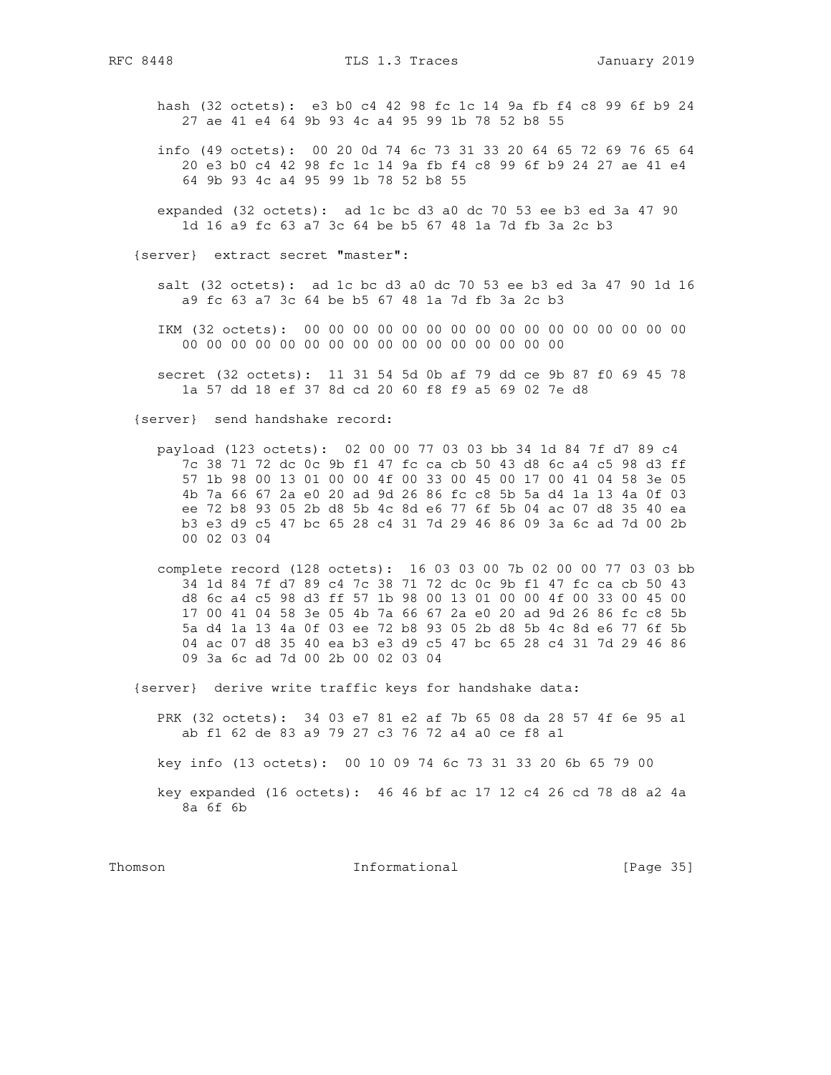- hash (32 octets): e3 b0 c4 42 98 fc 1c 14 9a fb f4 c8 99 6f b9 24 27 ae 41 e4 64 9b 93 4c a4 95 99 1b 78 52 b8 55
- info (49 octets): 00 20 0d 74 6c 73 31 33 20 64 65 72 69 76 65 64 20 e3 b0 c4 42 98 fc 1c 14 9a fb f4 c8 99 6f b9 24 27 ae 41 e4 64 9b 93 4c a4 95 99 1b 78 52 b8 55
- expanded (32 octets): ad 1c bc d3 a0 dc 70 53 ee b3 ed 3a 47 90 1d 16 a9 fc 63 a7 3c 64 be b5 67 48 1a 7d fb 3a 2c b3

{server} extract secret "master":

- salt (32 octets): ad 1c bc d3 a0 dc 70 53 ee b3 ed 3a 47 90 1d 16 a9 fc 63 a7 3c 64 be b5 67 48 1a 7d fb 3a 2c b3
- IKM (32 octets): 00 00 00 00 00 00 00 00 00 00 00 00 00 00 00 00 00 00 00 00 00 00 00 00 00 00 00 00 00 00 00 00
- secret (32 octets): 11 31 54 5d 0b af 79 dd ce 9b 87 f0 69 45 78 1a 57 dd 18 ef 37 8d cd 20 60 f8 f9 a5 69 02 7e d8

{server} send handshake record:

- payload (123 octets): 02 00 00 77 03 03 bb 34 1d 84 7f d7 89 c4 7c 38 71 72 dc 0c 9b f1 47 fc ca cb 50 43 d8 6c a4 c5 98 d3 ff 57 1b 98 00 13 01 00 00 4f 00 33 00 45 00 17 00 41 04 58 3e 05 4b 7a 66 67 2a e0 20 ad 9d 26 86 fc c8 5b 5a d4 1a 13 4a 0f 03 ee 72 b8 93 05 2b d8 5b 4c 8d e6 77 6f 5b 04 ac 07 d8 35 40 ea b3 e3 d9 c5 47 bc 65 28 c4 31 7d 29 46 86 09 3a 6c ad 7d 00 2b 00 02 03 04
- complete record (128 octets): 16 03 03 00 7b 02 00 00 77 03 03 bb 34 1d 84 7f d7 89 c4 7c 38 71 72 dc 0c 9b f1 47 fc ca cb 50 43 d8 6c a4 c5 98 d3 ff 57 1b 98 00 13 01 00 00 4f 00 33 00 45 00 17 00 41 04 58 3e 05 4b 7a 66 67 2a e0 20 ad 9d 26 86 fc c8 5b 5a d4 1a 13 4a 0f 03 ee 72 b8 93 05 2b d8 5b 4c 8d e6 77 6f 5b 04 ac 07 d8 35 40 ea b3 e3 d9 c5 47 bc 65 28 c4 31 7d 29 46 86 09 3a 6c ad 7d 00 2b 00 02 03 04
- {server} derive write traffic keys for handshake data:
	- PRK (32 octets): 34 03 e7 81 e2 af 7b 65 08 da 28 57 4f 6e 95 a1 ab f1 62 de 83 a9 79 27 c3 76 72 a4 a0 ce f8 a1

key info (13 octets): 00 10 09 74 6c 73 31 33 20 6b 65 79 00

 key expanded (16 octets): 46 46 bf ac 17 12 c4 26 cd 78 d8 a2 4a 8a 6f 6b

Thomson **Informational Informational** [Page 35]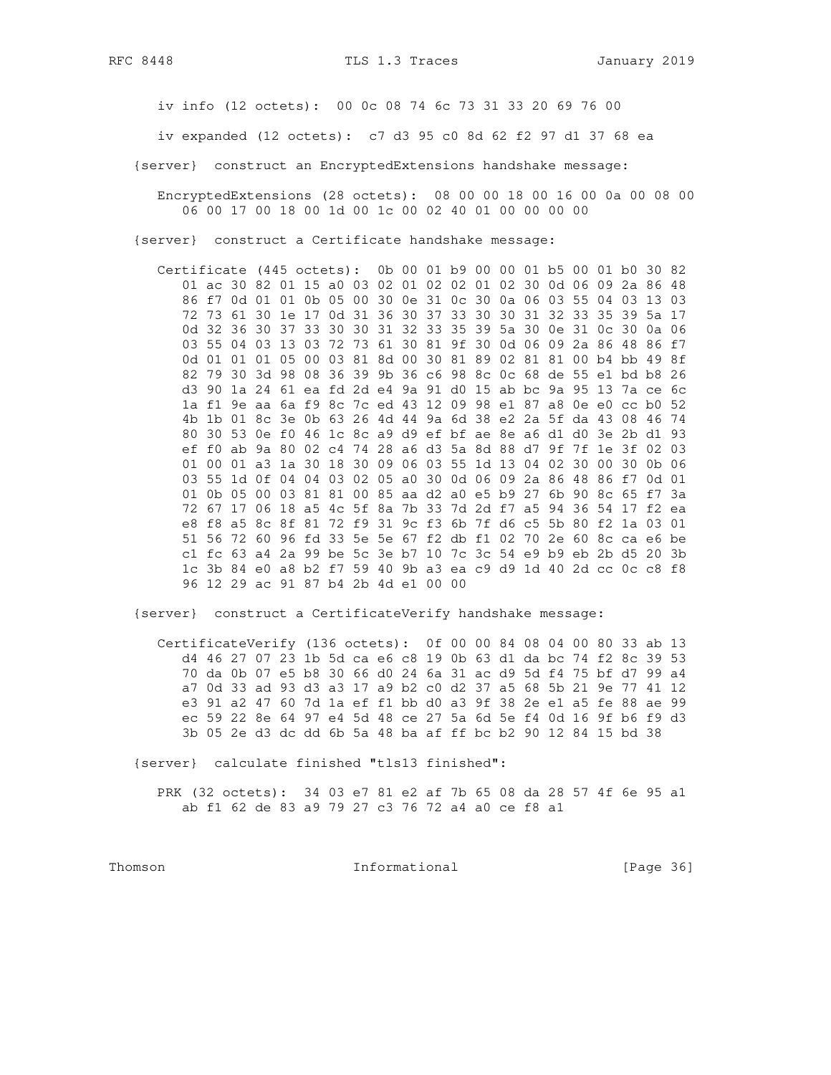RFC 8448

iv info (12 octets): 00 0c 08 74 6c 73 31 33 20 69 76 00

iv expanded (12 octets): c7 d3 95 c0 8d 62 f2 97 d1 37 68 ea

{server} construct an EncryptedExtensions handshake message:

EncryptedExtensions (28 octets): 08 00 00 18 00 16 00 0a 00 08 00 06 00 17 00 18 00 1d 00 1c 00 02 40 01 00 00 00 00

{server} construct a Certificate handshake message:

Certificate (445 octets): 0b 00 01 b9 00 00 01 b5 00 01 b0 30 82 01 ac 30 82 01 15 a0 03 02 01 02 02 01 02 30 0d 06 09 2a 86 48 86 f7 0d 01 01 0b 05 00 30 0e 31 0c 30 0a 06 03 55 04 03 13 03 72 73 61 30 1e 17 0d 31 36 30 37 33 30 30 31 32 33 35 39 5a 17 0d 32 36 30 37 33 30 30 31 32 33 35 39 5a 30 0e 31 0c 30 0a 06 03 55 04 03 13 03 72 73 61 30 81 9f 30 0d 06 09 2a 86 48 86 f7 0d 01 01 01 05 00 03 81 8d 00 30 81 89 02 81 81 00 b4 bb 49 8f 82 79 30 3d 98 08 36 39 9b 36 c6 98 8c 0c 68 de 55 e1 bd b8 26 d3 90 1a 24 61 ea fd 2d e4 9a 91 d0 15 ab bc 9a 95 13 7a ce 6c 1a f1 9e aa 6a f9 8c 7c ed 43 12 09 98 e1 87 a8 0e e0 cc b0 52 4b 1b 01 8c 3e 0b 63 26 4d 44 9a 6d 38 e2 2a 5f da 43 08 46 74 80 30 53 0e f0 46 1c 8c a9 d9 ef bf ae 8e a6 d1 d0 3e 2b d1 93 ef f0 ab 9a 80 02 c4 74 28 a6 d3 5a 8d 88 d7 9f 7f 1e 3f 02 03 01 00 01 a3 1a 30 18 30 09 06 03 55 1d 13 04 02 30 00 30 0b 06 03 55 1d 0f 04 04 03 02 05 a0 30 0d 06 09 2a 86 48 86 f7 0d 01 01 0b 05 00 03 81 81 00 85 aa d2 a0 e5 b9 27 6b 90 8c 65 f7 3a 72 67 17 06 18 a5 4c 5f 8a 7b 33 7d 2d f7 a5 94 36 54 17 f2 ea e8 f8 a5 8c 8f 81 72 f9 31 9c f3 6b 7f d6 c5 5b 80 f2 1a 03 01 51 56 72 60 96 fd 33 5e 5e 67 f2 db f1 02 70 2e 60 8c ca e6 be c1 fc 63 a4 2a 99 be 5c 3e b7 10 7c 3c 54 e9 b9 eb 2b d5 20 3b 1c 3b 84 e0 a8 b2 f7 59 40 9b a3 ea c9 d9 1d 40 2d cc 0c c8 f8 96 12 29 ac 91 87 b4 2b 4d e1 00 00

{server} construct a CertificateVerify handshake message:

CertificateVerify (136 octets): 0f 00 00 84 08 04 00 80 33 ab 13 d4 46 27 07 23 1b 5d ca e6 c8 19 0b 63 d1 da bc 74 f2 8c 39 53 70 da 0b 07 e5 b8 30 66 d0 24 6a 31 ac d9 5d f4 75 bf d7 99 a4 a7 0d 33 ad 93 d3 a3 17 a9 b2 c0 d2 37 a5 68 5b 21 9e 77 41 12 e3 91 a2 47 60 7d 1a ef f1 bb d0 a3 9f 38 2e e1 a5 fe 88 ae 99 ec 59 22 8e 64 97 e4 5d 48 ce 27 5a 6d 5e f4 0d 16 9f b6 f9 d3 3b 05 2e d3 dc dd 6b 5a 48 ba af ff bc b2 90 12 84 15 bd 38

{server} calculate finished "tls13 finished":

PRK (32 octets): 34 03 e7 81 e2 af 7b 65 08 da 28 57 4f 6e 95 al ab f1 62 de 83 a9 79 27 c3 76 72 a4 a0 ce f8 a1

Thomson

Informational

[Page 36]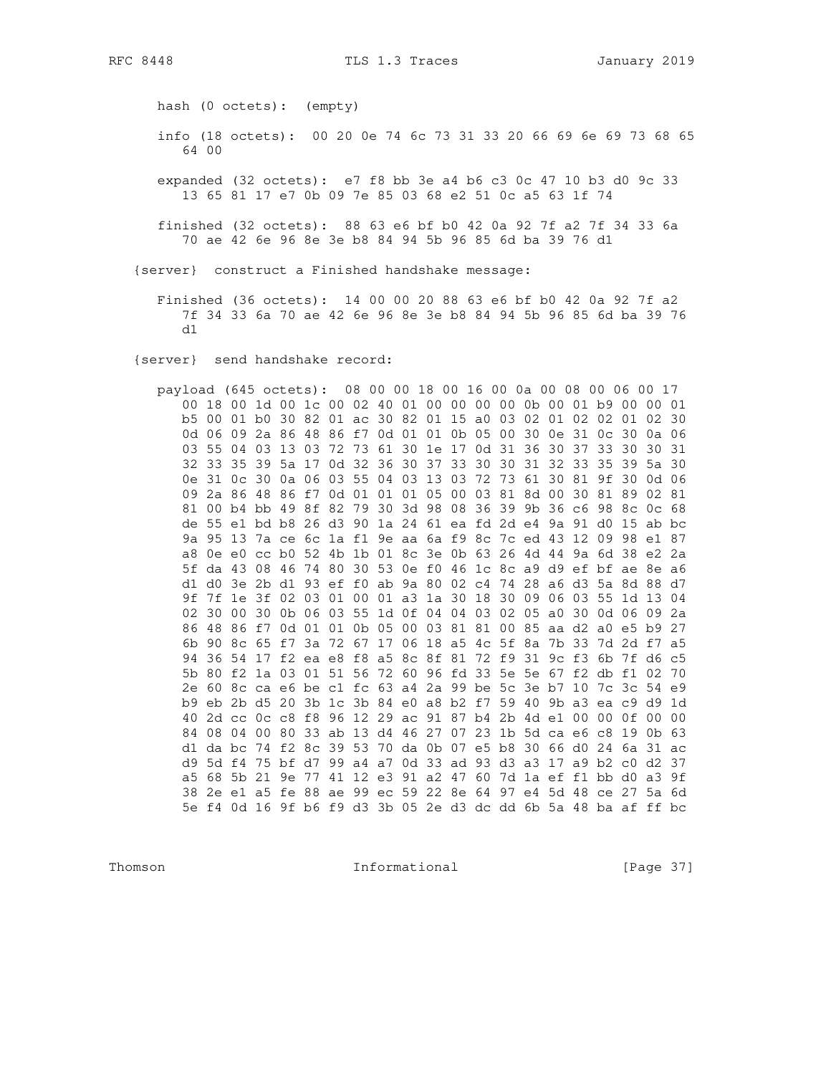hash (0 octets): (empty)

- info (18 octets): 00 20 0e 74 6c 73 31 33 20 66 69 6e 69 73 68 65 64 00
- expanded (32 octets): e7 f8 bb 3e a4 b6 c3 0c 47 10 b3 d0 9c 33 13 65 81 17 e7 0b 09 7e 85 03 68 e2 51 0c a5 63 1f 74
- finished (32 octets): 88 63 e6 bf b0 42 0a 92 7f a2 7f 34 33 6a 70 ae 42 6e 96 8e 3e b8 84 94 5b 96 85 6d ba 39 76 d1

{server} construct a Finished handshake message:

Finished (36 octets): 14 00 00 20 88 63 e6 bf b0 42 0a 92 7f a2 7f 34 33 6a 70 ae 42 6e 96 8e 3e b8 84 94 5b 96 85 6d ba 39 76  $d1$ 

{server} send handshake record:

payload (645 octets): 08 00 00 18 00 16 00 0a 00 08 00 06 00 17 00 18 00 1d 00 1c 00 02 40 01 00 00 00 00 0b 00 01 b9 00 00 01 b5 00 01 b0 30 82 01 ac 30 82 01 15 a0 03 02 01 02 02 01 02 30 0d 06 09 2a 86 48 86 f7 0d 01 01 0b 05 00 30 0e 31 0c 30 0a 06 03 55 04 03 13 03 72 73 61 30 1e 17 0d 31 36 30 37 33 30 30 31 32 33 35 39 5a 17 0d 32 36 30 37 33 30 30 31 32 33 35 39 5a 30 0e 31 0c 30 0a 06 03 55 04 03 13 03 72 73 61 30 81 9f 30 0d 06 09 2a 86 48 86 f7 0d 01 01 01 05 00 03 81 8d 00 30 81 89 02 81 81 00 b4 bb 49 8f 82 79 30 3d 98 08 36 39 9b 36 c6 98 8c 0c 68 de 55 e1 bd b8 26 d3 90 1a 24 61 ea fd 2d e4 9a 91 d0 15 ab bc 9a 95 13 7a ce 6c 1a f1 9e aa 6a f9 8c 7c ed 43 12 09 98 e1 87 a8 0e e0 cc b0 52 4b 1b 01 8c 3e 0b 63 26 4d 44 9a 6d 38 e2 2a 5f da 43 08 46 74 80 30 53 0e f0 46 1c 8c a9 d9 ef bf ae 8e a6 d1 d0 3e 2b d1 93 ef f0 ab 9a 80 02 c4 74 28 a6 d3 5a 8d 88 d7 9f 7f 1e 3f 02 03 01 00 01 a3 1a 30 18 30 09 06 03 55 1d 13 04 02 30 00 30 0b 06 03 55 1d 0f 04 04 03 02 05 a0 30 0d 06 09 2a 86 48 86 f7 0d 01 01 0b 05 00 03 81 81 00 85 aa d2 a0 e5 b9 27 6b 90 8c 65 f7 3a 72 67 17 06 18 a5 4c 5f 8a 7b 33 7d 2d f7 a5 94 36 54 17 f2 ea e8 f8 a5 8c 8f 81 72 f9 31 9c f3 6b 7f d6 c5 5b 80 f2 1a 03 01 51 56 72 60 96 fd 33 5e 5e 67 f2 db f1 02 70 2e 60 8c ca e6 be c1 fc 63 a4 2a 99 be 5c 3e b7 10 7c 3c 54 e9 b9 eb 2b d5 20 3b 1c 3b 84 e0 a8 b2 f7 59 40 9b a3 ea c9 d9 1d 40 2d cc 0c c8 f8 96 12 29 ac 91 87 b4 2b 4d e1 00 00 0f 00 00 84 08 04 00 80 33 ab 13 d4 46 27 07 23 1b 5d ca e6 c8 19 0b 63 d1 da bc 74 f2 8c 39 53 70 da 0b 07 e5 b8 30 66 d0 24 6a 31 ac d9 5d f4 75 bf d7 99 a4 a7 0d 33 ad 93 d3 a3 17 a9 b2 c0 d2 37 a5 68 5b 21 9e 77 41 12 e3 91 a2 47 60 7d 1a ef f1 bb d0 a3 9f 38 2e e1 a5 fe 88 ae 99 ec 59 22 8e 64 97 e4 5d 48 ce 27 5a 6d 5e f4 0d 16 9f b6 f9 d3 3b 05 2e d3 dc dd 6b 5a 48 ba af ff bc

Thomson

Informational

[Page 37]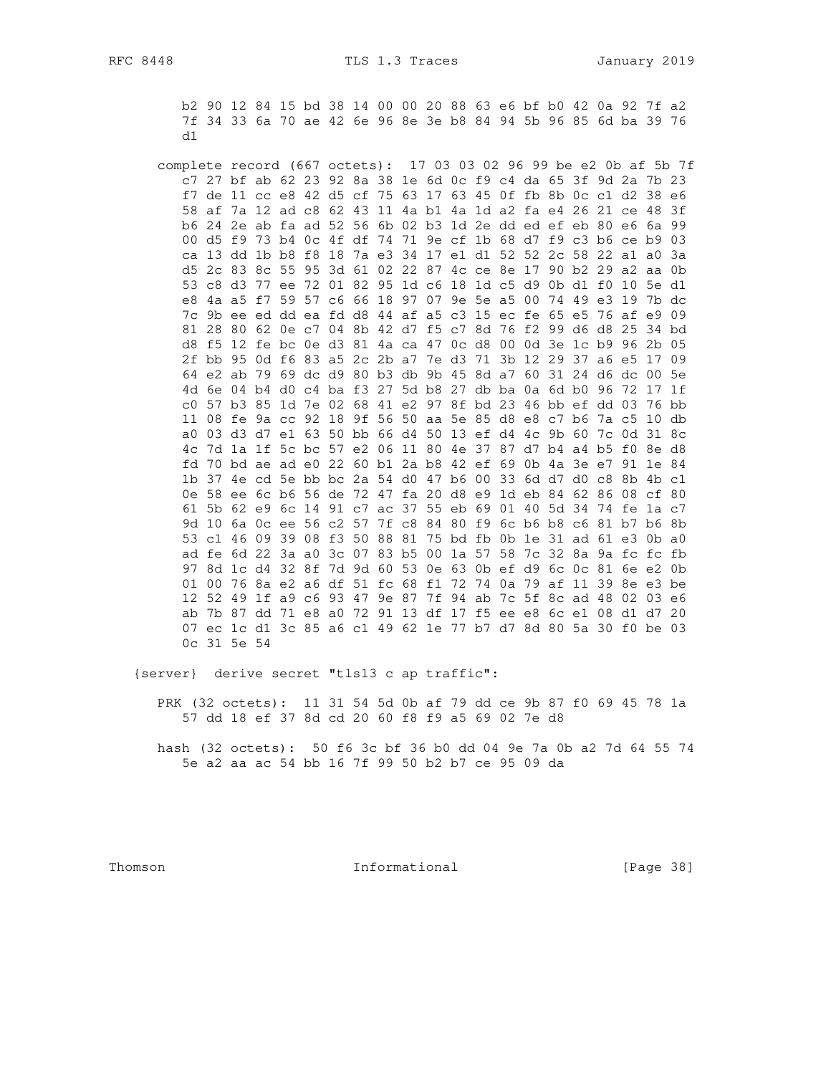b2 90 12 84 15 bd 38 14 00 00 20 88 63 e6 bf b0 42 0a 92 7f a2 7f 34 33 6a 70 ae 42 6e 96 8e 3e b8 84 94 5b 96 85 6d ba 39 76  $d1$ 

complete record (667 octets): 17 03 03 02 96 99 be e2 0b af 5b 7f c7 27 bf ab 62 23 92 8a 38 1e 6d 0c f9 c4 da 65 3f 9d 2a 7b 23 f7 de 11 cc e8 42 d5 cf 75 63 17 63 45 0f fb 8b 0c c1 d2 38 e6 58 af 7a 12 ad c8 62 43 11 4a b1 4a 1d a2 fa e4 26 21 ce 48 3f b6 24 2e ab fa ad 52 56 6b 02 b3 1d 2e dd ed ef eb 80 e6 6a 99 00 d5 f9 73 b4 0c 4f df 74 71 9e cf 1b 68 d7 f9 c3 b6 ce b9 03 ca 13 dd 1b b8 f8 18 7a e3 34 17 e1 d1 52 52 2c 58 22 a1 a0 3a d5 2c 83 8c 55 95 3d 61 02 22 87 4c ce 8e 17 90 b2 29 a2 aa 0b 53 c8 d3 77 ee 72 01 82 95 1d c6 18 1d c5 d9 0b d1 f0 10 5e d1 e8 4a a5 f7 59 57 c6 66 18 97 07 9e 5e a5 00 74 49 e3 19 7b dc 7c 9b ee ed dd ea fd d8 44 af a5 c3 15 ec fe 65 e5 76 af e9 09 81 28 80 62 0e c7 04 8b 42 d7 f5 c7 8d 76 f2 99 d6 d8 25 34 bd d8 f5 12 fe bc 0e d3 81 4a ca 47 0c d8 00 0d 3e 1c b9 96 2b 05 2f bb 95 0d f6 83 a5 2c 2b a7 7e d3 71 3b 12 29 37 a6 e5 17 09 64 e2 ab 79 69 dc d9 80 b3 db 9b 45 8d a7 60 31 24 d6 dc 00 5e 4d 6e 04 b4 d0 c4 ba f3 27 5d b8 27 db ba 0a 6d b0 96 72 17 1f c0 57 b3 85 1d 7e 02 68 41 e2 97 8f bd 23 46 bb ef dd 03 76 bb 11 08 fe 9a cc 92 18 9f 56 50 aa 5e 85 d8 e8 c7 b6 7a c5 10 db a0 03 d3 d7 e1 63 50 bb 66 d4 50 13 ef d4 4c 9b 60 7c 0d 31 8c 4c 7d 1a 1f 5c bc 57 e2 06 11 80 4e 37 87 d7 b4 a4 b5 f0 8e d8 fd 70 bd ae ad e0 22 60 b1 2a b8 42 ef 69 0b 4a 3e e7 91 1e 84 1b 37 4e cd 5e bb bc 2a 54 d0 47 b6 00 33 6d d7 d0 c8 8b 4b c1 0e 58 ee 6c b6 56 de 72 47 fa 20 d8 e9 1d eb 84 62 86 08 cf 80 61 5b 62 e9 6c 14 91 c7 ac 37 55 eb 69 01 40 5d 34 74 fe 1a c7 9d 10 6a 0c ee 56 c2 57 7f c8 84 80 f9 6c b6 b8 c6 81 b7 b6 8b 53 c1 46 09 39 08 f3 50 88 81 75 bd fb 0b 1e 31 ad 61 e3 0b a0 ad fe 6d 22 3a a0 3c 07 83 b5 00 1a 57 58 7c 32 8a 9a fc fc fb 97 8d 1c d4 32 8f 7d 9d 60 53 0e 63 0b ef d9 6c 0c 81 6e e2 0b 01 00 76 8a e2 a6 df 51 fc 68 f1 72 74 0a 79 af 11 39 8e e3 be 12 52 49 1f a9 c6 93 47 9e 87 7f 94 ab 7c 5f 8c ad 48 02 03 e6 ab 7b 87 dd 71 e8 a0 72 91 13 df 17 f5 ee e8 6c e1 08 d1 d7 20 07 ec 1c d1 3c 85 a6 c1 49 62 1e 77 b7 d7 8d 80 5a 30 f0 be 03 Oc 31 5e 54

{server} derive secret "tls13 c ap traffic":

PRK (32 octets): 11 31 54 5d 0b af 79 dd ce 9b 87 f0 69 45 78 1a 57 dd 18 ef 37 8d cd 20 60 f8 f9 a5 69 02 7e d8

hash (32 octets): 50 f6 3c bf 36 b0 dd 04 9e 7a 0b a2 7d 64 55 74 5e a2 aa ac 54 bb 16 7f 99 50 b2 b7 ce 95 09 da

Thomson

Informational

[Page 38]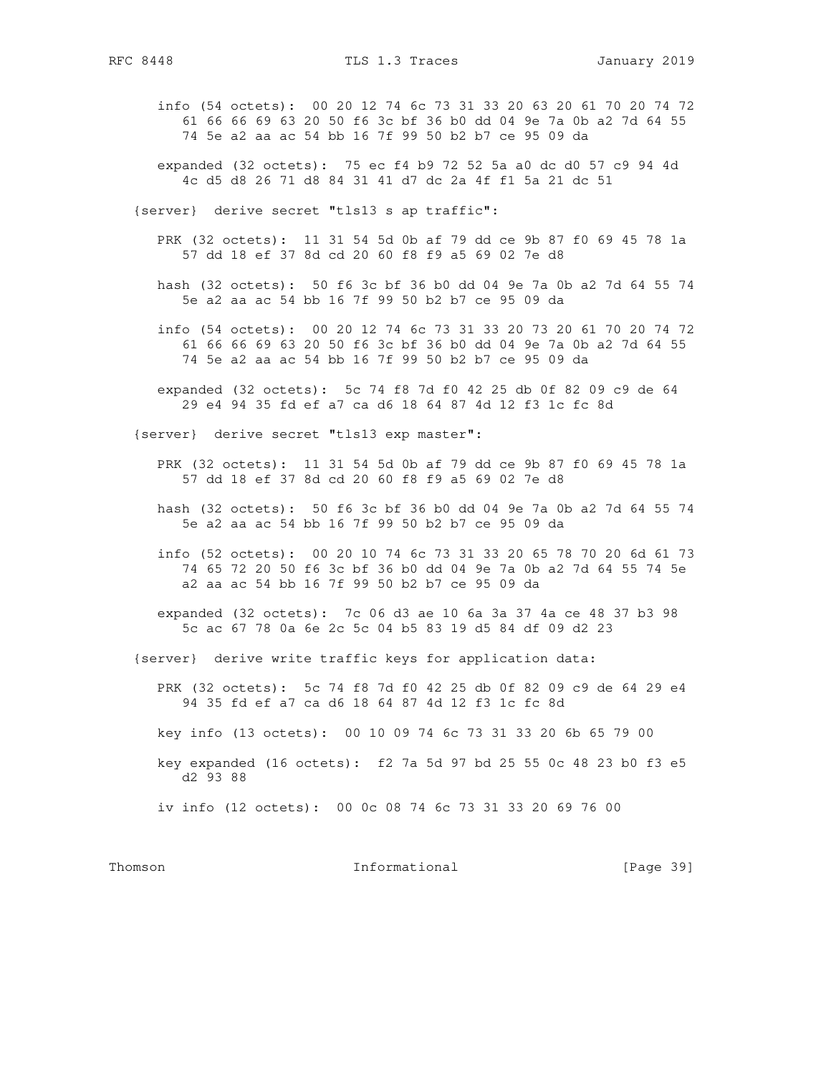- info (54 octets): 00 20 12 74 6c 73 31 33 20 63 20 61 70 20 74 72 61 66 66 69 63 20 50 f6 3c bf 36 b0 dd 04 9e 7a 0b a2 7d 64 55 74 5e a2 aa ac 54 bb 16 7f 99 50 b2 b7 ce 95 09 da
- expanded (32 octets): 75 ec f4 b9 72 52 5a a0 dc d0 57 c9 94 4d 4c d5 d8 26 71 d8 84 31 41 d7 dc 2a 4f f1 5a 21 dc 51
- {server} derive secret "tls13 s ap traffic":
	- PRK (32 octets): 11 31 54 5d 0b af 79 dd ce 9b 87 f0 69 45 78 1a 57 dd 18 ef 37 8d cd 20 60 f8 f9 a5 69 02 7e d8
	- hash (32 octets): 50 f6 3c bf 36 b0 dd 04 9e 7a 0b a2 7d 64 55 74 5e a2 aa ac 54 bb 16 7f 99 50 b2 b7 ce 95 09 da
	- info (54 octets): 00 20 12 74 6c 73 31 33 20 73 20 61 70 20 74 72 61 66 66 69 63 20 50 f6 3c bf 36 b0 dd 04 9e 7a 0b a2 7d 64 55 74 5e a2 aa ac 54 bb 16 7f 99 50 b2 b7 ce 95 09 da
	- expanded (32 octets): 5c 74 f8 7d f0 42 25 db 0f 82 09 c9 de 64 29 e4 94 35 fd ef a7 ca d6 18 64 87 4d 12 f3 1c fc 8d
- {server} derive secret "tls13 exp master":
	- PRK (32 octets): 11 31 54 5d 0b af 79 dd ce 9b 87 f0 69 45 78 1a 57 dd 18 ef 37 8d cd 20 60 f8 f9 a5 69 02 7e d8
	- hash (32 octets): 50 f6 3c bf 36 b0 dd 04 9e 7a 0b a2 7d 64 55 74 5e a2 aa ac 54 bb 16 7f 99 50 b2 b7 ce 95 09 da
	- info (52 octets): 00 20 10 74 6c 73 31 33 20 65 78 70 20 6d 61 73 74 65 72 20 50 f6 3c bf 36 b0 dd 04 9e 7a 0b a2 7d 64 55 74 5e a2 aa ac 54 bb 16 7f 99 50 b2 b7 ce 95 09 da
	- expanded (32 octets): 7c 06 d3 ae 10 6a 3a 37 4a ce 48 37 b3 98 5c ac 67 78 0a 6e 2c 5c 04 b5 83 19 d5 84 df 09 d2 23
- {server} derive write traffic keys for application data:
	- PRK (32 octets): 5c 74 f8 7d f0 42 25 db 0f 82 09 c9 de 64 29 e4 94 35 fd ef a7 ca d6 18 64 87 4d 12 f3 1c fc 8d
	- key info (13 octets): 00 10 09 74 6c 73 31 33 20 6b 65 79 00
	- key expanded (16 octets): f2 7a 5d 97 bd 25 55 0c 48 23 b0 f3 e5 d2 93 88
	- iv info (12 octets): 00 0c 08 74 6c 73 31 33 20 69 76 00

Thomson **Informational Informational** [Page 39]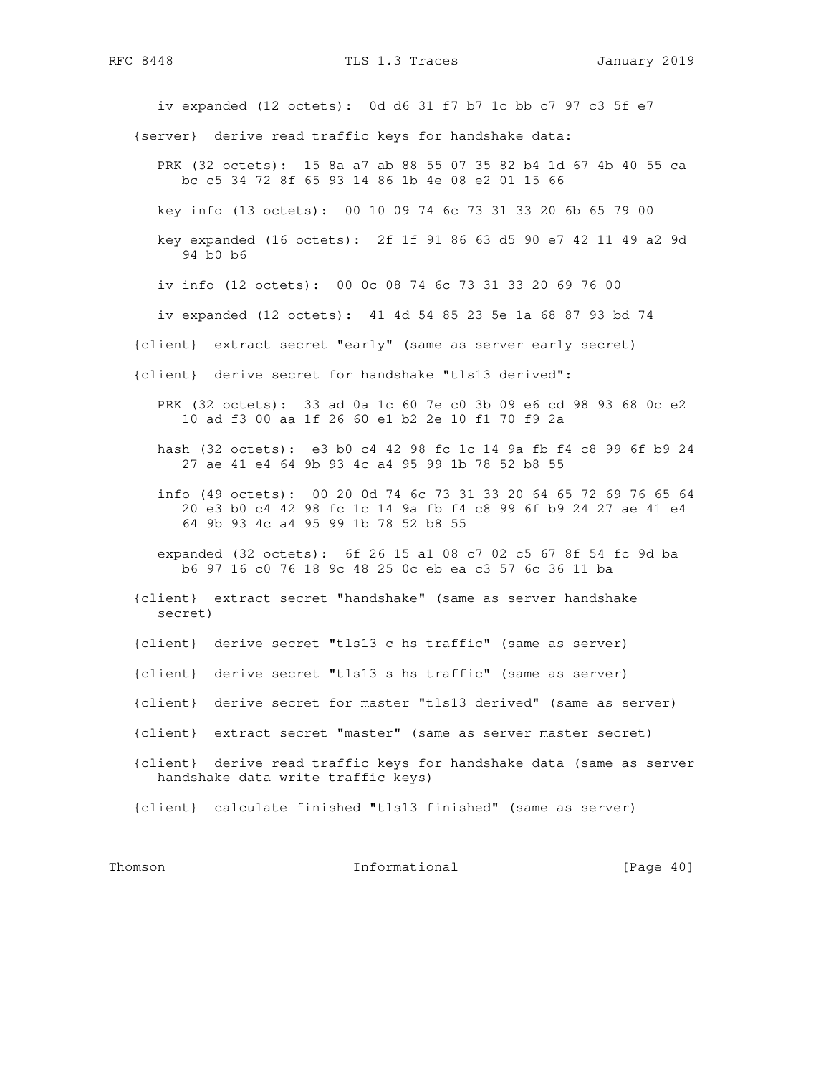iv expanded (12 octets): 0d d6 31 f7 b7 1c bb c7 97 c3 5f e7 {server} derive read traffic keys for handshake data: PRK (32 octets): 15 8a a7 ab 88 55 07 35 82 b4 1d 67 4b 40 55 ca bc c5 34 72 8f 65 93 14 86 1b 4e 08 e2 01 15 66 key info (13 octets): 00 10 09 74 6c 73 31 33 20 6b 65 79 00 key expanded (16 octets): 2f 1f 91 86 63 d5 90 e7 42 11 49 a2 9d 94 b0 b6 iv info (12 octets): 00 0c 08 74 6c 73 31 33 20 69 76 00 iv expanded (12 octets): 41 4d 54 85 23 5e 1a 68 87 93 bd 74 {client} extract secret "early" (same as server early secret) {client} derive secret for handshake "tls13 derived": PRK (32 octets): 33 ad 0a 1c 60 7e c0 3b 09 e6 cd 98 93 68 0c e2 10 ad f3 00 aa 1f 26 60 e1 b2 2e 10 f1 70 f9 2a hash (32 octets): e3 b0 c4 42 98 fc 1c 14 9a fb f4 c8 99 6f b9 24 27 ae 41 e4 64 9b 93 4c a4 95 99 1b 78 52 b8 55 info (49 octets): 00 20 0d 74 6c 73 31 33 20 64 65 72 69 76 65 64 20 e3 b0 c4 42 98 fc 1c 14 9a fb f4 c8 99 6f b9 24 27 ae 41 e4 64 9b 93 4c a4 95 99 1b 78 52 b8 55 expanded (32 octets): 6f 26 15 a1 08 c7 02 c5 67 8f 54 fc 9d ba b6 97 16 c0 76 18 9c 48 25 0c eb ea c3 57 6c 36 11 ba {client} extract secret "handshake" (same as server handshake secret) {client} derive secret "tls13 c hs traffic" (same as server) {client} derive secret "tls13 s hs traffic" (same as server) {client} derive secret for master "tls13 derived" (same as server) {client} extract secret "master" (same as server master secret) {client} derive read traffic keys for handshake data (same as server handshake data write traffic keys) {client} calculate finished "tls13 finished" (same as server) Thomson **Informational Informational** [Page 40]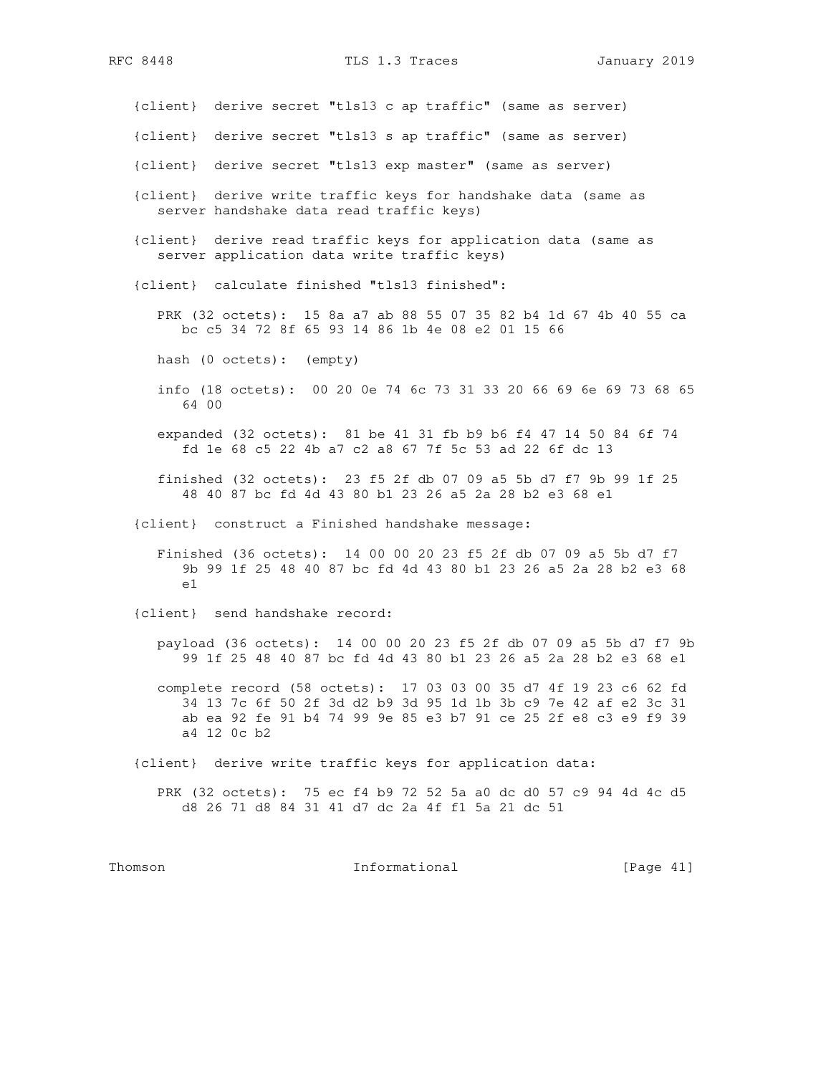{client} derive secret "tls13 c ap traffic" (same as server)

- {client} derive secret "tls13 s ap traffic" (same as server)
- {client} derive secret "tls13 exp master" (same as server)
- {client} derive write traffic keys for handshake data (same as server handshake data read traffic keys)
- {client} derive read traffic keys for application data (same as server application data write traffic keys)
- {client} calculate finished "tls13 finished":
	- PRK (32 octets): 15 8a a7 ab 88 55 07 35 82 b4 1d 67 4b 40 55 ca bc c5 34 72 8f 65 93 14 86 1b 4e 08 e2 01 15 66
	- hash (0 octets): (empty)
	- info (18 octets): 00 20 0e 74 6c 73 31 33 20 66 69 6e 69 73 68 65 64 00
	- expanded (32 octets): 81 be 41 31 fb b9 b6 f4 47 14 50 84 6f 74 fd 1e 68 c5 22 4b a7 c2 a8 67 7f 5c 53 ad 22 6f dc 13
	- finished (32 octets): 23 f5 2f db 07 09 a5 5b d7 f7 9b 99 1f 25 48 40 87 bc fd 4d 43 80 b1 23 26 a5 2a 28 b2 e3 68 e1
- {client} construct a Finished handshake message:
	- Finished (36 octets): 14 00 00 20 23 f5 2f db 07 09 a5 5b d7 f7 9b 99 1f 25 48 40 87 bc fd 4d 43 80 b1 23 26 a5 2a 28 b2 e3 68  $\approx$  1
- {client} send handshake record:
	- payload (36 octets): 14 00 00 20 23 f5 2f db 07 09 a5 5b d7 f7 9b 99 1f 25 48 40 87 bc fd 4d 43 80 b1 23 26 a5 2a 28 b2 e3 68 e1
	- complete record (58 octets): 17 03 03 00 35 d7 4f 19 23 c6 62 fd 34 13 7c 6f 50 2f 3d d2 b9 3d 95 1d 1b 3b c9 7e 42 af e2 3c 31 ab ea 92 fe 91 b4 74 99 9e 85 e3 b7 91 ce 25 2f e8 c3 e9 f9 39 a4 12 0c b2
- {client} derive write traffic keys for application data:
	- PRK (32 octets): 75 ec f4 b9 72 52 5a a0 dc d0 57 c9 94 4d 4c d5 d8 26 71 d8 84 31 41 d7 dc 2a 4f f1 5a 21 dc 51

Thomson **Informational Informational** [Page 41]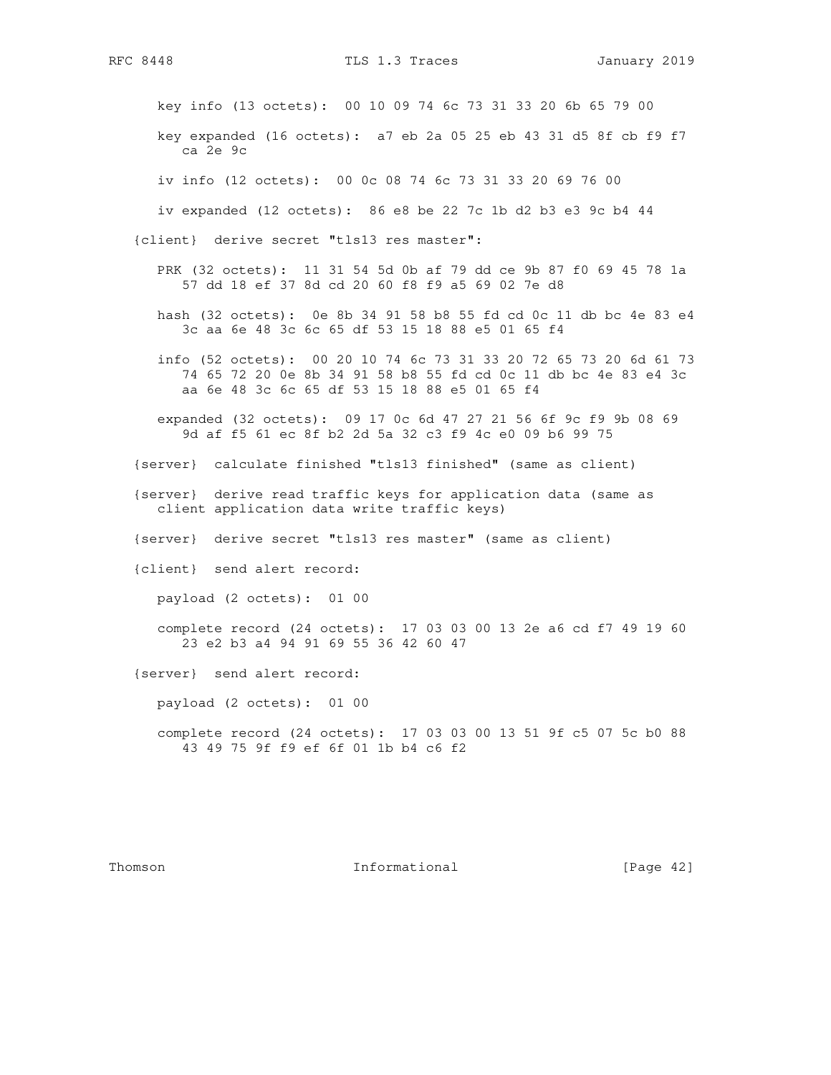key info (13 octets): 00 10 09 74 6c 73 31 33 20 6b 65 79 00

 key expanded (16 octets): a7 eb 2a 05 25 eb 43 31 d5 8f cb f9 f7 ca 2e 9c

iv info (12 octets): 00 0c 08 74 6c 73 31 33 20 69 76 00

iv expanded (12 octets): 86 e8 be 22 7c 1b d2 b3 e3 9c b4 44

{client} derive secret "tls13 res master":

- PRK (32 octets): 11 31 54 5d 0b af 79 dd ce 9b 87 f0 69 45 78 1a 57 dd 18 ef 37 8d cd 20 60 f8 f9 a5 69 02 7e d8
- hash (32 octets): 0e 8b 34 91 58 b8 55 fd cd 0c 11 db bc 4e 83 e4 3c aa 6e 48 3c 6c 65 df 53 15 18 88 e5 01 65 f4
- info (52 octets): 00 20 10 74 6c 73 31 33 20 72 65 73 20 6d 61 73 74 65 72 20 0e 8b 34 91 58 b8 55 fd cd 0c 11 db bc 4e 83 e4 3c aa 6e 48 3c 6c 65 df 53 15 18 88 e5 01 65 f4
- expanded (32 octets): 09 17 0c 6d 47 27 21 56 6f 9c f9 9b 08 69 9d af f5 61 ec 8f b2 2d 5a 32 c3 f9 4c e0 09 b6 99 75
- {server} calculate finished "tls13 finished" (same as client)
- {server} derive read traffic keys for application data (same as client application data write traffic keys)
- {server} derive secret "tls13 res master" (same as client)
- {client} send alert record:

payload (2 octets): 01 00

 complete record (24 octets): 17 03 03 00 13 2e a6 cd f7 49 19 60 23 e2 b3 a4 94 91 69 55 36 42 60 47

{server} send alert record:

payload (2 octets): 01 00

 complete record (24 octets): 17 03 03 00 13 51 9f c5 07 5c b0 88 43 49 75 9f f9 ef 6f 01 1b b4 c6 f2

Thomson **Informational Informational** [Page 42]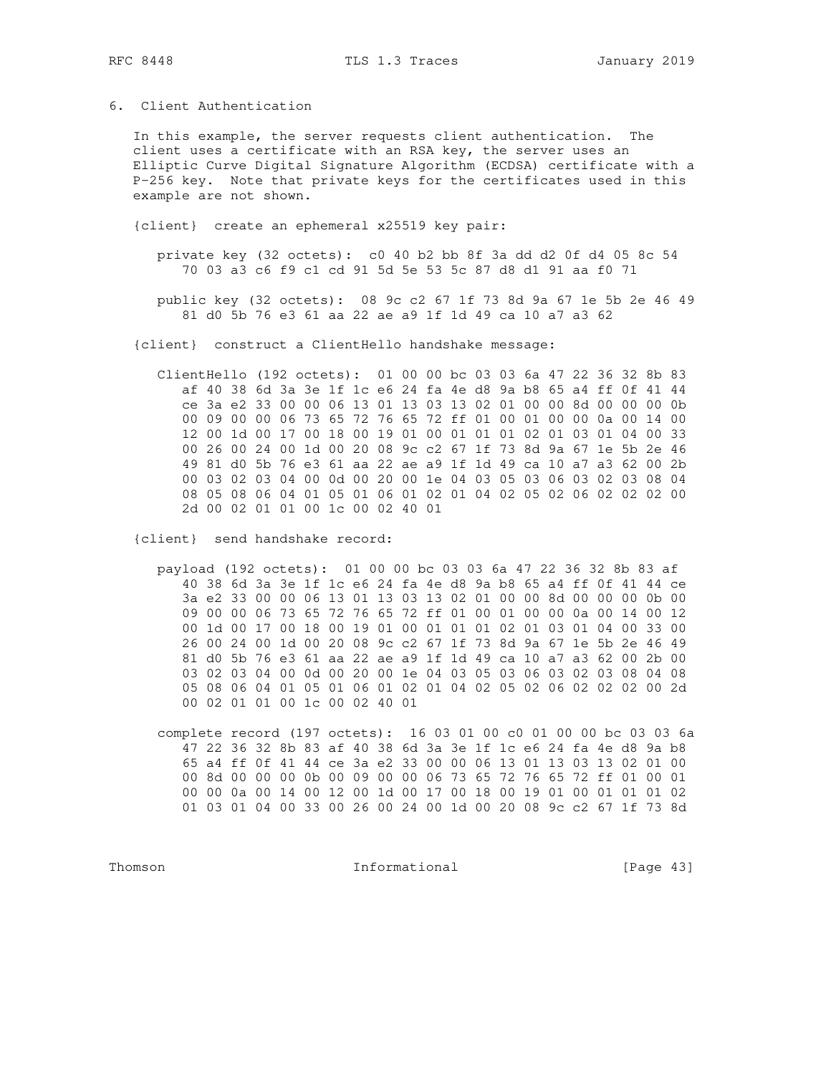## 6. Client Authentication

In this example, the server requests client authentication. The client uses a certificate with an RSA key, the server uses an Elliptic Curve Digital Signature Algorithm (ECDSA) certificate with a P-256 key. Note that private keys for the certificates used in this example are not shown.

{client} create an ephemeral x25519 key pair:

private key (32 octets): c0 40 b2 bb 8f 3a dd d2 0f d4 05 8c 54 70 03 a3 c6 f9 c1 cd 91 5d 5e 53 5c 87 d8 d1 91 aa f0 71

public key (32 octets): 08 9c c2 67 1f 73 8d 9a 67 1e 5b 2e 46 49 81 d0 5b 76 e3 61 aa 22 ae a9 1f 1d 49 ca 10 a7 a3 62

{client} construct a ClientHello handshake message:

ClientHello (192 octets): 01 00 00 bc 03 03 6a 47 22 36 32 8b 83 af 40 38 6d 3a 3e 1f 1c e6 24 fa 4e d8 9a b8 65 a4 ff 0f 41 44 ce 3a e2 33 00 00 06 13 01 13 03 13 02 01 00 00 8d 00 00 00 0b 00 09 00 00 06 73 65 72 76 65 72 ff 01 00 01 00 00 0a 00 14 00 12 00 1d 00 17 00 18 00 19 01 00 01 01 01 02 01 03 01 04 00 33 00 26 00 24 00 1d 00 20 08 9c c2 67 1f 73 8d 9a 67 1e 5b 2e 46 49 81 d0 5b 76 e3 61 aa 22 ae a9 1f 1d 49 ca 10 a7 a3 62 00 2b 00 03 02 03 04 00 0d 00 20 00 1e 04 03 05 03 06 03 02 03 08 04 08 05 08 06 04 01 05 01 06 01 02 01 04 02 05 02 06 02 02 02 00 2d 00 02 01 01 00 1c 00 02 40 01

{client} send handshake record:

payload (192 octets): 01 00 00 bc 03 03 6a 47 22 36 32 8b 83 af 40 38 6d 3a 3e 1f 1c e6 24 fa 4e d8 9a b8 65 a4 ff 0f 41 44 ce 3a e2 33 00 00 06 13 01 13 03 13 02 01 00 00 8d 00 00 00 0b 00 09 00 00 06 73 65 72 76 65 72 ff 01 00 01 00 00 0a 00 14 00 12 00 1d 00 17 00 18 00 19 01 00 01 01 01 02 01 03 01 04 00 33 00 26 00 24 00 1d 00 20 08 9c c2 67 1f 73 8d 9a 67 1e 5b 2e 46 49 81 d0 5b 76 e3 61 aa 22 ae a9 1f 1d 49 ca 10 a7 a3 62 00 2b 00 03 02 03 04 00 0d 00 20 00 1e 04 03 05 03 06 03 02 03 08 04 08 05 08 06 04 01 05 01 06 01 02 01 04 02 05 02 06 02 02 02 00 2d 00 02 01 01 00 1c 00 02 40 01

complete record (197 octets): 16 03 01 00 c0 01 00 00 bc 03 03 6a 47 22 36 32 8b 83 af 40 38 6d 3a 3e 1f 1c e6 24 fa 4e d8 9a b8 65 a4 ff Of 41 44 ce 3a e2 33 00 00 06 13 01 13 03 13 02 01 00 00 8d 00 00 00 0b 00 09 00 00 06 73 65 72 76 65 72 ff 01 00 01 00 00 0a 00 14 00 12 00 1d 00 17 00 18 00 19 01 00 01 01 01 02 01 03 01 04 00 33 00 26 00 24 00 1d 00 20 08 9c c2 67 1f 73 8d

Thomson

Informational

[Page 43]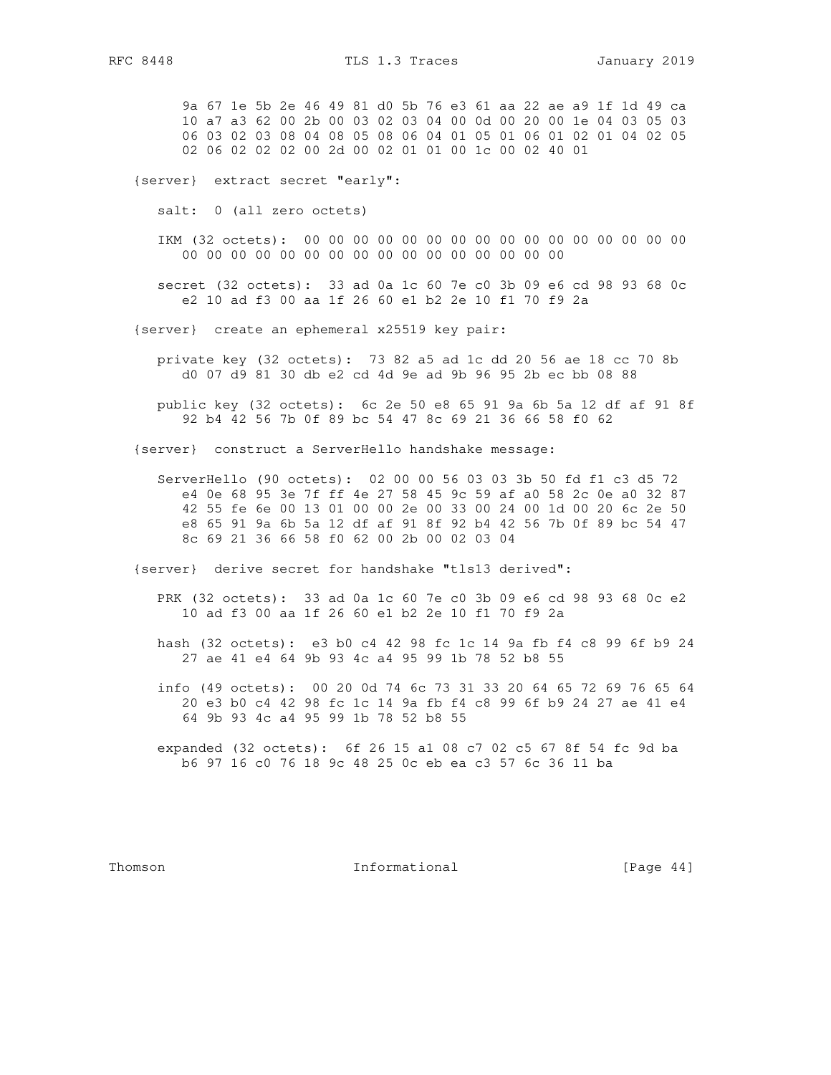9a 67 1e 5b 2e 46 49 81 d0 5b 76 e3 61 aa 22 ae a9 1f 1d 49 ca 10 a7 a3 62 00 2b 00 03 02 03 04 00 0d 00 20 00 1e 04 03 05 03 06 03 02 03 08 04 08 05 08 06 04 01 05 01 06 01 02 01 04 02 05 02 06 02 02 02 00 2d 00 02 01 01 00 1c 00 02 40 01

{server} extract secret "early":

salt: 0 (all zero octets)

 IKM (32 octets): 00 00 00 00 00 00 00 00 00 00 00 00 00 00 00 00 00 00 00 00 00 00 00 00 00 00 00 00 00 00 00 00

 secret (32 octets): 33 ad 0a 1c 60 7e c0 3b 09 e6 cd 98 93 68 0c e2 10 ad f3 00 aa 1f 26 60 e1 b2 2e 10 f1 70 f9 2a

{server} create an ephemeral x25519 key pair:

 private key (32 octets): 73 82 a5 ad 1c dd 20 56 ae 18 cc 70 8b d0 07 d9 81 30 db e2 cd 4d 9e ad 9b 96 95 2b ec bb 08 88

 public key (32 octets): 6c 2e 50 e8 65 91 9a 6b 5a 12 df af 91 8f 92 b4 42 56 7b 0f 89 bc 54 47 8c 69 21 36 66 58 f0 62

{server} construct a ServerHello handshake message:

 ServerHello (90 octets): 02 00 00 56 03 03 3b 50 fd f1 c3 d5 72 e4 0e 68 95 3e 7f ff 4e 27 58 45 9c 59 af a0 58 2c 0e a0 32 87 42 55 fe 6e 00 13 01 00 00 2e 00 33 00 24 00 1d 00 20 6c 2e 50 e8 65 91 9a 6b 5a 12 df af 91 8f 92 b4 42 56 7b 0f 89 bc 54 47 8c 69 21 36 66 58 f0 62 00 2b 00 02 03 04

{server} derive secret for handshake "tls13 derived":

 PRK (32 octets): 33 ad 0a 1c 60 7e c0 3b 09 e6 cd 98 93 68 0c e2 10 ad f3 00 aa 1f 26 60 e1 b2 2e 10 f1 70 f9 2a

 hash (32 octets): e3 b0 c4 42 98 fc 1c 14 9a fb f4 c8 99 6f b9 24 27 ae 41 e4 64 9b 93 4c a4 95 99 1b 78 52 b8 55

- info (49 octets): 00 20 0d 74 6c 73 31 33 20 64 65 72 69 76 65 64 20 e3 b0 c4 42 98 fc 1c 14 9a fb f4 c8 99 6f b9 24 27 ae 41 e4 64 9b 93 4c a4 95 99 1b 78 52 b8 55
- expanded (32 octets): 6f 26 15 a1 08 c7 02 c5 67 8f 54 fc 9d ba b6 97 16 c0 76 18 9c 48 25 0c eb ea c3 57 6c 36 11 ba

Thomson **Informational Informational** [Page 44]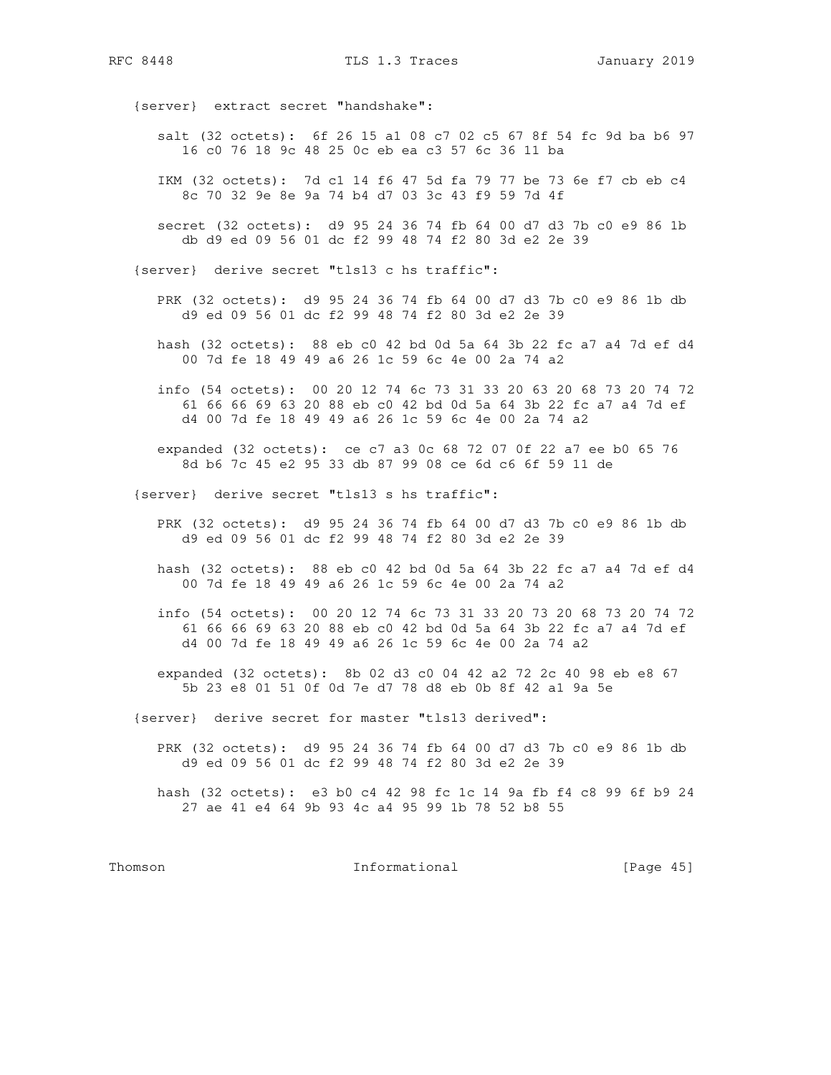RFC 8448 TLS 1.3 Traces January 2019

{server} extract secret "handshake":

- salt (32 octets): 6f 26 15 a1 08 c7 02 c5 67 8f 54 fc 9d ba b6 97 16 c0 76 18 9c 48 25 0c eb ea c3 57 6c 36 11 ba
- IKM (32 octets): 7d c1 14 f6 47 5d fa 79 77 be 73 6e f7 cb eb c4 8c 70 32 9e 8e 9a 74 b4 d7 03 3c 43 f9 59 7d 4f
- secret (32 octets): d9 95 24 36 74 fb 64 00 d7 d3 7b c0 e9 86 1b db d9 ed 09 56 01 dc f2 99 48 74 f2 80 3d e2 2e 39
- {server} derive secret "tls13 c hs traffic":
	- PRK (32 octets): d9 95 24 36 74 fb 64 00 d7 d3 7b c0 e9 86 1b db d9 ed 09 56 01 dc f2 99 48 74 f2 80 3d e2 2e 39
	- hash (32 octets): 88 eb c0 42 bd 0d 5a 64 3b 22 fc a7 a4 7d ef d4 00 7d fe 18 49 49 a6 26 1c 59 6c 4e 00 2a 74 a2
	- info (54 octets): 00 20 12 74 6c 73 31 33 20 63 20 68 73 20 74 72 61 66 66 69 63 20 88 eb c0 42 bd 0d 5a 64 3b 22 fc a7 a4 7d ef d4 00 7d fe 18 49 49 a6 26 1c 59 6c 4e 00 2a 74 a2
	- expanded (32 octets): ce c7 a3 0c 68 72 07 0f 22 a7 ee b0 65 76 8d b6 7c 45 e2 95 33 db 87 99 08 ce 6d c6 6f 59 11 de
- {server} derive secret "tls13 s hs traffic":
	- PRK (32 octets): d9 95 24 36 74 fb 64 00 d7 d3 7b c0 e9 86 1b db d9 ed 09 56 01 dc f2 99 48 74 f2 80 3d e2 2e 39
	- hash (32 octets): 88 eb c0 42 bd 0d 5a 64 3b 22 fc a7 a4 7d ef d4 00 7d fe 18 49 49 a6 26 1c 59 6c 4e 00 2a 74 a2
	- info (54 octets): 00 20 12 74 6c 73 31 33 20 73 20 68 73 20 74 72 61 66 66 69 63 20 88 eb c0 42 bd 0d 5a 64 3b 22 fc a7 a4 7d ef d4 00 7d fe 18 49 49 a6 26 1c 59 6c 4e 00 2a 74 a2
	- expanded (32 octets): 8b 02 d3 c0 04 42 a2 72 2c 40 98 eb e8 67 5b 23 e8 01 51 0f 0d 7e d7 78 d8 eb 0b 8f 42 a1 9a 5e
- {server} derive secret for master "tls13 derived":
	- PRK (32 octets): d9 95 24 36 74 fb 64 00 d7 d3 7b c0 e9 86 1b db d9 ed 09 56 01 dc f2 99 48 74 f2 80 3d e2 2e 39
	- hash (32 octets): e3 b0 c4 42 98 fc 1c 14 9a fb f4 c8 99 6f b9 24 27 ae 41 e4 64 9b 93 4c a4 95 99 1b 78 52 b8 55

Thomson **Informational Informational** [Page 45]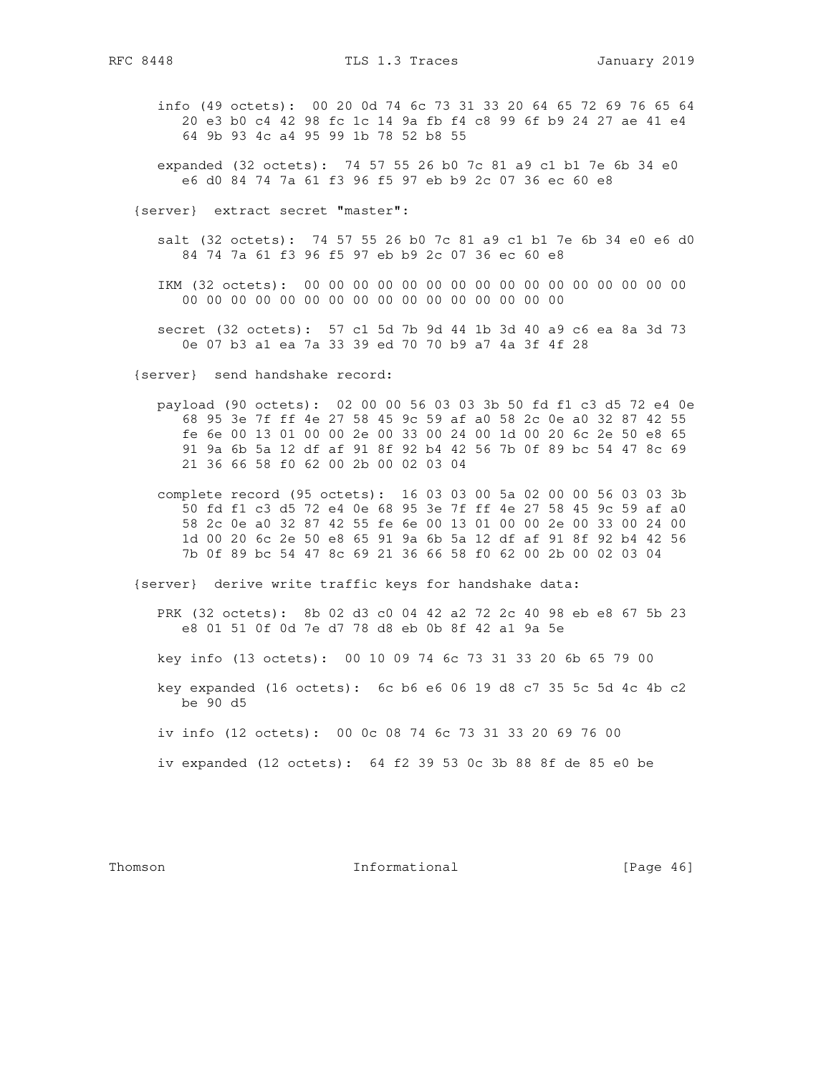info (49 octets): 00 20 0d 74 6c 73 31 33 20 64 65 72 69 76 65 64 20 e3 b0 c4 42 98 fc 1c 14 9a fb f4 c8 99 6f b9 24 27 ae 41 e4 64 9b 93 4c a4 95 99 1b 78 52 b8 55

 expanded (32 octets): 74 57 55 26 b0 7c 81 a9 c1 b1 7e 6b 34 e0 e6 d0 84 74 7a 61 f3 96 f5 97 eb b9 2c 07 36 ec 60 e8

{server} extract secret "master":

 salt (32 octets): 74 57 55 26 b0 7c 81 a9 c1 b1 7e 6b 34 e0 e6 d0 84 74 7a 61 f3 96 f5 97 eb b9 2c 07 36 ec 60 e8

 IKM (32 octets): 00 00 00 00 00 00 00 00 00 00 00 00 00 00 00 00 00 00 00 00 00 00 00 00 00 00 00 00 00 00 00 00

 secret (32 octets): 57 c1 5d 7b 9d 44 1b 3d 40 a9 c6 ea 8a 3d 73 0e 07 b3 a1 ea 7a 33 39 ed 70 70 b9 a7 4a 3f 4f 28

{server} send handshake record:

 payload (90 octets): 02 00 00 56 03 03 3b 50 fd f1 c3 d5 72 e4 0e 68 95 3e 7f ff 4e 27 58 45 9c 59 af a0 58 2c 0e a0 32 87 42 55 fe 6e 00 13 01 00 00 2e 00 33 00 24 00 1d 00 20 6c 2e 50 e8 65 91 9a 6b 5a 12 df af 91 8f 92 b4 42 56 7b 0f 89 bc 54 47 8c 69 21 36 66 58 f0 62 00 2b 00 02 03 04

 complete record (95 octets): 16 03 03 00 5a 02 00 00 56 03 03 3b 50 fd f1 c3 d5 72 e4 0e 68 95 3e 7f ff 4e 27 58 45 9c 59 af a0 58 2c 0e a0 32 87 42 55 fe 6e 00 13 01 00 00 2e 00 33 00 24 00 1d 00 20 6c 2e 50 e8 65 91 9a 6b 5a 12 df af 91 8f 92 b4 42 56 7b 0f 89 bc 54 47 8c 69 21 36 66 58 f0 62 00 2b 00 02 03 04

{server} derive write traffic keys for handshake data:

 PRK (32 octets): 8b 02 d3 c0 04 42 a2 72 2c 40 98 eb e8 67 5b 23 e8 01 51 0f 0d 7e d7 78 d8 eb 0b 8f 42 a1 9a 5e

key info (13 octets): 00 10 09 74 6c 73 31 33 20 6b 65 79 00

 key expanded (16 octets): 6c b6 e6 06 19 d8 c7 35 5c 5d 4c 4b c2 be 90 d5

iv info (12 octets): 00 0c 08 74 6c 73 31 33 20 69 76 00

iv expanded (12 octets): 64 f2 39 53 0c 3b 88 8f de 85 e0 be

Thomson **Informational Informational** [Page 46]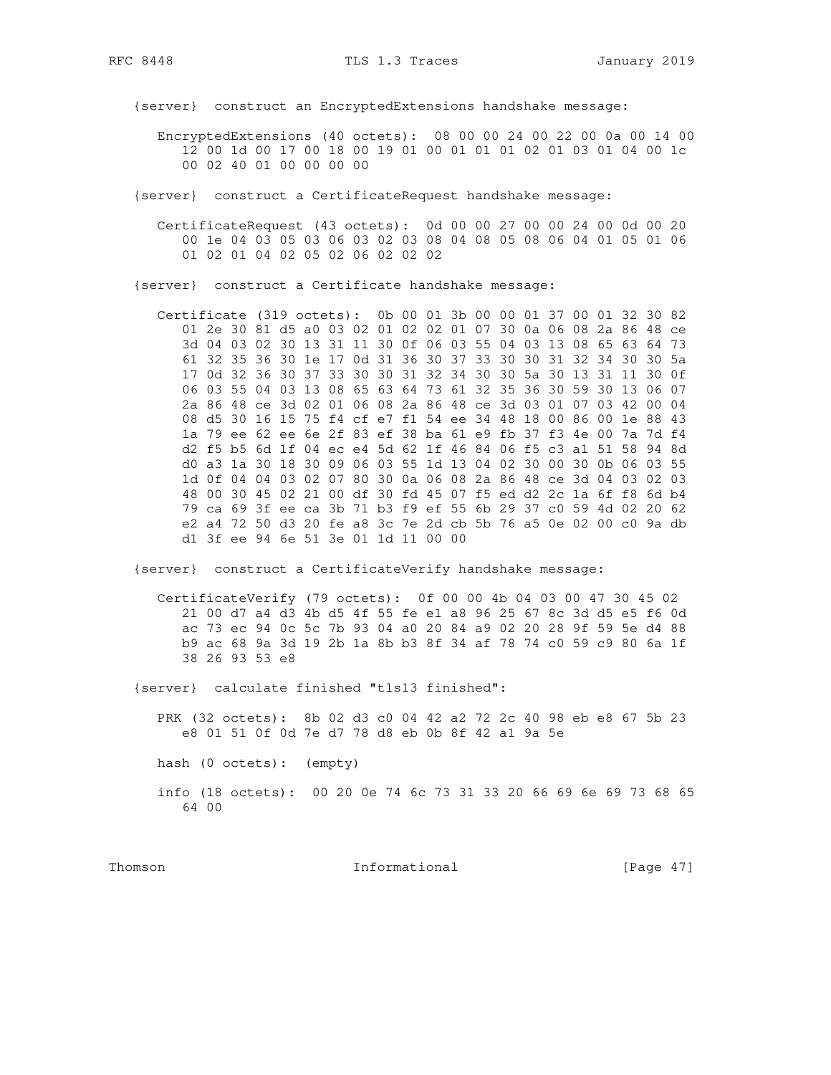RFC 8448

{server} construct an EncryptedExtensions handshake message:

- EncryptedExtensions (40 octets): 08 00 00 24 00 22 00 0a 00 14 00 12 00 1d 00 17 00 18 00 19 01 00 01 01 01 02 01 03 01 04 00 1c 00 02 40 01 00 00 00 00
- {server} construct a CertificateRequest handshake message:
	- CertificateRequest (43 octets): 0d 00 00 27 00 00 24 00 0d 00 20 00 1e 04 03 05 03 06 03 02 03 08 04 08 05 08 06 04 01 05 01 06 01 02 01 04 02 05 02 06 02 02 02
- {server} construct a Certificate handshake message:

Certificate (319 octets): 0b 00 01 3b 00 00 01 37 00 01 32 30 82 01 2e 30 81 d5 a0 03 02 01 02 02 01 07 30 0a 06 08 2a 86 48 ce 3d 04 03 02 30 13 31 11 30 0f 06 03 55 04 03 13 08 65 63 64 73 61 32 35 36 30 1e 17 0d 31 36 30 37 33 30 30 31 32 34 30 30 5a 17 0d 32 36 30 37 33 30 30 31 32 34 30 30 5a 30 13 31 11 30 0f 06 03 55 04 03 13 08 65 63 64 73 61 32 35 36 30 59 30 13 06 07 2a 86 48 ce 3d 02 01 06 08 2a 86 48 ce 3d 03 01 07 03 42 00 04 08 d5 30 16 15 75 f4 cf e7 f1 54 ee 34 48 18 00 86 00 1e 88 43 la 79 ee 62 ee 6e 2f 83 ef 38 ba 61 e9 fb 37 f3 4e 00 7a 7d f4 d2 f5 b5 6d 1f 04 ec e4 5d 62 1f 46 84 06 f5 c3 a1 51 58 94 8d d0 a3 1a 30 18 30 09 06 03 55 1d 13 04 02 30 00 30 0b 06 03 55 1d 0f 04 04 03 02 07 80 30 0a 06 08 2a 86 48 ce 3d 04 03 02 03 48 00 30 45 02 21 00 df 30 fd 45 07 f5 ed d2 2c 1a 6f f8 6d b4 79 ca 69 3f ee ca 3b 71 b3 f9 ef 55 6b 29 37 c0 59 4d 02 20 62 e2 a4 72 50 d3 20 fe a8 3c 7e 2d cb 5b 76 a5 0e 02 00 c0 9a db d1 3f ee 94 6e 51 3e 01 1d 11 00 00

{server} construct a CertificateVerify handshake message:

CertificateVerify (79 octets): 0f 00 00 4b 04 03 00 47 30 45 02 21 00 d7 a4 d3 4b d5 4f 55 fe e1 a8 96 25 67 8c 3d d5 e5 f6 0d ac 73 ec 94 0c 5c 7b 93 04 a0 20 84 a9 02 20 28 9f 59 5e d4 88 b9 ac 68 9a 3d 19 2b 1a 8b b3 8f 34 af 78 74 c0 59 c9 80 6a 1f 38 26 93 53 e8

{server} calculate finished "tls13 finished":

PRK (32 octets): 8b 02 d3 c0 04 42 a2 72 2c 40 98 eb e8 67 5b 23 e8 01 51 0f 0d 7e d7 78 d8 eb 0b 8f 42 a1 9a 5e

hash (0 octets): (empty)

info (18 octets): 00 20 0e 74 6c 73 31 33 20 66 69 6e 69 73 68 65 64 00

Thomson

Informational

[Page  $47$ ]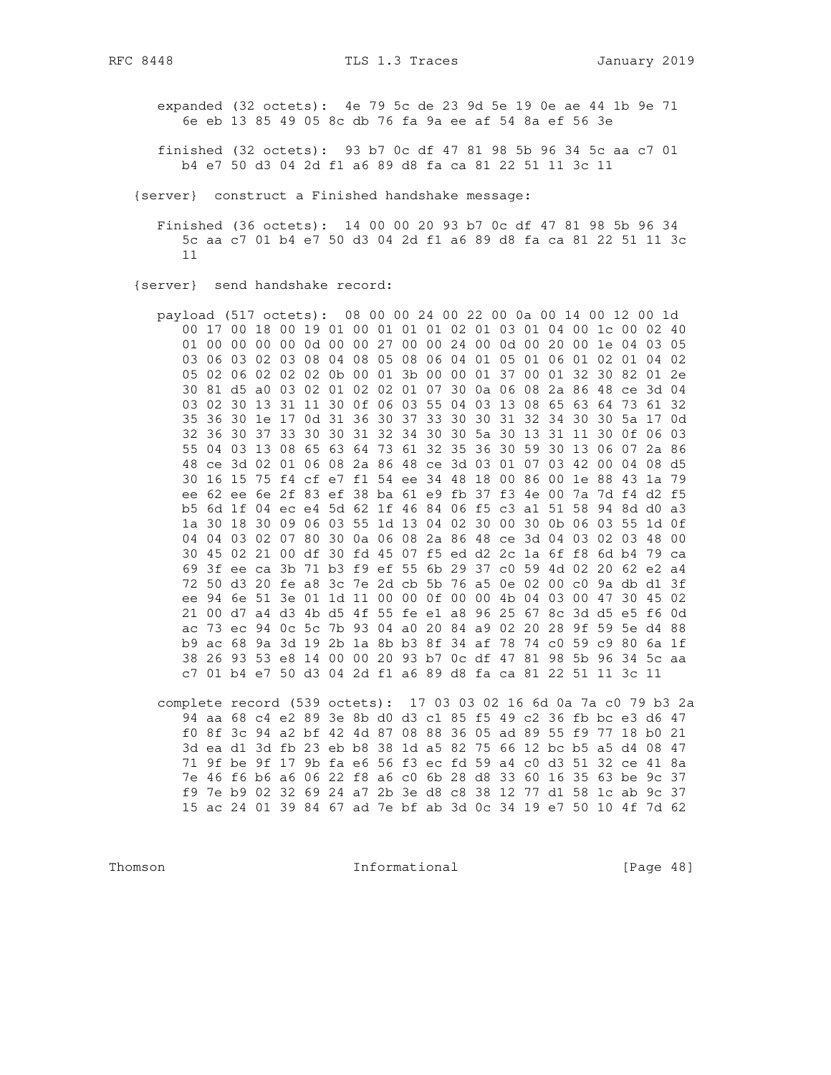- expanded (32 octets): 4e 79 5c de 23 9d 5e 19 0e ae 44 1b 9e 71 6e eb 13 85 49 05 8c db 76 fa 9a ee af 54 8a ef 56 3e
- finished (32 octets): 93 b7 0c df 47 81 98 5b 96 34 5c aa c7 01 b4 e7 50 d3 04 2d f1 a6 89 d8 fa ca 81 22 51 11 3c 11
- {server} construct a Finished handshake message:
	- Finished (36 octets): 14 00 00 20 93 b7 0c df 47 81 98 5b 96 34 5c aa c7 01 b4 e7 50 d3 04 2d f1 a6 89 d8 fa ca 81 22 51 11 3c  $11$
- {server} send handshake record:
	- payload (517 octets): 08 00 00 24 00 22 00 0a 00 14 00 12 00 1d 00 17 00 18 00 19 01 00 01 01 01 02 01 03 01 04 00 1c 00 02 40 01 00 00 00 00 0d 00 00 27 00 00 24 00 0d 00 20 00 1e 04 03 05 03 06 03 02 03 08 04 08 05 08 06 04 01 05 01 06 01 02 01 04 02 05 02 06 02 02 02 0b 00 01 3b 00 00 01 37 00 01 32 30 82 01 2e 30 81 d5 a0 03 02 01 02 02 01 07 30 0a 06 08 2a 86 48 ce 3d 04 03 02 30 13 31 11 30 0f 06 03 55 04 03 13 08 65 63 64 73 61 32 35 36 30 1e 17 0d 31 36 30 37 33 30 30 31 32 34 30 30 5a 17 0d 32 36 30 37 33 30 30 31 32 34 30 30 5a 30 13 31 11 30 0f 06 03 55 04 03 13 08 65 63 64 73 61 32 35 36 30 59 30 13 06 07 2a 86 48 ce 3d 02 01 06 08 2a 86 48 ce 3d 03 01 07 03 42 00 04 08 d5 30 16 15 75 f4 cf e7 f1 54 ee 34 48 18 00 86 00 1e 88 43 1a 79 ee 62 ee 6e 2f 83 ef 38 ba 61 e9 fb 37 f3 4e 00 7a 7d f4 d2 f5 b5 6d 1f 04 ec e4 5d 62 1f 46 84 06 f5 c3 a1 51 58 94 8d d0 a3 1a 30 18 30 09 06 03 55 1d 13 04 02 30 00 30 0b 06 03 55 1d 0f 04 04 03 02 07 80 30 0a 06 08 2a 86 48 ce 3d 04 03 02 03 48 00 30 45 02 21 00 df 30 fd 45 07 f5 ed d2 2c 1a 6f f8 6d b4 79 ca 69 3f ee ca 3b 71 b3 f9 ef 55 6b 29 37 c0 59 4d 02 20 62 e2 a4 72 50 d3 20 fe a8 3c 7e 2d cb 5b 76 a5 0e 02 00 c0 9a db d1 3f ee 94 6e 51 3e 01 1d 11 00 00 0f 00 00 4b 04 03 00 47 30 45 02 21 00 d7 a4 d3 4b d5 4f 55 fe e1 a8 96 25 67 8c 3d d5 e5 f6 0d ac 73 ec 94 0c 5c 7b 93 04 a0 20 84 a9 02 20 28 9f 59 5e d4 88 b9 ac 68 9a 3d 19 2b 1a 8b b3 8f 34 af 78 74 c0 59 c9 80 6a 1f 38 26 93 53 e8 14 00 00 20 93 b7 0c df 47 81 98 5b 96 34 5c aa c7 01 b4 e7 50 d3 04 2d f1 a6 89 d8 fa ca 81 22 51 11 3c 11
	- complete record (539 octets): 17 03 03 02 16 6d 0a 7a c0 79 b3 2a 94 aa 68 c4 e2 89 3e 8b d0 d3 c1 85 f5 49 c2 36 fb bc e3 d6 47 f0 8f 3c 94 a2 bf 42 4d 87 08 88 36 05 ad 89 55 f9 77 18 b0 21 3d ea d1 3d fb 23 eb b8 38 1d a5 82 75 66 12 bc b5 a5 d4 08 47 71 9f be 9f 17 9b fa e6 56 f3 ec fd 59 a4 c0 d3 51 32 ce 41 8a 7e 46 f6 b6 a6 06 22 f8 a6 c0 6b 28 d8 33 60 16 35 63 be 9c 37 f9 7e b9 02 32 69 24 a7 2b 3e d8 c8 38 12 77 d1 58 1c ab 9c 37 15 ac 24 01 39 84 67 ad 7e bf ab 3d 0c 34 19 e7 50 10 4f 7d 62

Informational

[Page  $48$ ]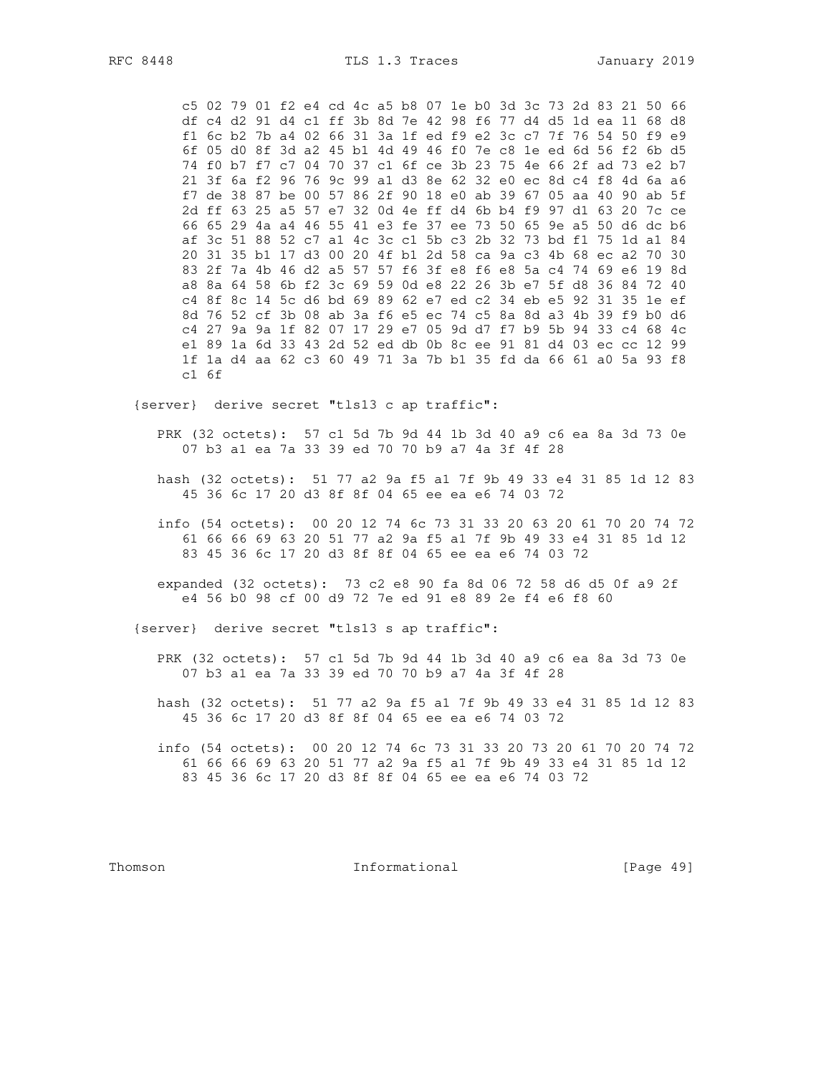RFC 8448

c5 02 79 01 f2 e4 cd 4c a5 b8 07 1e b0 3d 3c 73 2d 83 21 50 66 df c4 d2 91 d4 c1 ff 3b 8d 7e 42 98 f6 77 d4 d5 1d ea 11 68 d8 f1 6c b2 7b a4 02 66 31 3a 1f ed f9 e2 3c c7 7f 76 54 50 f9 e9 6f 05 d0 8f 3d a2 45 b1 4d 49 46 f0 7e c8 1e ed 6d 56 f2 6b d5 74 f0 b7 f7 c7 04 70 37 c1 6f ce 3b 23 75 4e 66 2f ad 73 e2 b7 21 3f 6a f2 96 76 9c 99 a1 d3 8e 62 32 e0 ec 8d c4 f8 4d 6a a6 f7 de 38 87 be 00 57 86 2f 90 18 e0 ab 39 67 05 aa 40 90 ab 5f 2d ff 63 25 a5 57 e7 32 0d 4e ff d4 6b b4 f9 97 d1 63 20 7c ce 66 65 29 4a a4 46 55 41 e3 fe 37 ee 73 50 65 9e a5 50 d6 dc b6 af 3c 51 88 52 c7 a1 4c 3c c1 5b c3 2b 32 73 bd f1 75 1d a1 84 20 31 35 b1 17 d3 00 20 4f b1 2d 58 ca 9a c3 4b 68 ec a2 70 30 83 2f 7a 4b 46 d2 a5 57 57 f6 3f e8 f6 e8 5a c4 74 69 e6 19 8d a8 8a 64 58 6b f2 3c 69 59 0d e8 22 26 3b e7 5f d8 36 84 72 40 c4 8f 8c 14 5c d6 bd 69 89 62 e7 ed c2 34 eb e5 92 31 35 1e ef 8d 76 52 cf 3b 08 ab 3a f6 e5 ec 74 c5 8a 8d a3 4b 39 f9 b0 d6 c4 27 9a 9a 1f 82 07 17 29 e7 05 9d d7 f7 b9 5b 94 33 c4 68 4c el 89 1a 6d 33 43 2d 52 ed db 0b 8c ee 91 81 d4 03 ec cc 12 99 1f 1a d4 aa 62 c3 60 49 71 3a 7b b1 35 fd da 66 61 a0 5a 93 f8  $c1$  6f

{server} derive secret "tls13 c ap traffic":

PRK (32 octets): 57 c1 5d 7b 9d 44 1b 3d 40 a9 c6 ea 8a 3d 73 0e 07 b3 a1 ea 7a 33 39 ed 70 70 b9 a7 4a 3f 4f 28

- hash (32 octets): 51 77 a2 9a f5 a1 7f 9b 49 33 e4 31 85 1d 12 83 45 36 6c 17 20 d3 8f 8f 04 65 ee ea e6 74 03 72
- info (54 octets): 00 20 12 74 6c 73 31 33 20 63 20 61 70 20 74 72 61 66 66 69 63 20 51 77 a2 9a f5 a1 7f 9b 49 33 e4 31 85 1d 12 83 45 36 6c 17 20 d3 8f 8f 04 65 ee ea e6 74 03 72

expanded (32 octets): 73 c2 e8 90 fa 8d 06 72 58 d6 d5 0f a9 2f e4 56 b0 98 cf 00 d9 72 7e ed 91 e8 89 2e f4 e6 f8 60

{server} derive secret "tls13 s ap traffic":

- PRK (32 octets): 57 c1 5d 7b 9d 44 1b 3d 40 a9 c6 ea 8a 3d 73 0e 07 b3 a1 ea 7a 33 39 ed 70 70 b9 a7 4a 3f 4f 28
- hash (32 octets): 51 77 a2 9a f5 a1 7f 9b 49 33 e4 31 85 1d 12 83 45 36 6c 17 20 d3 8f 8f 04 65 ee ea e6 74 03 72
- info (54 octets): 00 20 12 74 6c 73 31 33 20 73 20 61 70 20 74 72 61 66 66 69 63 20 51 77 a2 9a f5 a1 7f 9b 49 33 e4 31 85 1d 12 83 45 36 6c 17 20 d3 8f 8f 04 65 ee ea e6 74 03 72

Thomson

Informational

[Page  $49$ ]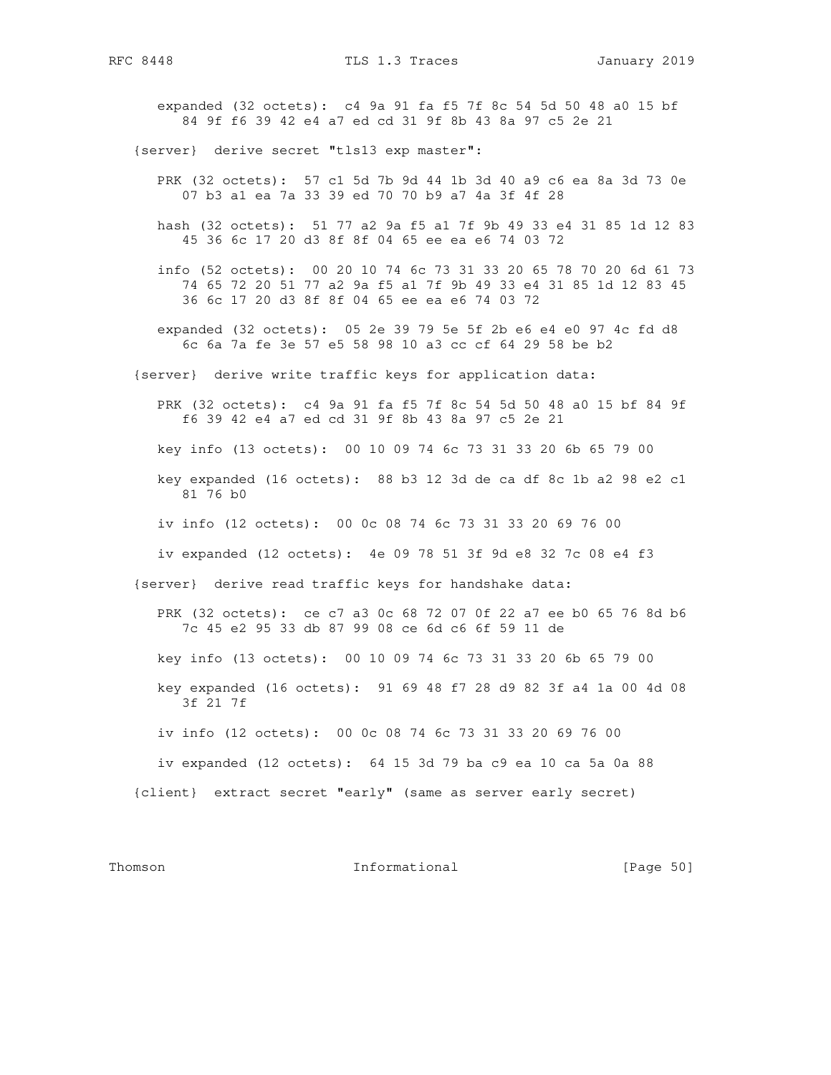expanded (32 octets): c4 9a 91 fa f5 7f 8c 54 5d 50 48 a0 15 bf 84 9f f6 39 42 e4 a7 ed cd 31 9f 8b 43 8a 97 c5 2e 21

{server} derive secret "tls13 exp master":

- PRK (32 octets): 57 c1 5d 7b 9d 44 1b 3d 40 a9 c6 ea 8a 3d 73 0e 07 b3 a1 ea 7a 33 39 ed 70 70 b9 a7 4a 3f 4f 28
- hash (32 octets): 51 77 a2 9a f5 a1 7f 9b 49 33 e4 31 85 1d 12 83 45 36 6c 17 20 d3 8f 8f 04 65 ee ea e6 74 03 72
- info (52 octets): 00 20 10 74 6c 73 31 33 20 65 78 70 20 6d 61 73 74 65 72 20 51 77 a2 9a f5 a1 7f 9b 49 33 e4 31 85 1d 12 83 45 36 6c 17 20 d3 8f 8f 04 65 ee ea e6 74 03 72
- expanded (32 octets): 05 2e 39 79 5e 5f 2b e6 e4 e0 97 4c fd d8 6c 6a 7a fe 3e 57 e5 58 98 10 a3 cc cf 64 29 58 be b2
- {server} derive write traffic keys for application data:

 PRK (32 octets): c4 9a 91 fa f5 7f 8c 54 5d 50 48 a0 15 bf 84 9f f6 39 42 e4 a7 ed cd 31 9f 8b 43 8a 97 c5 2e 21

key info (13 octets): 00 10 09 74 6c 73 31 33 20 6b 65 79 00

- key expanded (16 octets): 88 b3 12 3d de ca df 8c 1b a2 98 e2 c1 81 76 b0
- iv info (12 octets): 00 0c 08 74 6c 73 31 33 20 69 76 00
- iv expanded (12 octets): 4e 09 78 51 3f 9d e8 32 7c 08 e4 f3

{server} derive read traffic keys for handshake data:

 PRK (32 octets): ce c7 a3 0c 68 72 07 0f 22 a7 ee b0 65 76 8d b6 7c 45 e2 95 33 db 87 99 08 ce 6d c6 6f 59 11 de

key info (13 octets): 00 10 09 74 6c 73 31 33 20 6b 65 79 00

 key expanded (16 octets): 91 69 48 f7 28 d9 82 3f a4 1a 00 4d 08 3f 21 7f

iv info (12 octets): 00 0c 08 74 6c 73 31 33 20 69 76 00

iv expanded (12 octets): 64 15 3d 79 ba c9 ea 10 ca 5a 0a 88

{client} extract secret "early" (same as server early secret)

Thomson **Informational Informational** [Page 50]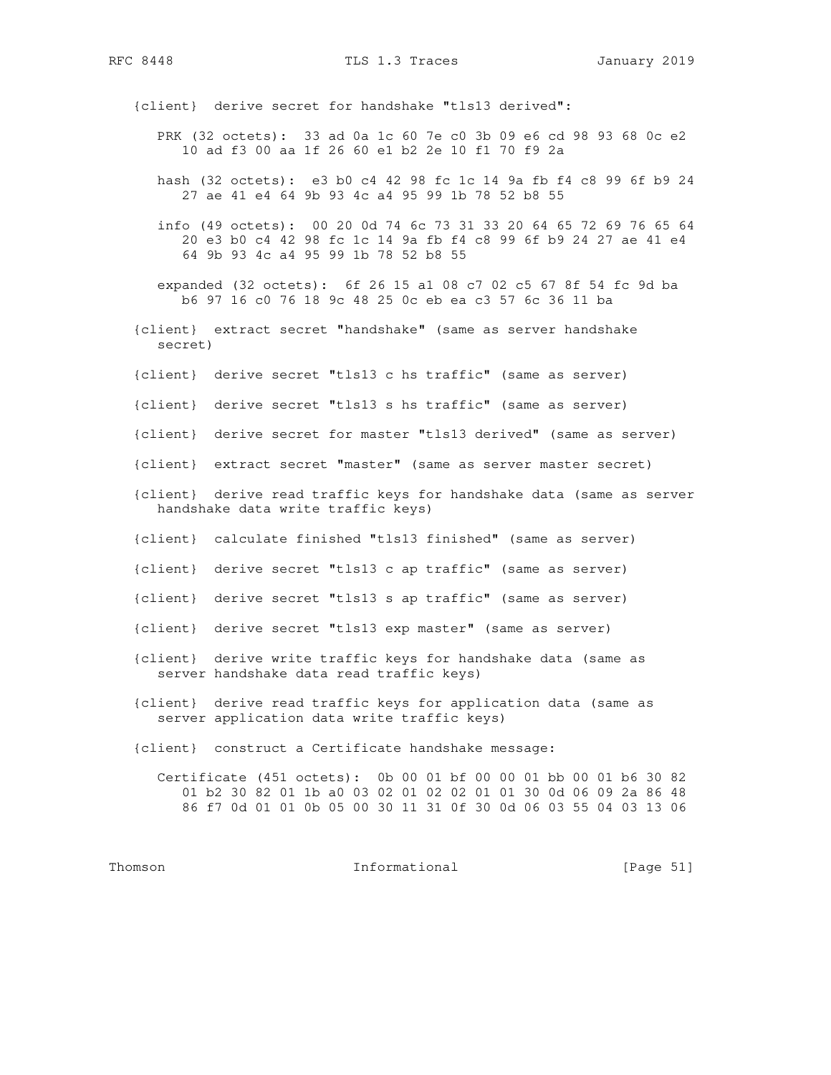RFC 8448 TLS 1.3 Traces January 2019

{client} derive secret for handshake "tls13 derived":

- PRK (32 octets): 33 ad 0a 1c 60 7e c0 3b 09 e6 cd 98 93 68 0c e2 10 ad f3 00 aa 1f 26 60 e1 b2 2e 10 f1 70 f9 2a
- hash (32 octets): e3 b0 c4 42 98 fc 1c 14 9a fb f4 c8 99 6f b9 24 27 ae 41 e4 64 9b 93 4c a4 95 99 1b 78 52 b8 55
- info (49 octets): 00 20 0d 74 6c 73 31 33 20 64 65 72 69 76 65 64 20 e3 b0 c4 42 98 fc 1c 14 9a fb f4 c8 99 6f b9 24 27 ae 41 e4 64 9b 93 4c a4 95 99 1b 78 52 b8 55
- expanded (32 octets): 6f 26 15 a1 08 c7 02 c5 67 8f 54 fc 9d ba b6 97 16 c0 76 18 9c 48 25 0c eb ea c3 57 6c 36 11 ba
- {client} extract secret "handshake" (same as server handshake secret)
- {client} derive secret "tls13 c hs traffic" (same as server)
- {client} derive secret "tls13 s hs traffic" (same as server)
- {client} derive secret for master "tls13 derived" (same as server)
- {client} extract secret "master" (same as server master secret)
- {client} derive read traffic keys for handshake data (same as server handshake data write traffic keys)
- {client} calculate finished "tls13 finished" (same as server)
- {client} derive secret "tls13 c ap traffic" (same as server)
- {client} derive secret "tls13 s ap traffic" (same as server)
- {client} derive secret "tls13 exp master" (same as server)
- {client} derive write traffic keys for handshake data (same as server handshake data read traffic keys)
- {client} derive read traffic keys for application data (same as server application data write traffic keys)
- {client} construct a Certificate handshake message:
	- Certificate (451 octets): 0b 00 01 bf 00 00 01 bb 00 01 b6 30 82 01 b2 30 82 01 1b a0 03 02 01 02 02 01 01 30 0d 06 09 2a 86 48 86 f7 0d 01 01 0b 05 00 30 11 31 0f 30 0d 06 03 55 04 03 13 06

Thomson 1nformational [Page 51]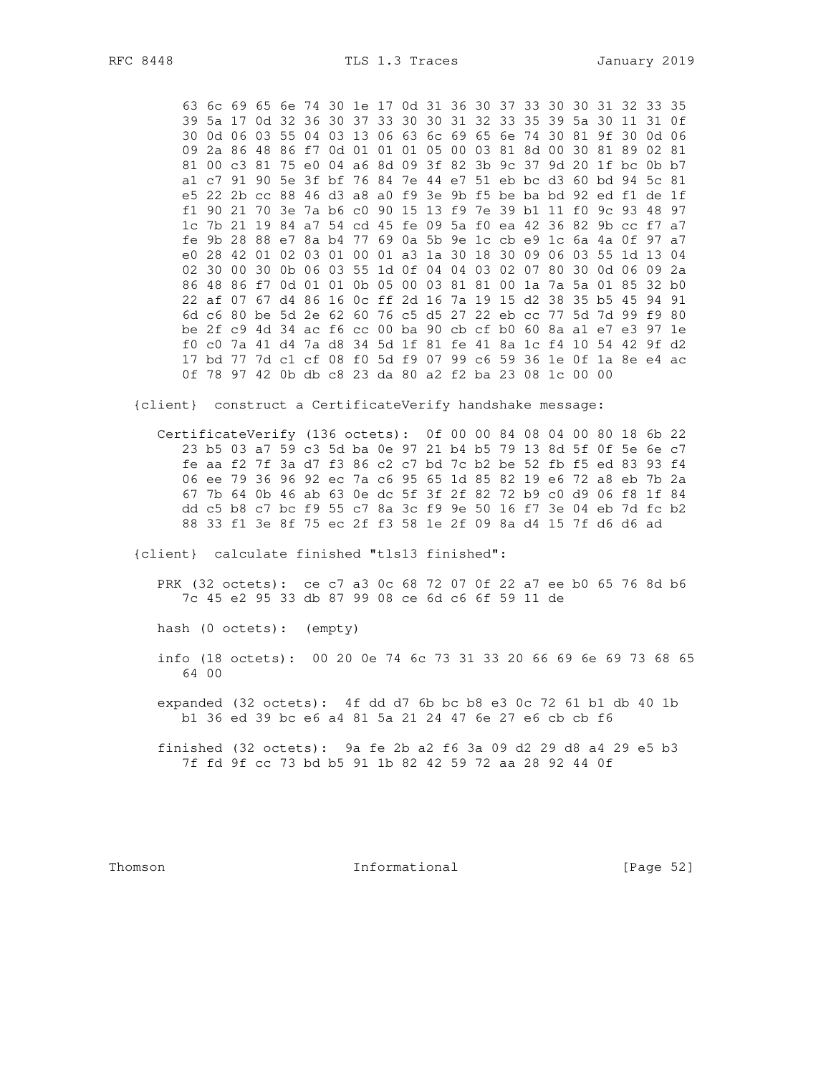63 6c 69 65 6e 74 30 1e 17 0d 31 36 30 37 33 30 30 31 32 33 35 39 5a 17 0d 32 36 30 37 33 30 30 31 32 33 35 39 5a 30 11 31 0f 30 0d 06 03 55 04 03 13 06 63 6c 69 65 6e 74 30 81 9f 30 0d 06 09 2a 86 48 86 f7 0d 01 01 01 05 00 03 81 8d 00 30 81 89 02 81 81 00 c3 81 75 e0 04 a6 8d 09 3f 82 3b 9c 37 9d 20 1f bc 0b b7 al c7 91 90 5e 3f bf 76 84 7e 44 e7 51 eb bc d3 60 bd 94 5c 81 e5 22 2b cc 88 46 d3 a8 a0 f9 3e 9b f5 be ba bd 92 ed f1 de 1f f1 90 21 70 3e 7a b6 c0 90 15 13 f9 7e 39 b1 11 f0 9c 93 48 97 1c 7b 21 19 84 a7 54 cd 45 fe 09 5a f0 ea 42 36 82 9b cc f7 a7 fe 9b 28 88 e7 8a b4 77 69 0a 5b 9e 1c cb e9 1c 6a 4a 0f 97 a7 e0 28 42 01 02 03 01 00 01 a3 1a 30 18 30 09 06 03 55 1d 13 04 02 30 00 30 0b 06 03 55 1d 0f 04 04 03 02 07 80 30 0d 06 09 2a 86 48 86 f7 0d 01 01 0b 05 00 03 81 81 00 1a 7a 5a 01 85 32 b0 22 af 07 67 d4 86 16 0c ff 2d 16 7a 19 15 d2 38 35 b5 45 94 91 6d c6 80 be 5d 2e 62 60 76 c5 d5 27 22 eb cc 77 5d 7d 99 f9 80 be 2f c9 4d 34 ac f6 cc 00 ba 90 cb cf b0 60 8a a1 e7 e3 97 1e f0 c0 7a 41 d4 7a d8 34 5d 1f 81 fe 41 8a 1c f4 10 54 42 9f d2 17 bd 77 7d c1 cf 08 f0 5d f9 07 99 c6 59 36 1e 0f 1a 8e e4 ac 0f 78 97 42 0b db c8 23 da 80 a2 f2 ba 23 08 1c 00 00

{client} construct a CertificateVerify handshake message:

CertificateVerify (136 octets): 0f 00 00 84 08 04 00 80 18 6b 22 23 b5 03 a7 59 c3 5d ba 0e 97 21 b4 b5 79 13 8d 5f 0f 5e 6e c7 fe aa f2 7f 3a d7 f3 86 c2 c7 bd 7c b2 be 52 fb f5 ed 83 93 f4 06 ee 79 36 96 92 ec 7a c6 95 65 1d 85 82 19 e6 72 a8 eb 7b 2a 67 7b 64 0b 46 ab 63 0e dc 5f 3f 2f 82 72 b9 c0 d9 06 f8 1f 84 dd c5 b8 c7 bc f9 55 c7 8a 3c f9 9e 50 16 f7 3e 04 eb 7d fc b2 88 33 fl 3e 8f 75 ec 2f f3 58 1e 2f 09 8a d4 15 7f d6 d6 ad

{client} calculate finished "tls13 finished":

PRK (32 octets): ce c7 a3 0c 68 72 07 0f 22 a7 ee b0 65 76 8d b6 7c 45 e2 95 33 db 87 99 08 ce 6d c6 6f 59 11 de

hash (0 octets): (empty)

- info (18 octets): 00 20 0e 74 6c 73 31 33 20 66 69 6e 69 73 68 65 64 00
- expanded (32 octets): 4f dd d7 6b bc b8 e3 0c 72 61 b1 db 40 1b b1 36 ed 39 bc e6 a4 81 5a 21 24 47 6e 27 e6 cb cb f6
- finished  $(32 \text{ octets})$ : 9a fe 2b a2 f6 3a 09 d2 29 d8 a4 29 e5 b3 7f fd 9f cc 73 bd b5 91 1b 82 42 59 72 aa 28 92 44 0f

Thomson

Informational

[Page 52]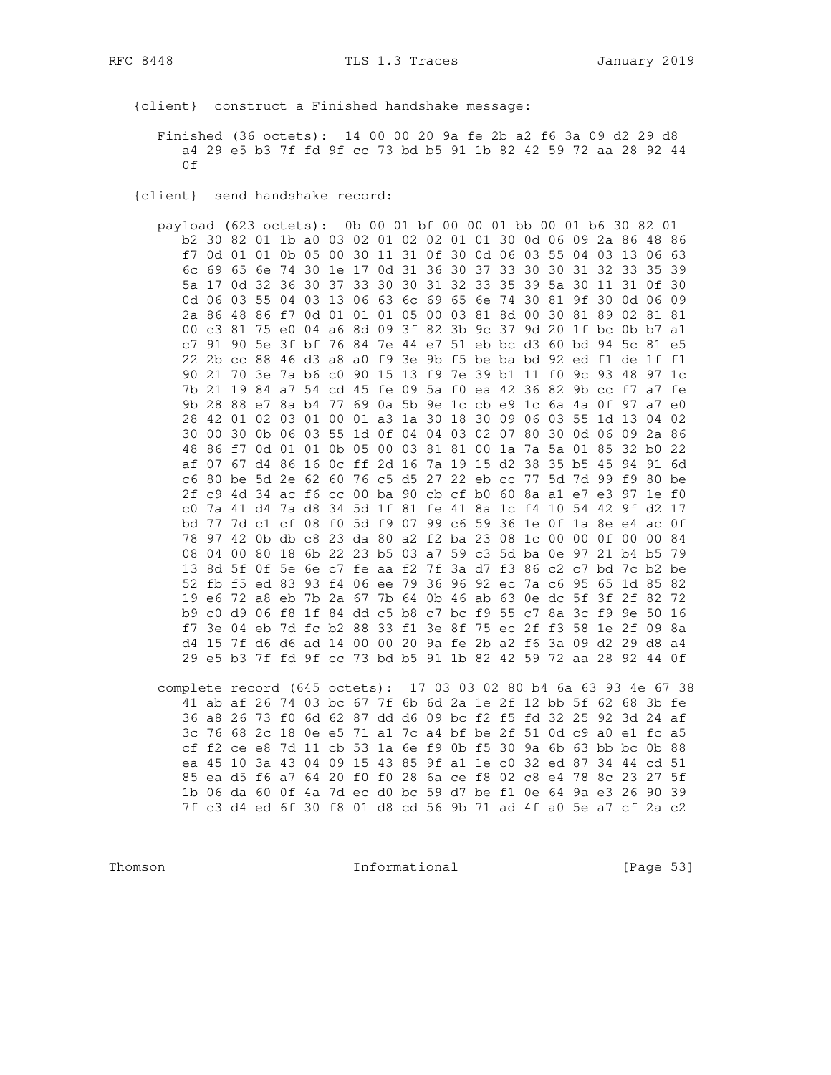{client} construct a Finished handshake message:

Finished (36 octets): 14 00 00 20 9a fe 2b a2 f6 3a 09 d2 29 d8 a4 29 e5 b3 7f fd 9f cc 73 bd b5 91 1b 82 42 59 72 aa 28 92 44 0f

{client} send handshake record:

payload (623 octets): 0b 00 01 bf 00 00 01 bb 00 01 b6 30 82 01 b2 30 82 01 1b a0 03 02 01 02 02 01 01 30 0d 06 09 2a 86 48 86 f7 0d 01 01 0b 05 00 30 11 31 0f 30 0d 06 03 55 04 03 13 06 63 6c 69 65 6e 74 30 1e 17 0d 31 36 30 37 33 30 30 31 32 33 35 39 5a 17 0d 32 36 30 37 33 30 30 31 32 33 35 39 5a 30 11 31 0f 30 0d 06 03 55 04 03 13 06 63 6c 69 65 6e 74 30 81 9f 30 0d 06 09 2a 86 48 86 f7 0d 01 01 01 05 00 03 81 8d 00 30 81 89 02 81 81 00 c3 81 75 e0 04 a6 8d 09 3f 82 3b 9c 37 9d 20 1f bc 0b b7 a1 c7 91 90 5e 3f bf 76 84 7e 44 e7 51 eb bc d3 60 bd 94 5c 81 e5 22 2b cc 88 46 d3 a8 a0 f9 3e 9b f5 be ba bd 92 ed f1 de 1f f1 90 21 70 3e 7a b6 c0 90 15 13 f9 7e 39 b1 11 f0 9c 93 48 97 1c 7b 21 19 84 a7 54 cd 45 fe 09 5a f0 ea 42 36 82 9b cc f7 a7 fe 9b 28 88 e7 8a b4 77 69 0a 5b 9e 1c cb e9 1c 6a 4a 0f 97 a7 e0 28 42 01 02 03 01 00 01 a3 1a 30 18 30 09 06 03 55 1d 13 04 02 30 00 30 0b 06 03 55 1d 0f 04 04 03 02 07 80 30 0d 06 09 2a 86 48 86 f7 0d 01 01 0b 05 00 03 81 81 00 1a 7a 5a 01 85 32 b0 22 af 07 67 d4 86 16 0c ff 2d 16 7a 19 15 d2 38 35 b5 45 94 91 6d c6 80 be 5d 2e 62 60 76 c5 d5 27 22 eb cc 77 5d 7d 99 f9 80 be 2f c9 4d 34 ac f6 cc 00 ba 90 cb cf b0 60 8a a1 e7 e3 97 1e f0 c0 7a 41 d4 7a d8 34 5d 1f 81 fe 41 8a 1c f4 10 54 42 9f d2 17 bd 77 7d c1 cf 08 f0 5d f9 07 99 c6 59 36 1e 0f 1a 8e e4 ac 0f 78 97 42 0b db c8 23 da 80 a2 f2 ba 23 08 1c 00 00 0f 00 00 84 08 04 00 80 18 6b 22 23 b5 03 a7 59 c3 5d ba 0e 97 21 b4 b5 79 13 8d 5f 0f 5e 6e c7 fe aa f2 7f 3a d7 f3 86 c2 c7 bd 7c b2 be 52 fb f5 ed 83 93 f4 06 ee 79 36 96 92 ec 7a c6 95 65 1d 85 82 19 e6 72 a8 eb 7b 2a 67 7b 64 0b 46 ab 63 0e dc 5f 3f 2f 82 72 b9 c0 d9 06 f8 1f 84 dd c5 b8 c7 bc f9 55 c7 8a 3c f9 9e 50 16 f7 3e 04 eb 7d fc b2 88 33 f1 3e 8f 75 ec 2f f3 58 1e 2f 09 8a d4 15 7f d6 d6 ad 14 00 00 20 9a fe 2b a2 f6 3a 09 d2 29 d8 a4 29 e5 b3 7f fd 9f cc 73 bd b5 91 1b 82 42 59 72 aa 28 92 44 0f

complete record (645 octets): 17 03 03 02 80 b4 6a 63 93 4e 67 38 41 ab af 26 74 03 bc 67 7f 6b 6d 2a 1e 2f 12 bb 5f 62 68 3b fe 36 a8 26 73 f0 6d 62 87 dd d6 09 bc f2 f5 fd 32 25 92 3d 24 af 3c 76 68 2c 18 0e e5 71 a1 7c a4 bf be 2f 51 0d c9 a0 e1 fc a5 cf f2 ce e8 7d 11 cb 53 1a 6e f9 0b f5 30 9a 6b 63 bb bc 0b 88 ea 45 10 3a 43 04 09 15 43 85 9f al 1e c0 32 ed 87 34 44 cd 51 85 ea d5 f6 a7 64 20 f0 f0 28 6a ce f8 02 c8 e4 78 8c 23 27 5f 1b 06 da 60 0f 4a 7d ec d0 bc 59 d7 be f1 0e 64 9a e3 26 90 39 7f c3 d4 ed 6f 30 f8 01 d8 cd 56 9b 71 ad 4f a0 5e a7 cf 2a c2

Thomson

Informational

[Page 53]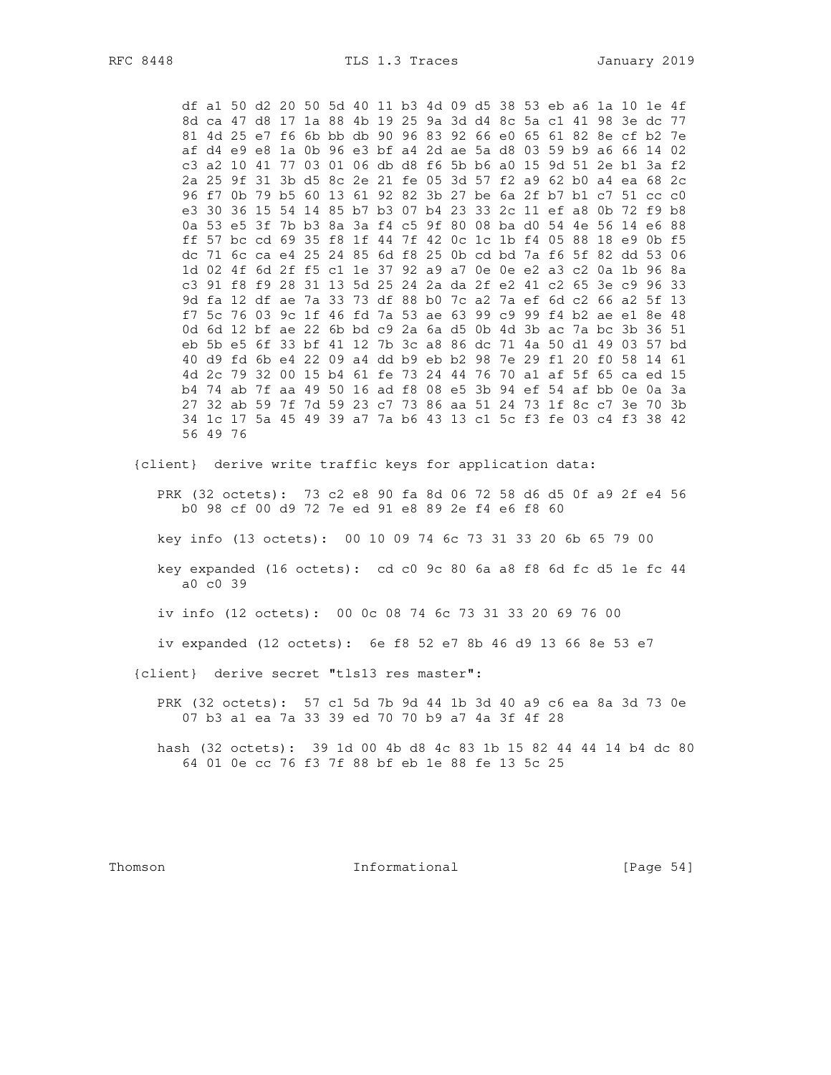RFC 8448

df al 50 d2 20 50 5d 40 11 b3 4d 09 d5 38 53 eb a6 1a 10 1e 4f 8d ca 47 d8 17 1a 88 4b 19 25 9a 3d d4 8c 5a c1 41 98 3e dc 77 81 4d 25 e7 f6 6b bb db 90 96 83 92 66 e0 65 61 82 8e cf b2 7e af d4 e9 e8 1a 0b 96 e3 bf a4 2d ae 5a d8 03 59 b9 a6 66 14 02 c3 a2 10 41 77 03 01 06 db d8 f6 5b b6 a0 15 9d 51 2e b1 3a f2 2a 25 9f 31 3b d5 8c 2e 21 fe 05 3d 57 f2 a9 62 b0 a4 ea 68 2c 96 f7 0b 79 b5 60 13 61 92 82 3b 27 be 6a 2f b7 b1 c7 51 cc c0 e3 30 36 15 54 14 85 b7 b3 07 b4 23 33 2c 11 ef a8 0b 72 f9 b8 0a 53 e5 3f 7b b3 8a 3a f4 c5 9f 80 08 ba d0 54 4e 56 14 e6 88 ff 57 bc cd 69 35 f8 1f 44 7f 42 0c 1c 1b f4 05 88 18 e9 0b f5 dc 71 6c ca e4 25 24 85 6d f8 25 0b cd bd 7a f6 5f 82 dd 53 06 1d 02 4f 6d 2f f5 c1 1e 37 92 a9 a7 0e 0e e2 a3 c2 0a 1b 96 8a c3 91 f8 f9 28 31 13 5d 25 24 2a da 2f e2 41 c2 65 3e c9 96 33 9d fa 12 df ae 7a 33 73 df 88 b0 7c a2 7a ef 6d c2 66 a2 5f 13 f7 5c 76 03 9c 1f 46 fd 7a 53 ae 63 99 c9 99 f4 b2 ae e1 8e 48 0d 6d 12 bf ae 22 6b bd c9 2a 6a d5 0b 4d 3b ac 7a bc 3b 36 51 eb 5b e5 6f 33 bf 41 12 7b 3c a8 86 dc 71 4a 50 d1 49 03 57 bd 40 d9 fd 6b e4 22 09 a4 dd b9 eb b2 98 7e 29 f1 20 f0 58 14 61 4d 2c 79 32 00 15 b4 61 fe 73 24 44 76 70 a1 af 5f 65 ca ed 15 b4 74 ab 7f aa 49 50 16 ad f8 08 e5 3b 94 ef 54 af bb 0e 0a 3a 27 32 ab 59 7f 7d 59 23 c7 73 86 aa 51 24 73 1f 8c c7 3e 70 3b 34 1c 17 5a 45 49 39 a7 7a b6 43 13 c1 5c f3 fe 03 c4 f3 38 42 56 49 76 {client} derive write traffic keys for application data: PRK (32 octets): 73 c2 e8 90 fa 8d 06 72 58 d6 d5 0f a9 2f e4 56 b0 98 cf 00 d9 72 7e ed 91 e8 89 2e f4 e6 f8 60 key info (13 octets): 00 10 09 74 6c 73 31 33 20 6b 65 79 00 key expanded (16 octets): cd c0 9c 80 6a a8 f8 6d fc d5 1e fc 44 a0 c0 39 iv info (12 octets): 00 0c 08 74 6c 73 31 33 20 69 76 00 iv expanded (12 octets): 6e f8 52 e7 8b 46 d9 13 66 8e 53 e7 {client} derive secret "tls13 res master":

PRK (32 octets): 57 c1 5d 7b 9d 44 1b 3d 40 a9 c6 ea 8a 3d 73 0e 07 b3 a1 ea 7a 33 39 ed 70 70 b9 a7 4a 3f 4f 28

hash (32 octets): 39 1d 00 4b d8 4c 83 1b 15 82 44 44 14 b4 dc 80 64 01 0e cc 76 f3 7f 88 bf eb 1e 88 fe 13 5c 25

Thomson

Informational

[Page  $54$ ]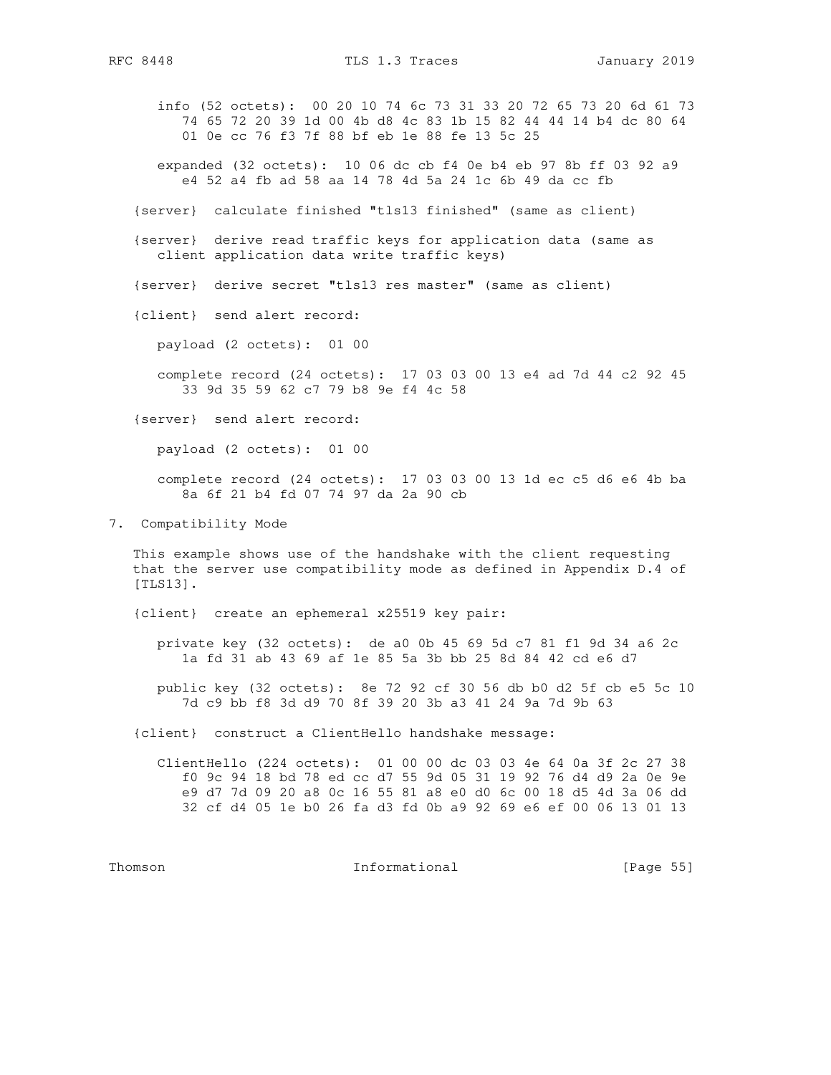info (52 octets): 00 20 10 74 6c 73 31 33 20 72 65 73 20 6d 61 73 74 65 72 20 39 1d 00 4b d8 4c 83 1b 15 82 44 44 14 b4 dc 80 64 01 0e cc 76 f3 7f 88 bf eb 1e 88 fe 13 5c 25

 expanded (32 octets): 10 06 dc cb f4 0e b4 eb 97 8b ff 03 92 a9 e4 52 a4 fb ad 58 aa 14 78 4d 5a 24 1c 6b 49 da cc fb

{server} calculate finished "tls13 finished" (same as client)

 {server} derive read traffic keys for application data (same as client application data write traffic keys)

{server} derive secret "tls13 res master" (same as client)

{client} send alert record:

payload (2 octets): 01 00

 complete record (24 octets): 17 03 03 00 13 e4 ad 7d 44 c2 92 45 33 9d 35 59 62 c7 79 b8 9e f4 4c 58

{server} send alert record:

payload (2 octets): 01 00

 complete record (24 octets): 17 03 03 00 13 1d ec c5 d6 e6 4b ba 8a 6f 21 b4 fd 07 74 97 da 2a 90 cb

7. Compatibility Mode

 This example shows use of the handshake with the client requesting that the server use compatibility mode as defined in Appendix D.4 of [TLS13].

{client} create an ephemeral x25519 key pair:

 private key (32 octets): de a0 0b 45 69 5d c7 81 f1 9d 34 a6 2c 1a fd 31 ab 43 69 af 1e 85 5a 3b bb 25 8d 84 42 cd e6 d7

 public key (32 octets): 8e 72 92 cf 30 56 db b0 d2 5f cb e5 5c 10 7d c9 bb f8 3d d9 70 8f 39 20 3b a3 41 24 9a 7d 9b 63

{client} construct a ClientHello handshake message:

 ClientHello (224 octets): 01 00 00 dc 03 03 4e 64 0a 3f 2c 27 38 f0 9c 94 18 bd 78 ed cc d7 55 9d 05 31 19 92 76 d4 d9 2a 0e 9e e9 d7 7d 09 20 a8 0c 16 55 81 a8 e0 d0 6c 00 18 d5 4d 3a 06 dd 32 cf d4 05 1e b0 26 fa d3 fd 0b a9 92 69 e6 ef 00 06 13 01 13

Thomson **Informational Informational** [Page 55]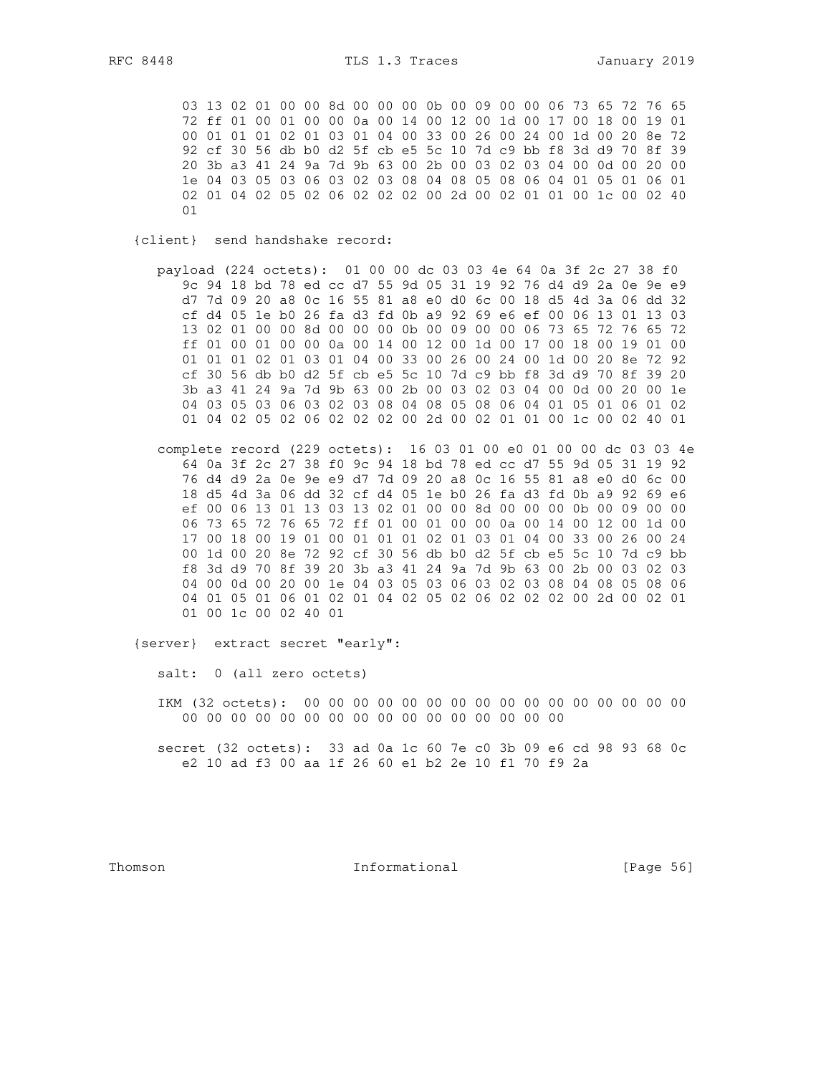03 13 02 01 00 00 8d 00 00 00 0b 00 09 00 00 06 73 65 72 76 65 72 ff 01 00 01 00 00 0a 00 14 00 12 00 1d 00 17 00 18 00 19 01 00 01 01 01 02 01 03 01 04 00 33 00 26 00 24 00 1d 00 20 8e 72 92 cf 30 56 db b0 d2 5f cb e5 5c 10 7d c9 bb f8 3d d9 70 8f 39 20 3b a3 41 24 9a 7d 9b 63 00 2b 00 03 02 03 04 00 0d 00 20 00 1e 04 03 05 03 06 03 02 03 08 04 08 05 08 06 04 01 05 01 06 01 02 01 04 02 05 02 06 02 02 02 00 2d 00 02 01 01 00 1c 00 02 40 01

{client} send handshake record:

- payload (224 octets): 01 00 00 dc 03 03 4e 64 0a 3f 2c 27 38 f0 9c 94 18 bd 78 ed cc d7 55 9d 05 31 19 92 76 d4 d9 2a 0e 9e e9 d7 7d 09 20 a8 0c 16 55 81 a8 e0 d0 6c 00 18 d5 4d 3a 06 dd 32 cf d4 05 le b0 26 fa d3 fd 0b a9 92 69 e6 ef 00 06 13 01 13 03 13 02 01 00 00 8d 00 00 00 0b 00 09 00 00 06 73 65 72 76 65 72 ff 01 00 01 00 00 0a 00 14 00 12 00 1d 00 17 00 18 00 19 01 00 01 01 01 02 01 03 01 04 00 33 00 26 00 24 00 1d 00 20 8e 72 92 cf 30 56 db b0 d2 5f cb e5 5c 10 7d c9 bb f8 3d d9 70 8f 39 20 3b a3 41 24 9a 7d 9b 63 00 2b 00 03 02 03 04 00 0d 00 20 00 1e 04 03 05 03 06 03 02 03 08 04 08 05 08 06 04 01 05 01 06 01 02 01 04 02 05 02 06 02 02 02 00 2d 00 02 01 01 00 1c 00 02 40 01
- complete record (229 octets): 16 03 01 00 e0 01 00 00 dc 03 03 4e 64 0a 3f 2c 27 38 f0 9c 94 18 bd 78 ed cc d7 55 9d 05 31 19 92 76 d4 d9 2a 0e 9e e9 d7 7d 09 20 a8 0c 16 55 81 a8 e0 d0 6c 00 18 d5 4d 3a 06 dd 32 cf d4 05 1e b0 26 fa d3 fd 0b a9 92 69 e6 ef 00 06 13 01 13 03 13 02 01 00 00 8d 00 00 00 0b 00 09 00 00 06 73 65 72 76 65 72 ff 01 00 01 00 00 0a 00 14 00 12 00 1d 00 17 00 18 00 19 01 00 01 01 01 02 01 03 01 04 00 33 00 26 00 24 00 1d 00 20 8e 72 92 cf 30 56 db b0 d2 5f cb e5 5c 10 7d c9 bb f8 3d d9 70 8f 39 20 3b a3 41 24 9a 7d 9b 63 00 2b 00 03 02 03 04 00 0d 00 20 00 1e 04 03 05 03 06 03 02 03 08 04 08 05 08 06 04 01 05 01 06 01 02 01 04 02 05 02 06 02 02 02 00 2d 00 02 01 01 00 1c 00 02 40 01

{server} extract secret "early":

salt: 0 (all zero octets)

secret (32 octets): 33 ad 0a 1c 60 7e c0 3b 09 e6 cd 98 93 68 0c e2 10 ad f3 00 aa 1f 26 60 e1 b2 2e 10 f1 70 f9 2a

Thomson

Informational

[Page 56]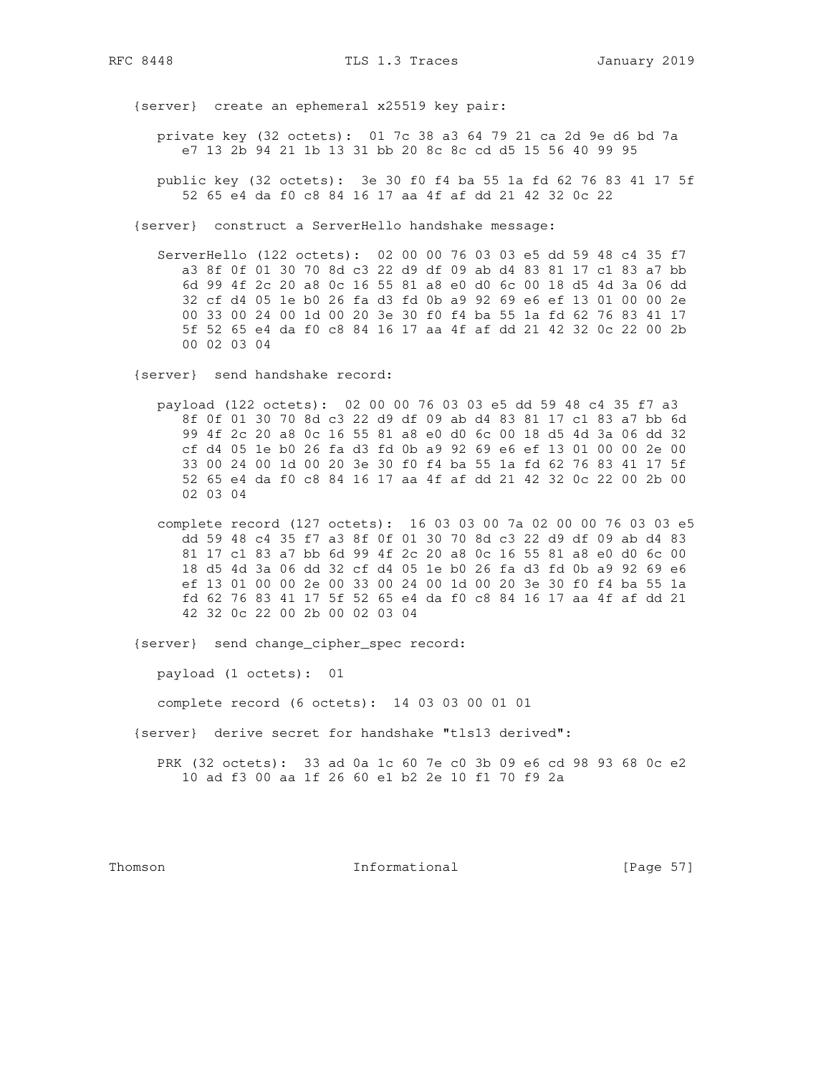{server} create an ephemeral x25519 key pair:

 private key (32 octets): 01 7c 38 a3 64 79 21 ca 2d 9e d6 bd 7a e7 13 2b 94 21 1b 13 31 bb 20 8c 8c cd d5 15 56 40 99 95

 public key (32 octets): 3e 30 f0 f4 ba 55 1a fd 62 76 83 41 17 5f 52 65 e4 da f0 c8 84 16 17 aa 4f af dd 21 42 32 0c 22

{server} construct a ServerHello handshake message:

 ServerHello (122 octets): 02 00 00 76 03 03 e5 dd 59 48 c4 35 f7 a3 8f 0f 01 30 70 8d c3 22 d9 df 09 ab d4 83 81 17 c1 83 a7 bb 6d 99 4f 2c 20 a8 0c 16 55 81 a8 e0 d0 6c 00 18 d5 4d 3a 06 dd 32 cf d4 05 1e b0 26 fa d3 fd 0b a9 92 69 e6 ef 13 01 00 00 2e 00 33 00 24 00 1d 00 20 3e 30 f0 f4 ba 55 1a fd 62 76 83 41 17 5f 52 65 e4 da f0 c8 84 16 17 aa 4f af dd 21 42 32 0c 22 00 2b 00 02 03 04

{server} send handshake record:

- payload (122 octets): 02 00 00 76 03 03 e5 dd 59 48 c4 35 f7 a3 8f 0f 01 30 70 8d c3 22 d9 df 09 ab d4 83 81 17 c1 83 a7 bb 6d 99 4f 2c 20 a8 0c 16 55 81 a8 e0 d0 6c 00 18 d5 4d 3a 06 dd 32 cf d4 05 1e b0 26 fa d3 fd 0b a9 92 69 e6 ef 13 01 00 00 2e 00 33 00 24 00 1d 00 20 3e 30 f0 f4 ba 55 1a fd 62 76 83 41 17 5f 52 65 e4 da f0 c8 84 16 17 aa 4f af dd 21 42 32 0c 22 00 2b 00 02 03 04
- complete record (127 octets): 16 03 03 00 7a 02 00 00 76 03 03 e5 dd 59 48 c4 35 f7 a3 8f 0f 01 30 70 8d c3 22 d9 df 09 ab d4 83 81 17 c1 83 a7 bb 6d 99 4f 2c 20 a8 0c 16 55 81 a8 e0 d0 6c 00 18 d5 4d 3a 06 dd 32 cf d4 05 1e b0 26 fa d3 fd 0b a9 92 69 e6 ef 13 01 00 00 2e 00 33 00 24 00 1d 00 20 3e 30 f0 f4 ba 55 1a fd 62 76 83 41 17 5f 52 65 e4 da f0 c8 84 16 17 aa 4f af dd 21 42 32 0c 22 00 2b 00 02 03 04

{server} send change\_cipher\_spec record:

payload (1 octets): 01

complete record (6 octets): 14 03 03 00 01 01

{server} derive secret for handshake "tls13 derived":

 PRK (32 octets): 33 ad 0a 1c 60 7e c0 3b 09 e6 cd 98 93 68 0c e2 10 ad f3 00 aa 1f 26 60 e1 b2 2e 10 f1 70 f9 2a

Thomson **Informational Informational** [Page 57]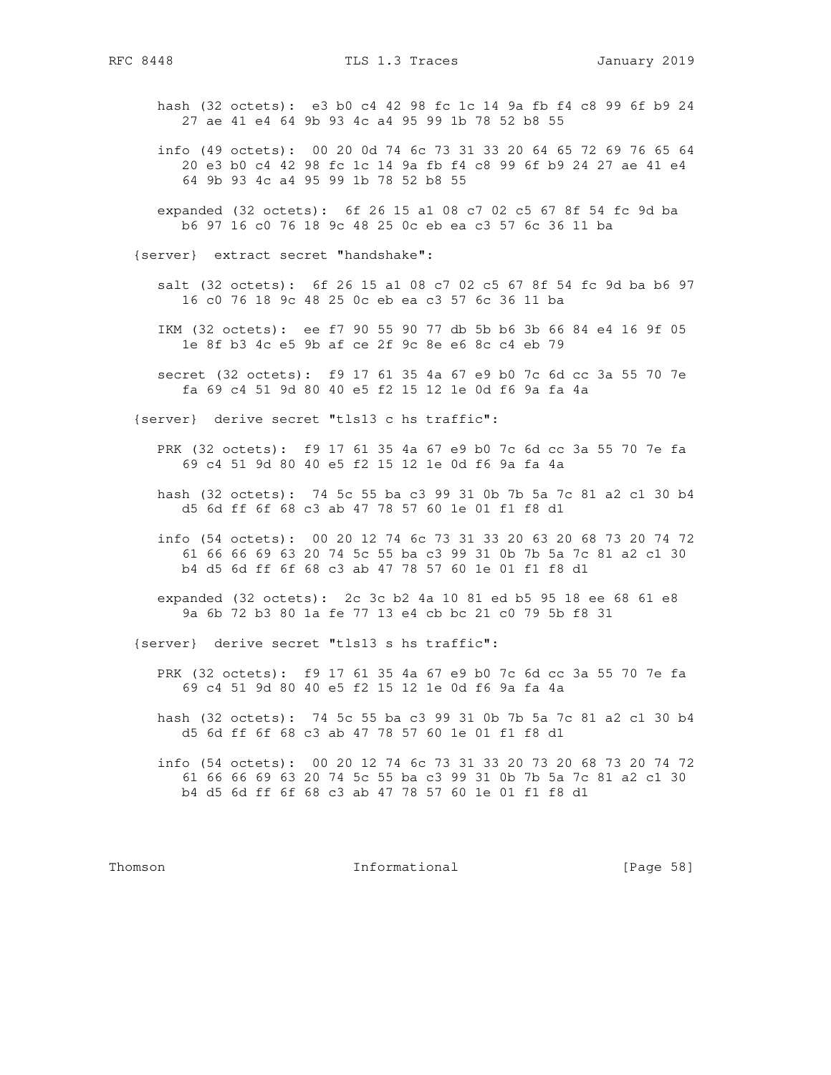hash (32 octets): e3 b0 c4 42 98 fc 1c 14 9a fb f4 c8 99 6f b9 24 27 ae 41 e4 64 9b 93 4c a4 95 99 1b 78 52 b8 55

- info (49 octets): 00 20 0d 74 6c 73 31 33 20 64 65 72 69 76 65 64 20 e3 b0 c4 42 98 fc 1c 14 9a fb f4 c8 99 6f b9 24 27 ae 41 e4 64 9b 93 4c a4 95 99 1b 78 52 b8 55
- expanded (32 octets): 6f 26 15 a1 08 c7 02 c5 67 8f 54 fc 9d ba b6 97 16 c0 76 18 9c 48 25 0c eb ea c3 57 6c 36 11 ba

{server} extract secret "handshake":

- salt (32 octets): 6f 26 15 a1 08 c7 02 c5 67 8f 54 fc 9d ba b6 97 16 c0 76 18 9c 48 25 0c eb ea c3 57 6c 36 11 ba
- IKM (32 octets): ee f7 90 55 90 77 db 5b b6 3b 66 84 e4 16 9f 05 1e 8f b3 4c e5 9b af ce 2f 9c 8e e6 8c c4 eb 79
- secret (32 octets): f9 17 61 35 4a 67 e9 b0 7c 6d cc 3a 55 70 7e fa 69 c4 51 9d 80 40 e5 f2 15 12 1e 0d f6 9a fa 4a

{server} derive secret "tls13 c hs traffic":

- PRK (32 octets): f9 17 61 35 4a 67 e9 b0 7c 6d cc 3a 55 70 7e fa 69 c4 51 9d 80 40 e5 f2 15 12 1e 0d f6 9a fa 4a
- hash (32 octets): 74 5c 55 ba c3 99 31 0b 7b 5a 7c 81 a2 c1 30 b4 d5 6d ff 6f 68 c3 ab 47 78 57 60 1e 01 f1 f8 d1
- info (54 octets): 00 20 12 74 6c 73 31 33 20 63 20 68 73 20 74 72 61 66 66 69 63 20 74 5c 55 ba c3 99 31 0b 7b 5a 7c 81 a2 c1 30 b4 d5 6d ff 6f 68 c3 ab 47 78 57 60 1e 01 f1 f8 d1
- expanded (32 octets): 2c 3c b2 4a 10 81 ed b5 95 18 ee 68 61 e8 9a 6b 72 b3 80 1a fe 77 13 e4 cb bc 21 c0 79 5b f8 31

{server} derive secret "tls13 s hs traffic":

- PRK (32 octets): f9 17 61 35 4a 67 e9 b0 7c 6d cc 3a 55 70 7e fa 69 c4 51 9d 80 40 e5 f2 15 12 1e 0d f6 9a fa 4a
- hash (32 octets): 74 5c 55 ba c3 99 31 0b 7b 5a 7c 81 a2 c1 30 b4 d5 6d ff 6f 68 c3 ab 47 78 57 60 1e 01 f1 f8 d1
- info (54 octets): 00 20 12 74 6c 73 31 33 20 73 20 68 73 20 74 72 61 66 66 69 63 20 74 5c 55 ba c3 99 31 0b 7b 5a 7c 81 a2 c1 30 b4 d5 6d ff 6f 68 c3 ab 47 78 57 60 1e 01 f1 f8 d1

Thomson **Informational Informational** [Page 58]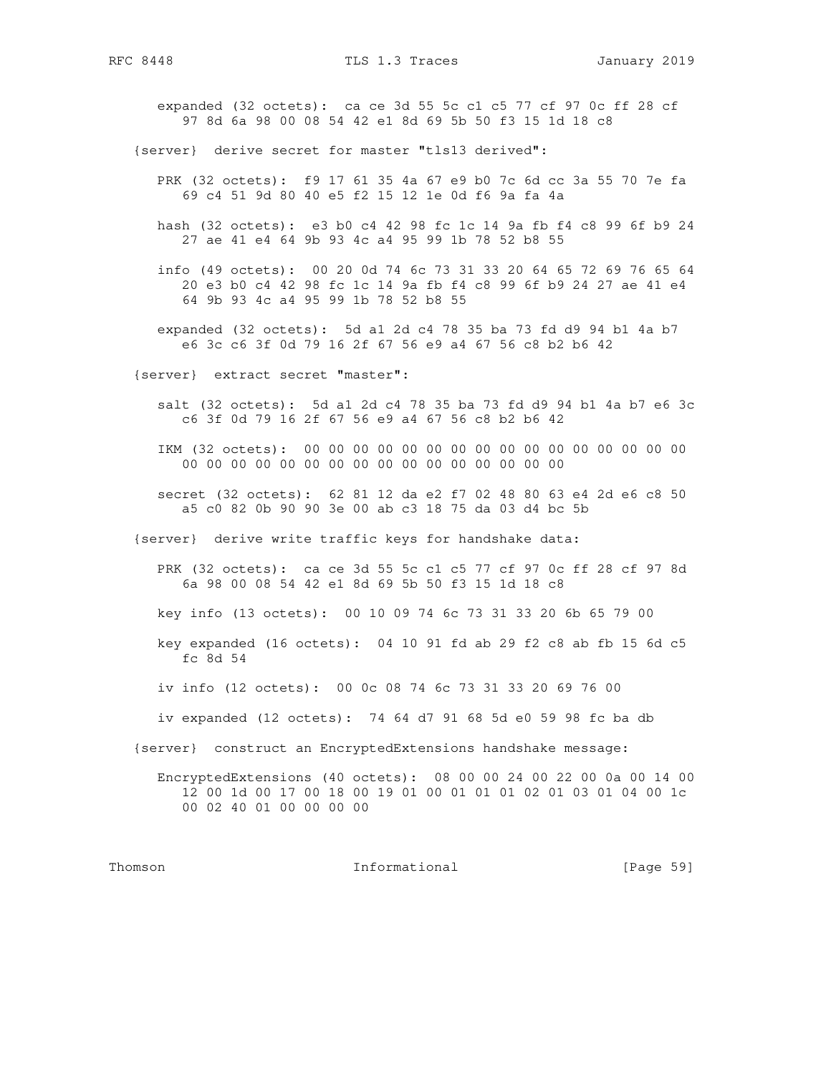expanded (32 octets): ca ce 3d 55 5c c1 c5 77 cf 97 0c ff 28 cf 97 8d 6a 98 00 08 54 42 e1 8d 69 5b 50 f3 15 1d 18 c8

{server} derive secret for master "tls13 derived":

- PRK (32 octets): f9 17 61 35 4a 67 e9 b0 7c 6d cc 3a 55 70 7e fa 69 c4 51 9d 80 40 e5 f2 15 12 1e 0d f6 9a fa 4a
- hash (32 octets): e3 b0 c4 42 98 fc 1c 14 9a fb f4 c8 99 6f b9 24 27 ae 41 e4 64 9b 93 4c a4 95 99 1b 78 52 b8 55
- info (49 octets): 00 20 0d 74 6c 73 31 33 20 64 65 72 69 76 65 64 20 e3 b0 c4 42 98 fc 1c 14 9a fb f4 c8 99 6f b9 24 27 ae 41 e4 64 9b 93 4c a4 95 99 1b 78 52 b8 55
- expanded (32 octets): 5d a1 2d c4 78 35 ba 73 fd d9 94 b1 4a b7 e6 3c c6 3f 0d 79 16 2f 67 56 e9 a4 67 56 c8 b2 b6 42
- {server} extract secret "master":

 salt (32 octets): 5d a1 2d c4 78 35 ba 73 fd d9 94 b1 4a b7 e6 3c c6 3f 0d 79 16 2f 67 56 e9 a4 67 56 c8 b2 b6 42

 IKM (32 octets): 00 00 00 00 00 00 00 00 00 00 00 00 00 00 00 00 00 00 00 00 00 00 00 00 00 00 00 00 00 00 00 00

 secret (32 octets): 62 81 12 da e2 f7 02 48 80 63 e4 2d e6 c8 50 a5 c0 82 0b 90 90 3e 00 ab c3 18 75 da 03 d4 bc 5b

{server} derive write traffic keys for handshake data:

 PRK (32 octets): ca ce 3d 55 5c c1 c5 77 cf 97 0c ff 28 cf 97 8d 6a 98 00 08 54 42 e1 8d 69 5b 50 f3 15 1d 18 c8

key info (13 octets): 00 10 09 74 6c 73 31 33 20 6b 65 79 00

- key expanded (16 octets): 04 10 91 fd ab 29 f2 c8 ab fb 15 6d c5 fc 8d 54
- iv info (12 octets): 00 0c 08 74 6c 73 31 33 20 69 76 00

iv expanded (12 octets): 74 64 d7 91 68 5d e0 59 98 fc ba db

{server} construct an EncryptedExtensions handshake message:

 EncryptedExtensions (40 octets): 08 00 00 24 00 22 00 0a 00 14 00 12 00 1d 00 17 00 18 00 19 01 00 01 01 01 02 01 03 01 04 00 1c 00 02 40 01 00 00 00 00

Thomson **Informational Informational** [Page 59]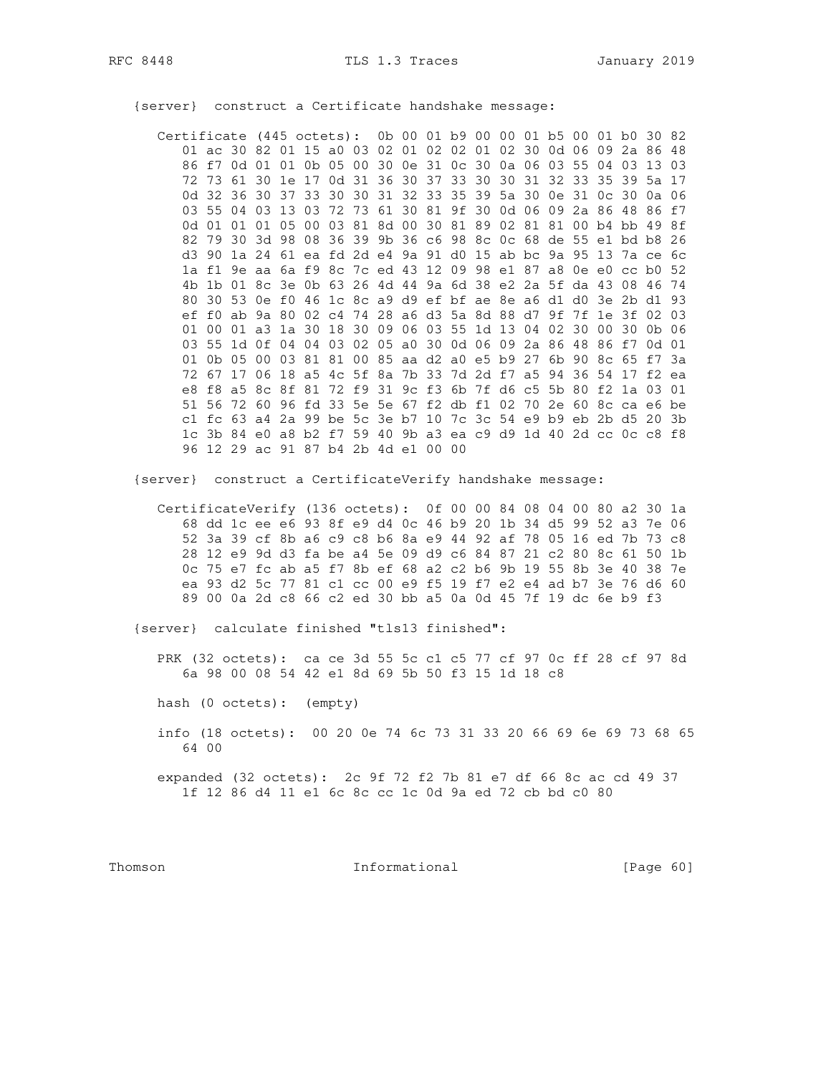Certificate (445 octets): 0b 00 01 b9 00 00 01 b5 00 01 b0 30 82 01 ac 30 82 01 15 a0 03 02 01 02 02 01 02 30 0d 06 09 2a 86 48 86 f7 0d 01 01 0b 05 00 30 0e 31 0c 30 0a 06 03 55 04 03 13 03 72 73 61 30 1e 17 0d 31 36 30 37 33 30 30 31 32 33 35 39 5a 17 0d 32 36 30 37 33 30 30 31 32 33 35 39 5a 30 0e 31 0c 30 0a 06 03 55 04 03 13 03 72 73 61 30 81 9f 30 0d 06 09 2a 86 48 86 f7 0d 01 01 01 05 00 03 81 8d 00 30 81 89 02 81 81 00 b4 bb 49 8f 82 79 30 3d 98 08 36 39 9b 36 c6 98 8c 0c 68 de 55 e1 bd b8 26 d3 90 1a 24 61 ea fd 2d e4 9a 91 d0 15 ab bc 9a 95 13 7a ce 6c la f1 9e aa 6a f9 8c 7c ed 43 12 09 98 e1 87 a8 0e e0 cc b0 52 4b 1b 01 8c 3e 0b 63 26 4d 44 9a 6d 38 e2 2a 5f da 43 08 46 74 80 30 53 0e f0 46 1c 8c a9 d9 ef bf ae 8e a6 d1 d0 3e 2b d1 93 ef f0 ab 9a 80 02 c4 74 28 a6 d3 5a 8d 88 d7 9f 7f 1e 3f 02 03 01 00 01 a3 1a 30 18 30 09 06 03 55 1d 13 04 02 30 00 30 0b 06 03 55 1d 0f 04 04 03 02 05 a0 30 0d 06 09 2a 86 48 86 f7 0d 01 01 0b 05 00 03 81 81 00 85 aa d2 a0 e5 b9 27 6b 90 8c 65 f7 3a 72 67 17 06 18 a5 4c 5f 8a 7b 33 7d 2d f7 a5 94 36 54 17 f2 ea e8 f8 a5 8c 8f 81 72 f9 31 9c f3 6b 7f d6 c5 5b 80 f2 1a 03 01 51 56 72 60 96 fd 33 5e 5e 67 f2 db f1 02 70 2e 60 8c ca e6 be c1 fc 63 a4 2a 99 be 5c 3e b7 10 7c 3c 54 e9 b9 eb 2b d5 20 3b 1c 3b 84 e0 a8 b2 f7 59 40 9b a3 ea c9 d9 1d 40 2d cc 0c c8 f8 96 12 29 ac 91 87 b4 2b 4d e1 00 00

{server} construct a Certificate handshake message:

{server} construct a CertificateVerify handshake message:

CertificateVerify (136 octets): 0f 00 00 84 08 04 00 80 a2 30 1a 68 dd 1c ee e6 93 8f e9 d4 0c 46 b9 20 1b 34 d5 99 52 a3 7e 06 52 3a 39 cf 8b a6 c9 c8 b6 8a e9 44 92 af 78 05 16 ed 7b 73 c8 28 12 e9 9d d3 fa be a4 5e 09 d9 c6 84 87 21 c2 80 8c 61 50 1b 0c 75 e7 fc ab a5 f7 8b ef 68 a2 c2 b6 9b 19 55 8b 3e 40 38 7e ea 93 d2 5c 77 81 c1 cc 00 e9 f5 19 f7 e2 e4 ad b7 3e 76 d6 60 89 00 0a 2d c8 66 c2 ed 30 bb a5 0a 0d 45 7f 19 dc 6e b9 f3

{server} calculate finished "tls13 finished":

PRK (32 octets): ca ce 3d 55 5c c1 c5 77 cf 97 0c ff 28 cf 97 8d 6a 98 00 08 54 42 e1 8d 69 5b 50 f3 15 1d 18 c8

hash (0 octets): (empty)

info (18 octets): 00 20 0e 74 6c 73 31 33 20 66 69 6e 69 73 68 65 64 00

expanded (32 octets): 2c 9f 72 f2 7b 81 e7 df 66 8c ac cd 49 37 1f 12 86 d4 11 e1 6c 8c cc 1c 0d 9a ed 72 cb bd c0 80

Thomson

Informational

[Page  $60$ ]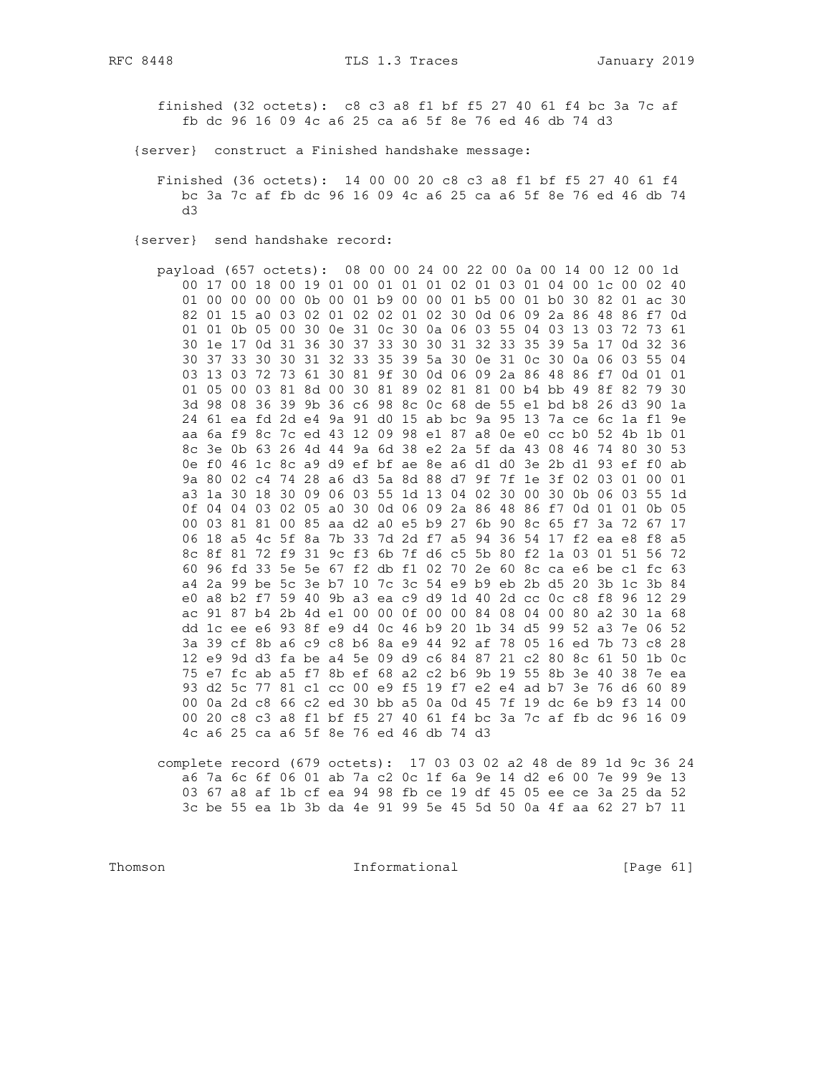finished (32 octets): c8 c3 a8 f1 bf f5 27 40 61 f4 bc 3a 7c af fb dc 96 16 09 4c a6 25 ca a6 5f 8e 76 ed 46 db 74 d3

- {server} construct a Finished handshake message:
	- Finished (36 octets): 14 00 00 20 c8 c3 a8 f1 bf f5 27 40 61 f4 bc 3a 7c af fb dc 96 16 09 4c a6 25 ca a6 5f 8e 76 ed 46 db 74  $AB$
- {server} send handshake record:

payload (657 octets): 08 00 00 24 00 22 00 0a 00 14 00 12 00 1d 00 17 00 18 00 19 01 00 01 01 01 02 01 03 01 04 00 1c 00 02 40 01 00 00 00 00 0b 00 01 b9 00 00 01 b5 00 01 b0 30 82 01 ac 30 82 01 15 a0 03 02 01 02 02 01 02 30 0d 06 09 2a 86 48 86 f7 0d 01 01 0b 05 00 30 0e 31 0c 30 0a 06 03 55 04 03 13 03 72 73 61 30 1e 17 0d 31 36 30 37 33 30 30 31 32 33 35 39 5a 17 0d 32 36 30 37 33 30 30 31 32 33 35 39 5a 30 0e 31 0c 30 0a 06 03 55 04 03 13 03 72 73 61 30 81 9f 30 0d 06 09 2a 86 48 86 f7 0d 01 01 01 05 00 03 81 8d 00 30 81 89 02 81 81 00 b4 bb 49 8f 82 79 30 3d 98 08 36 39 9b 36 c6 98 8c 0c 68 de 55 e1 bd b8 26 d3 90 1a 24 61 ea fd 2d e4 9a 91 d0 15 ab bc 9a 95 13 7a ce 6c 1a fl 9e aa 6a f9 8c 7c ed 43 12 09 98 e1 87 a8 0e e0 cc b0 52 4b 1b 01 8c 3e 0b 63 26 4d 44 9a 6d 38 e2 2a 5f da 43 08 46 74 80 30 53 0e f0 46 1c 8c a9 d9 ef bf ae 8e a6 d1 d0 3e 2b d1 93 ef f0 ab 9a 80 02 c4 74 28 a6 d3 5a 8d 88 d7 9f 7f 1e 3f 02 03 01 00 01 a3 1a 30 18 30 09 06 03 55 1d 13 04 02 30 00 30 0b 06 03 55 1d 0f 04 04 03 02 05 a0 30 0d 06 09 2a 86 48 86 f7 0d 01 01 0b 05 00 03 81 81 00 85 aa d2 a0 e5 b9 27 6b 90 8c 65 f7 3a 72 67 17 06 18 a5 4c 5f 8a 7b 33 7d 2d f7 a5 94 36 54 17 f2 ea e8 f8 a5 8c 8f 81 72 f9 31 9c f3 6b 7f d6 c5 5b 80 f2 1a 03 01 51 56 72 60 96 fd 33 5e 5e 67 f2 db f1 02 70 2e 60 8c ca e6 be c1 fc 63 a4 2a 99 be 5c 3e b7 10 7c 3c 54 e9 b9 eb 2b d5 20 3b 1c 3b 84 e0 a8 b2 f7 59 40 9b a3 ea c9 d9 1d 40 2d cc 0c c8 f8 96 12 29 ac 91 87 b4 2b 4d e1 00 00 0f 00 00 84 08 04 00 80 a2 30 1a 68 dd 1c ee e6 93 8f e9 d4 0c 46 b9 20 1b 34 d5 99 52 a3 7e 06 52 3a 39 cf 8b a6 c9 c8 b6 8a e9 44 92 af 78 05 16 ed 7b 73 c8 28 12 e9 9d d3 fa be a4 5e 09 d9 c6 84 87 21 c2 80 8c 61 50 1b 0c 75 e7 fc ab a5 f7 8b ef 68 a2 c2 b6 9b 19 55 8b 3e 40 38 7e ea 93 d2 5c 77 81 c1 cc 00 e9 f5 19 f7 e2 e4 ad b7 3e 76 d6 60 89 00 0a 2d c8 66 c2 ed 30 bb a5 0a 0d 45 7f 19 dc 6e b9 f3 14 00 00 20 c8 c3 a8 f1 bf f5 27 40 61 f4 bc 3a 7c af fb dc 96 16 09 4c a6 25 ca a6 5f 8e 76 ed 46 db 74 d3

complete record (679 octets): 17 03 03 02 a2 48 de 89 1d 9c 36 24 a6 7a 6c 6f 06 01 ab 7a c2 0c 1f 6a 9e 14 d2 e6 00 7e 99 9e 13 03 67 a8 af 1b cf ea 94 98 fb ce 19 df 45 05 ee ce 3a 25 da 52 3c be 55 ea 1b 3b da 4e 91 99 5e 45 5d 50 0a 4f aa 62 27 b7 11

Thomson

Informational

[Page  $61$ ]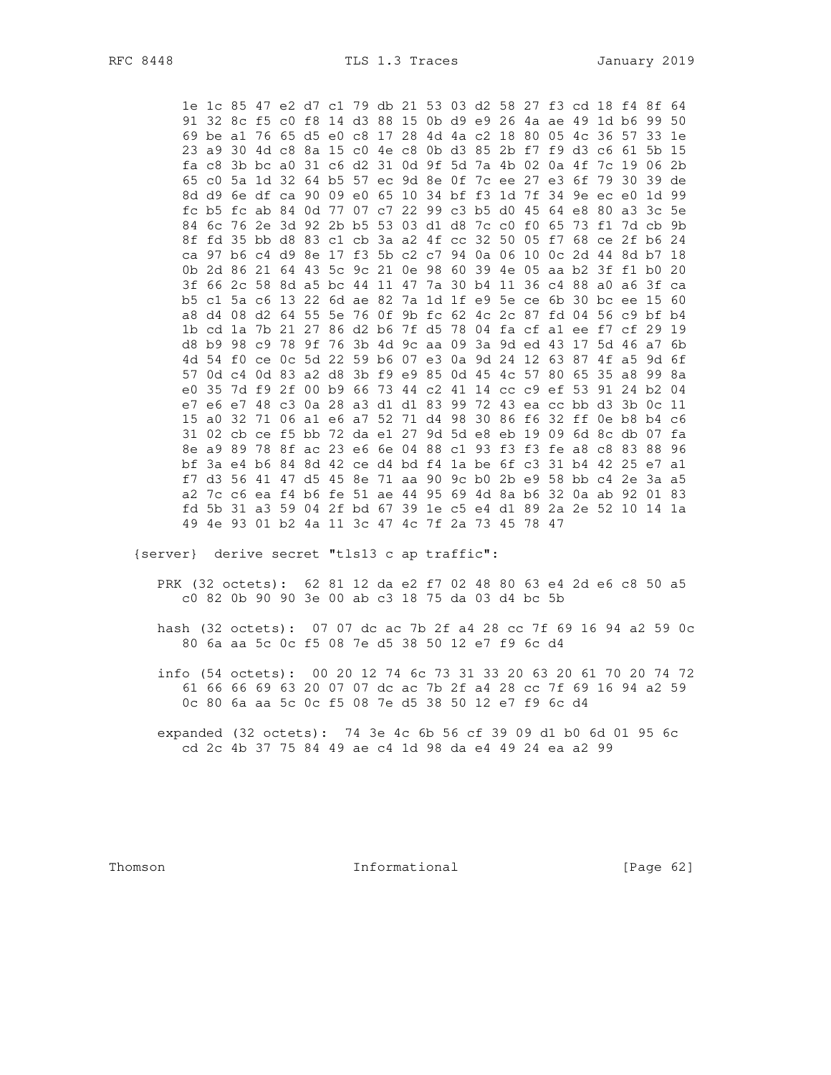RFC 8448

1e 1c 85 47 e2 d7 c1 79 db 21 53 03 d2 58 27 f3 cd 18 f4 8f 64 91 32 8c f5 c0 f8 14 d3 88 15 0b d9 e9 26 4a ae 49 1d b6 99 50 69 be al 76 65 d5 e0 c8 17 28 4d 4a c2 18 80 05 4c 36 57 33 1e 23 a9 30 4d c8 8a 15 c0 4e c8 0b d3 85 2b f7 f9 d3 c6 61 5b 15 fa c8 3b bc a0 31 c6 d2 31 0d 9f 5d 7a 4b 02 0a 4f 7c 19 06 2b 65 c0 5a 1d 32 64 b5 57 ec 9d 8e 0f 7c ee 27 e3 6f 79 30 39 de 8d d9 6e df ca 90 09 e0 65 10 34 bf f3 1d 7f 34 9e ec e0 1d 99 fc b5 fc ab 84 0d 77 07 c7 22 99 c3 b5 d0 45 64 e8 80 a3 3c 5e 84 6c 76 2e 3d 92 2b b5 53 03 d1 d8 7c c0 f0 65 73 f1 7d cb 9b 8f fd 35 bb d8 83 c1 cb 3a a2 4f cc 32 50 05 f7 68 ce 2f b6 24 ca 97 b6 c4 d9 8e 17 f3 5b c2 c7 94 0a 06 10 0c 2d 44 8d b7 18 0b 2d 86 21 64 43 5c 9c 21 0e 98 60 39 4e 05 aa b2 3f f1 b0 20 3f 66 2c 58 8d a5 bc 44 11 47 7a 30 b4 11 36 c4 88 a0 a6 3f ca b5 c1 5a c6 13 22 6d ae 82 7a 1d 1f e9 5e ce 6b 30 bc ee 15 60 a8 d4 08 d2 64 55 5e 76 0f 9b fc 62 4c 2c 87 fd 04 56 c9 bf b4 1b cd 1a 7b 21 27 86 d2 b6 7f d5 78 04 fa cf a1 ee f7 cf 29 19 d8 b9 98 c9 78 9f 76 3b 4d 9c aa 09 3a 9d ed 43 17 5d 46 a7 6b 4d 54 f0 ce 0c 5d 22 59 b6 07 e3 0a 9d 24 12 63 87 4f a5 9d 6f 57 0d c4 0d 83 a2 d8 3b f9 e9 85 0d 45 4c 57 80 65 35 a8 99 8a e0 35 7d f9 2f 00 b9 66 73 44 c2 41 14 cc c9 ef 53 91 24 b2 04 e7 e6 e7 48 c3 0a 28 a3 d1 d1 83 99 72 43 ea cc bb d3 3b 0c 11 15 a0 32 71 06 a1 e6 a7 52 71 d4 98 30 86 f6 32 ff 0e b8 b4 c6 31 02 cb ce f5 bb 72 da e1 27 9d 5d e8 eb 19 09 6d 8c db 07 fa 8e a9 89 78 8f ac 23 e6 6e 04 88 c1 93 f3 f3 fe a8 c8 83 88 96 bf 3a e4 b6 84 8d 42 ce d4 bd f4 1a be 6f c3 31 b4 42 25 e7 a1 f7 d3 56 41 47 d5 45 8e 71 aa 90 9c b0 2b e9 58 bb c4 2e 3a a5 a2 7c c6 ea f4 b6 fe 51 ae 44 95 69 4d 8a b6 32 0a ab 92 01 83 fd 5b 31 a3 59 04 2f bd 67 39 1e c5 e4 d1 89 2a 2e 52 10 14 1a 49 4e 93 01 b2 4a 11 3c 47 4c 7f 2a 73 45 78 47

{server} derive secret "tls13 c ap traffic":

PRK (32 octets): 62 81 12 da e2 f7 02 48 80 63 e4 2d e6 c8 50 a5 c0 82 0b 90 90 3e 00 ab c3 18 75 da 03 d4 bc 5b

- hash (32 octets): 07 07 dc ac 7b 2f a4 28 cc 7f 69 16 94 a2 59 0c 80 6a aa 5c 0c f5 08 7e d5 38 50 12 e7 f9 6c d4
- info (54 octets): 00 20 12 74 6c 73 31 33 20 63 20 61 70 20 74 72 61 66 66 69 63 20 07 07 dc ac 7b 2f a4 28 cc 7f 69 16 94 a2 59 Oc 80 6a aa 5c 0c f5 08 7e d5 38 50 12 e7 f9 6c d4

expanded (32 octets): 74 3e 4c 6b 56 cf 39 09 dl b0 6d 01 95 6c cd 2c 4b 37 75 84 49 ae c4 1d 98 da e4 49 24 ea a2 99

Thomson

Informational

[Page 62]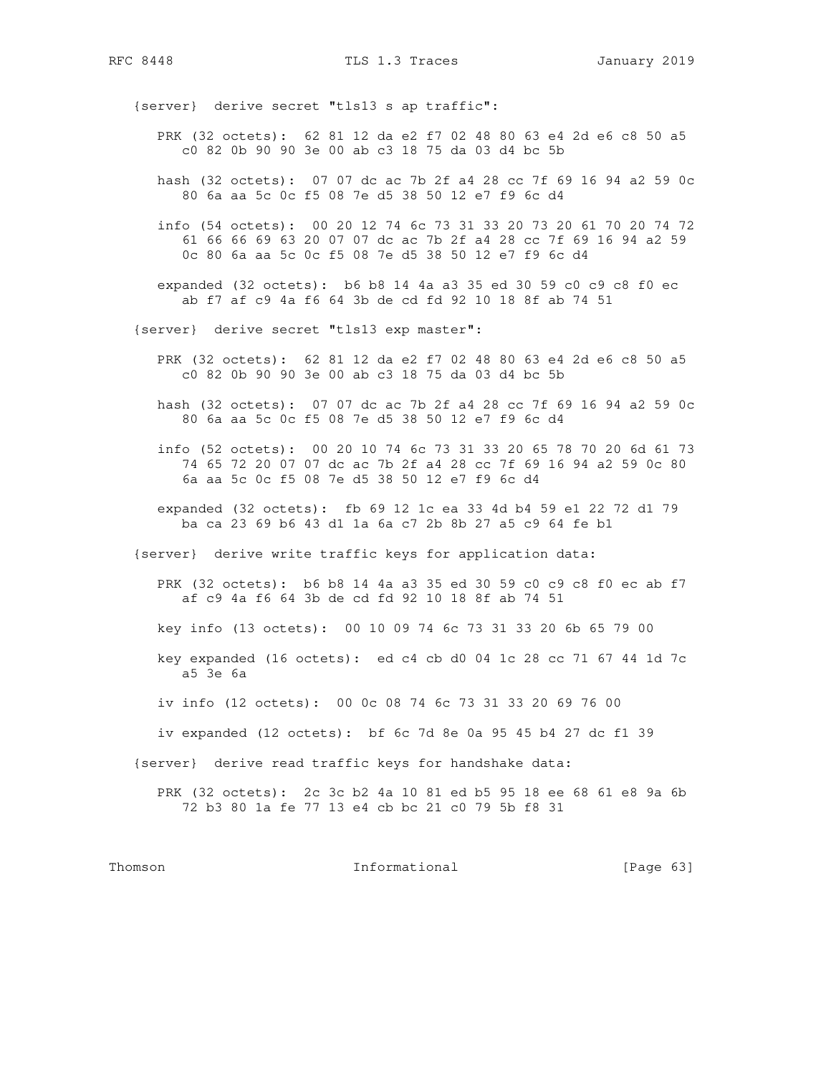RFC 8448 TLS 1.3 Traces January 2019

{server} derive secret "tls13 s ap traffic":

- PRK (32 octets): 62 81 12 da e2 f7 02 48 80 63 e4 2d e6 c8 50 a5 c0 82 0b 90 90 3e 00 ab c3 18 75 da 03 d4 bc 5b
- hash (32 octets): 07 07 dc ac 7b 2f a4 28 cc 7f 69 16 94 a2 59 0c 80 6a aa 5c 0c f5 08 7e d5 38 50 12 e7 f9 6c d4
- info (54 octets): 00 20 12 74 6c 73 31 33 20 73 20 61 70 20 74 72 61 66 66 69 63 20 07 07 dc ac 7b 2f a4 28 cc 7f 69 16 94 a2 59 0c 80 6a aa 5c 0c f5 08 7e d5 38 50 12 e7 f9 6c d4
- expanded (32 octets): b6 b8 14 4a a3 35 ed 30 59 c0 c9 c8 f0 ec ab f7 af c9 4a f6 64 3b de cd fd 92 10 18 8f ab 74 51
- {server} derive secret "tls13 exp master":
	- PRK (32 octets): 62 81 12 da e2 f7 02 48 80 63 e4 2d e6 c8 50 a5 c0 82 0b 90 90 3e 00 ab c3 18 75 da 03 d4 bc 5b
	- hash (32 octets): 07 07 dc ac 7b 2f a4 28 cc 7f 69 16 94 a2 59 0c 80 6a aa 5c 0c f5 08 7e d5 38 50 12 e7 f9 6c d4
	- info (52 octets): 00 20 10 74 6c 73 31 33 20 65 78 70 20 6d 61 73 74 65 72 20 07 07 dc ac 7b 2f a4 28 cc 7f 69 16 94 a2 59 0c 80 6a aa 5c 0c f5 08 7e d5 38 50 12 e7 f9 6c d4
	- expanded (32 octets): fb 69 12 1c ea 33 4d b4 59 e1 22 72 d1 79 ba ca 23 69 b6 43 d1 1a 6a c7 2b 8b 27 a5 c9 64 fe b1
- {server} derive write traffic keys for application data:
	- PRK (32 octets): b6 b8 14 4a a3 35 ed 30 59 c0 c9 c8 f0 ec ab f7 af c9 4a f6 64 3b de cd fd 92 10 18 8f ab 74 51
	- key info (13 octets): 00 10 09 74 6c 73 31 33 20 6b 65 79 00
	- key expanded (16 octets): ed c4 cb d0 04 1c 28 cc 71 67 44 1d 7c a5 3e 6a
	- iv info (12 octets): 00 0c 08 74 6c 73 31 33 20 69 76 00
	- iv expanded (12 octets): bf 6c 7d 8e 0a 95 45 b4 27 dc f1 39

{server} derive read traffic keys for handshake data:

 PRK (32 octets): 2c 3c b2 4a 10 81 ed b5 95 18 ee 68 61 e8 9a 6b 72 b3 80 1a fe 77 13 e4 cb bc 21 c0 79 5b f8 31

#### Thomson **Informational Informational** [Page 63]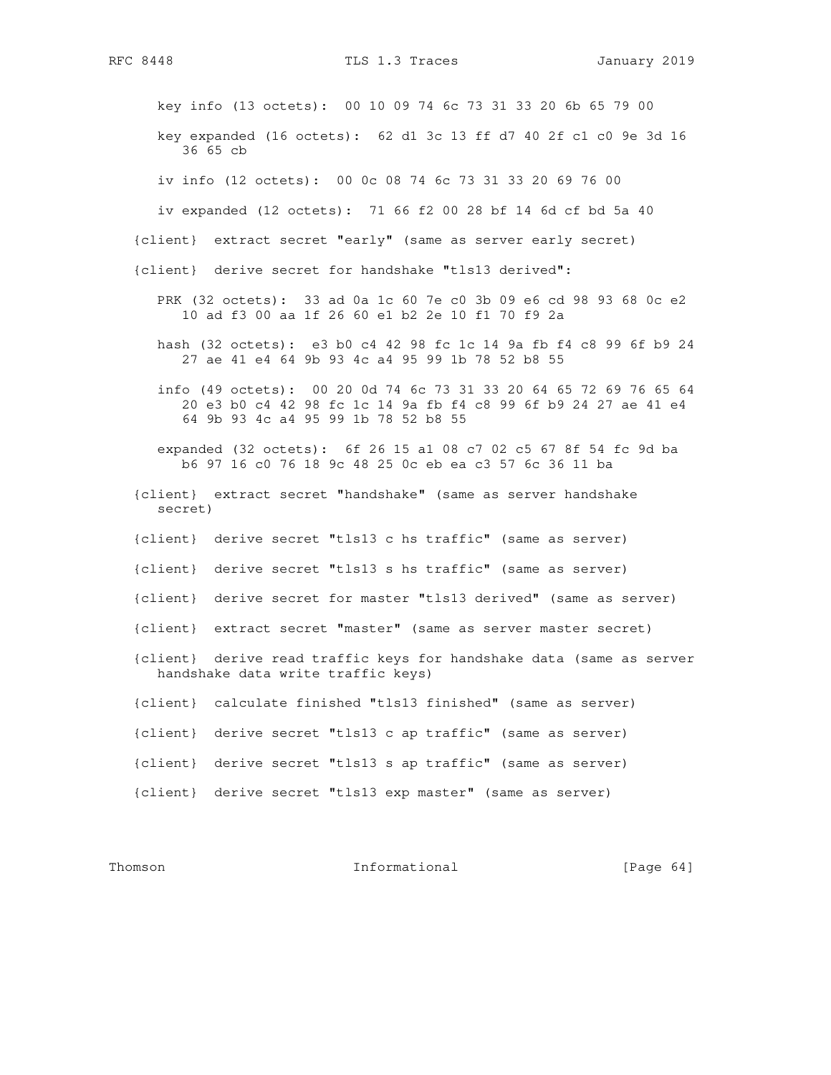key info (13 octets): 00 10 09 74 6c 73 31 33 20 6b 65 79 00

 key expanded (16 octets): 62 d1 3c 13 ff d7 40 2f c1 c0 9e 3d 16 36 65 cb

iv info (12 octets): 00 0c 08 74 6c 73 31 33 20 69 76 00

iv expanded (12 octets): 71 66 f2 00 28 bf 14 6d cf bd 5a 40

{client} extract secret "early" (same as server early secret)

{client} derive secret for handshake "tls13 derived":

- PRK (32 octets): 33 ad 0a 1c 60 7e c0 3b 09 e6 cd 98 93 68 0c e2 10 ad f3 00 aa 1f 26 60 e1 b2 2e 10 f1 70 f9 2a
- hash (32 octets): e3 b0 c4 42 98 fc 1c 14 9a fb f4 c8 99 6f b9 24 27 ae 41 e4 64 9b 93 4c a4 95 99 1b 78 52 b8 55
- info (49 octets): 00 20 0d 74 6c 73 31 33 20 64 65 72 69 76 65 64 20 e3 b0 c4 42 98 fc 1c 14 9a fb f4 c8 99 6f b9 24 27 ae 41 e4 64 9b 93 4c a4 95 99 1b 78 52 b8 55
- expanded (32 octets): 6f 26 15 a1 08 c7 02 c5 67 8f 54 fc 9d ba b6 97 16 c0 76 18 9c 48 25 0c eb ea c3 57 6c 36 11 ba
- {client} extract secret "handshake" (same as server handshake secret)
- {client} derive secret "tls13 c hs traffic" (same as server)
- {client} derive secret "tls13 s hs traffic" (same as server)
- {client} derive secret for master "tls13 derived" (same as server)
- {client} extract secret "master" (same as server master secret)
- {client} derive read traffic keys for handshake data (same as server handshake data write traffic keys)
- {client} calculate finished "tls13 finished" (same as server)
- {client} derive secret "tls13 c ap traffic" (same as server)
- {client} derive secret "tls13 s ap traffic" (same as server)
- {client} derive secret "tls13 exp master" (same as server)

## Thomson **Informational Informational** [Page 64]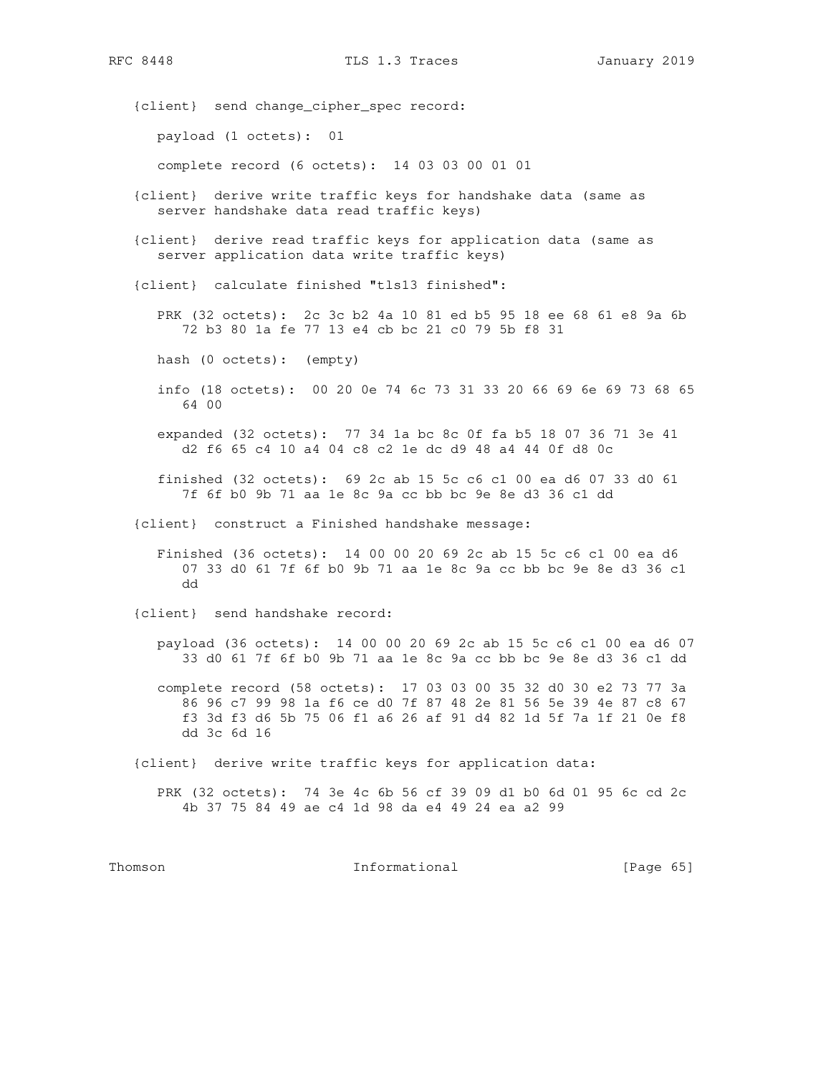{client} send change\_cipher\_spec record:

payload (1 octets): 01

complete record (6 octets): 14 03 03 00 01 01

- {client} derive write traffic keys for handshake data (same as server handshake data read traffic keys)
- {client} derive read traffic keys for application data (same as server application data write traffic keys)
- {client} calculate finished "tls13 finished":

 PRK (32 octets): 2c 3c b2 4a 10 81 ed b5 95 18 ee 68 61 e8 9a 6b 72 b3 80 1a fe 77 13 e4 cb bc 21 c0 79 5b f8 31

hash (0 octets): (empty)

 info (18 octets): 00 20 0e 74 6c 73 31 33 20 66 69 6e 69 73 68 65 64 00

 expanded (32 octets): 77 34 1a bc 8c 0f fa b5 18 07 36 71 3e 41 d2 f6 65 c4 10 a4 04 c8 c2 1e dc d9 48 a4 44 0f d8 0c

 finished (32 octets): 69 2c ab 15 5c c6 c1 00 ea d6 07 33 d0 61 7f 6f b0 9b 71 aa 1e 8c 9a cc bb bc 9e 8e d3 36 c1 dd

{client} construct a Finished handshake message:

 Finished (36 octets): 14 00 00 20 69 2c ab 15 5c c6 c1 00 ea d6 07 33 d0 61 7f 6f b0 9b 71 aa 1e 8c 9a cc bb bc 9e 8e d3 36 c1 dd

{client} send handshake record:

 payload (36 octets): 14 00 00 20 69 2c ab 15 5c c6 c1 00 ea d6 07 33 d0 61 7f 6f b0 9b 71 aa 1e 8c 9a cc bb bc 9e 8e d3 36 c1 dd

 complete record (58 octets): 17 03 03 00 35 32 d0 30 e2 73 77 3a 86 96 c7 99 98 1a f6 ce d0 7f 87 48 2e 81 56 5e 39 4e 87 c8 67 f3 3d f3 d6 5b 75 06 f1 a6 26 af 91 d4 82 1d 5f 7a 1f 21 0e f8 dd 3c 6d 16

{client} derive write traffic keys for application data:

 PRK (32 octets): 74 3e 4c 6b 56 cf 39 09 d1 b0 6d 01 95 6c cd 2c 4b 37 75 84 49 ae c4 1d 98 da e4 49 24 ea a2 99

Thomson **Informational Informational** [Page 65]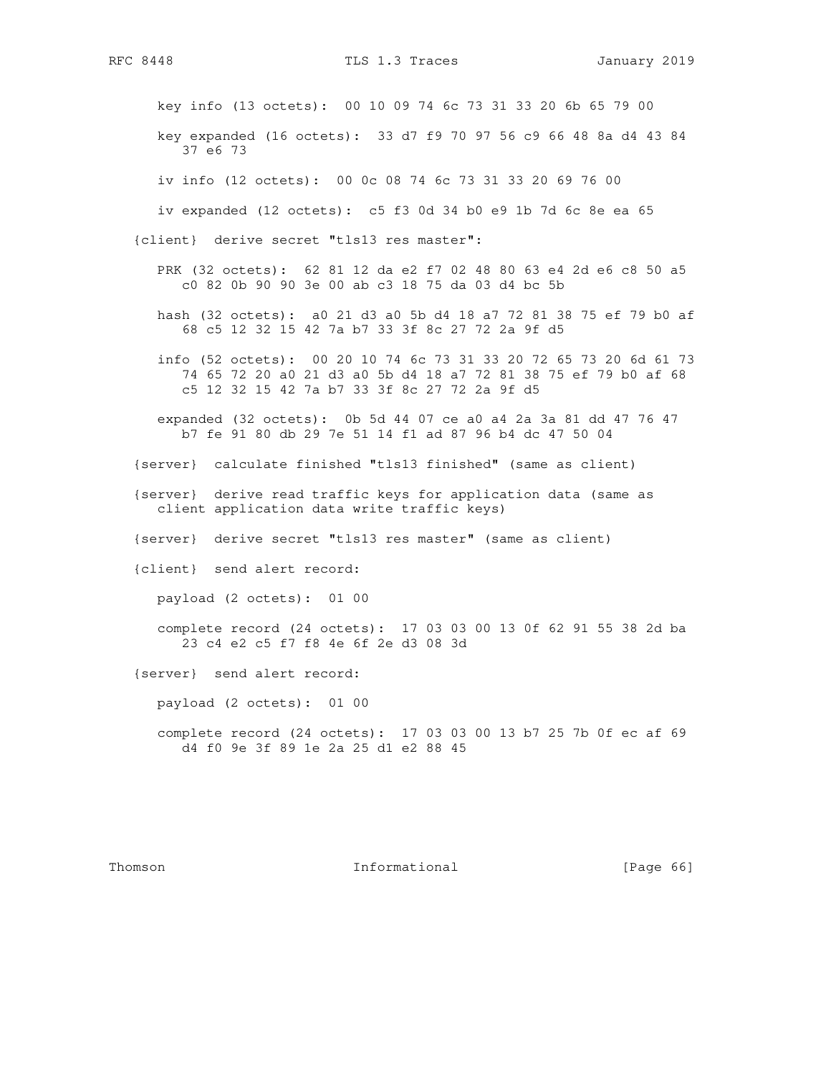key info (13 octets): 00 10 09 74 6c 73 31 33 20 6b 65 79 00

 key expanded (16 octets): 33 d7 f9 70 97 56 c9 66 48 8a d4 43 84 37 e6 73

iv info (12 octets): 00 0c 08 74 6c 73 31 33 20 69 76 00

iv expanded (12 octets): c5 f3 0d 34 b0 e9 1b 7d 6c 8e ea 65

{client} derive secret "tls13 res master":

- PRK (32 octets): 62 81 12 da e2 f7 02 48 80 63 e4 2d e6 c8 50 a5 c0 82 0b 90 90 3e 00 ab c3 18 75 da 03 d4 bc 5b
- hash (32 octets): a0 21 d3 a0 5b d4 18 a7 72 81 38 75 ef 79 b0 af 68 c5 12 32 15 42 7a b7 33 3f 8c 27 72 2a 9f d5
- info (52 octets): 00 20 10 74 6c 73 31 33 20 72 65 73 20 6d 61 73 74 65 72 20 a0 21 d3 a0 5b d4 18 a7 72 81 38 75 ef 79 b0 af 68 c5 12 32 15 42 7a b7 33 3f 8c 27 72 2a 9f d5
- expanded (32 octets): 0b 5d 44 07 ce a0 a4 2a 3a 81 dd 47 76 47 b7 fe 91 80 db 29 7e 51 14 f1 ad 87 96 b4 dc 47 50 04
- {server} calculate finished "tls13 finished" (same as client)
- {server} derive read traffic keys for application data (same as client application data write traffic keys)
- {server} derive secret "tls13 res master" (same as client)
- {client} send alert record:

payload (2 octets): 01 00

 complete record (24 octets): 17 03 03 00 13 0f 62 91 55 38 2d ba 23 c4 e2 c5 f7 f8 4e 6f 2e d3 08 3d

{server} send alert record:

payload (2 octets): 01 00

 complete record (24 octets): 17 03 03 00 13 b7 25 7b 0f ec af 69 d4 f0 9e 3f 89 1e 2a 25 d1 e2 88 45

Thomson **Informational Informational** [Page 66]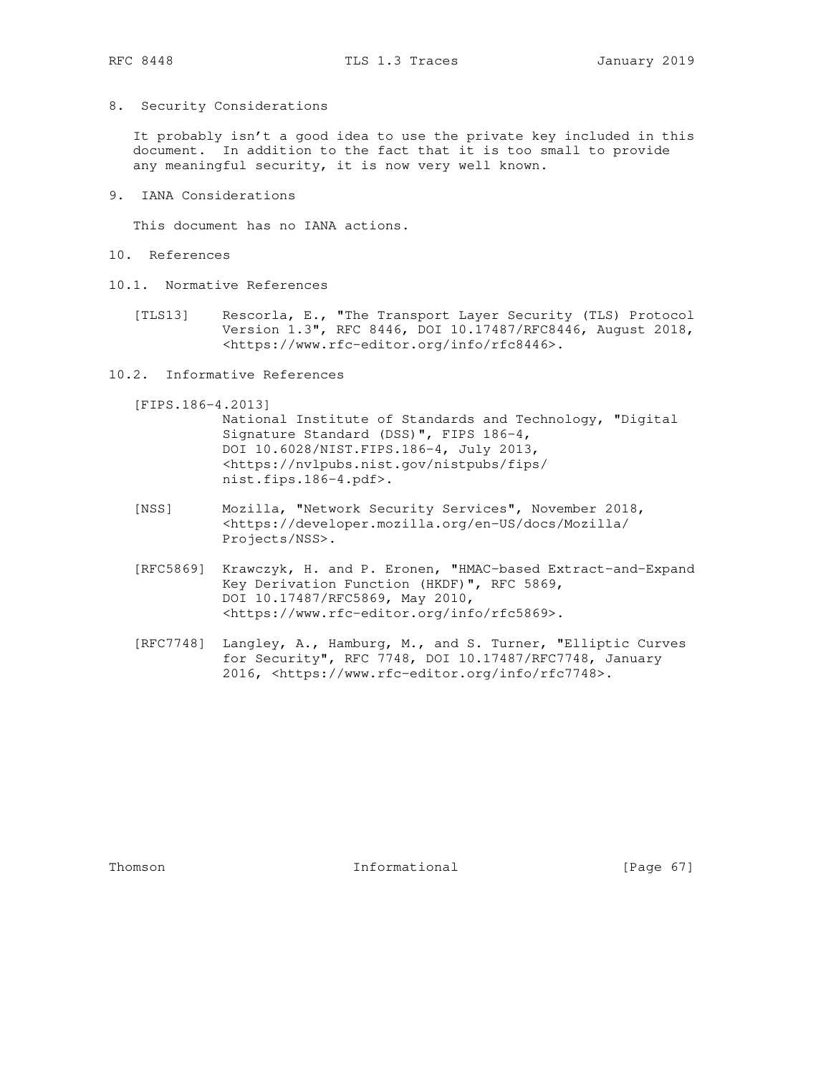8. Security Considerations

 It probably isn't a good idea to use the private key included in this document. In addition to the fact that it is too small to provide any meaningful security, it is now very well known.

9. IANA Considerations

This document has no IANA actions.

- 10. References
- 10.1. Normative References
	- [TLS13] Rescorla, E., "The Transport Layer Security (TLS) Protocol Version 1.3", RFC 8446, DOI 10.17487/RFC8446, August 2018, <https://www.rfc-editor.org/info/rfc8446>.
- 10.2. Informative References
	- [FIPS.186-4.2013]

 National Institute of Standards and Technology, "Digital Signature Standard (DSS)", FIPS 186-4, DOI 10.6028/NIST.FIPS.186-4, July 2013, <https://nvlpubs.nist.gov/nistpubs/fips/ nist.fips.186-4.pdf>.

- [NSS] Mozilla, "Network Security Services", November 2018, <https://developer.mozilla.org/en-US/docs/Mozilla/ Projects/NSS>.
- [RFC5869] Krawczyk, H. and P. Eronen, "HMAC-based Extract-and-Expand Key Derivation Function (HKDF)", RFC 5869, DOI 10.17487/RFC5869, May 2010, <https://www.rfc-editor.org/info/rfc5869>.
- [RFC7748] Langley, A., Hamburg, M., and S. Turner, "Elliptic Curves for Security", RFC 7748, DOI 10.17487/RFC7748, January 2016, <https://www.rfc-editor.org/info/rfc7748>.

Thomson 1nformational [Page 67]